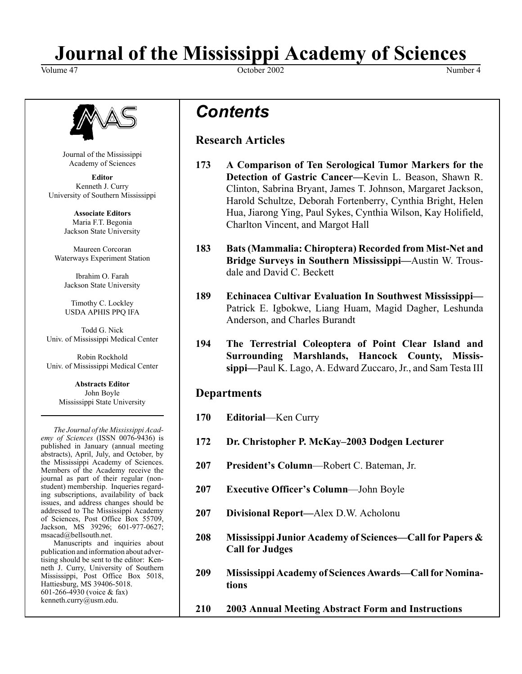# **Journal of the Mississippi Academy of Sciences**

Volume 47 Number 4 Corolex 2002 Number 4 Number 4 Number 4 Number 4 Number 4 Number 4 Number 4 Number 4 Number 4 Number 4 Number 4 Number 4 Number 4 Number 4 Number 4 Number 4 Number 4 Number 4 Number 4 Number 4 Number 4 N



Journal of the Mississippi Academy of Sciences

**Editor** Kenneth J. Curry University of Southern Mississippi

> **Associate Editors** Maria F.T. Begonia Jackson State University

Maureen Corcoran Waterways Experiment Station

Ibrahim O. Farah Jackson State University

Timothy C. Lockley USDA APHIS PPQ IFA

Todd G. Nick Univ. of Mississippi Medical Center

Robin Rockhold Univ. of Mississippi Medical Center

> **Abstracts Editor** John Boyle Mississippi State University

*The Journal of the Mississippi Academy of Sciences* (ISSN 0076-9436) is published in January (annual meeting abstracts), April, July, and October, by the Mississippi Academy of Sciences. Members of the Academy receive the journal as part of their regular (nonstudent) membership. Inqueries regarding subscriptions, availability of back issues, and address changes should be addressed to The Mississippi Academy of Sciences, Post Office Box 55709, Jackson, MS 39296; 601-977-0627; msacad@bellsouth.net.

Manuscripts and inquiries about publication and information about advertising should be sent to the editor: Kenneth J. Curry, University of Southern Mississippi, Post Office Box 5018, Hattiesburg, MS 39406-5018. 601-266-4930 (voice & fax) kenneth.curry@usm.edu.

*Contents*

**Research Articles**

- **173 A Comparison of Ten Serological Tumor Markers for the Detection of Gastric Cancer—**Kevin L. Beason, Shawn R. Clinton, Sabrina Bryant, James T. Johnson, Margaret Jackson, Harold Schultze, Deborah Fortenberry, Cynthia Bright, Helen Hua, Jiarong Ying, Paul Sykes, Cynthia Wilson, Kay Holifield, Charlton Vincent, and Margot Hall
- **183 Bats (Mammalia: Chiroptera) Recorded from Mist-Net and Bridge Surveys in Southern Mississippi—**Austin W. Trousdale and David C. Beckett
- **189 Echinacea Cultivar Evaluation In Southwest Mississippi—** Patrick E. Igbokwe, Liang Huam, Magid Dagher, Leshunda Anderson, and Charles Burandt
- **194 The Terrestrial Coleoptera of Point Clear Island and Surrounding Marshlands, Hancock County, Mississippi—**Paul K. Lago, A. Edward Zuccaro, Jr., and Sam Testa III

# **Departments**

- **170 Editorial**—Ken Curry
- **172 Dr. Christopher P. McKay–2003 Dodgen Lecturer**
- **207 President's Column**—Robert C. Bateman, Jr.
- **207 Executive Officer's Column**—John Boyle
- **207 Divisional Report—**Alex D.W. Acholonu
- **208 Mississippi Junior Academy of Sciences—Call for Papers & Call for Judges**
- **209 Mississippi Academy of Sciences Awards—Call for Nominations**
- **210 2003 Annual Meeting Abstract Form and Instructions**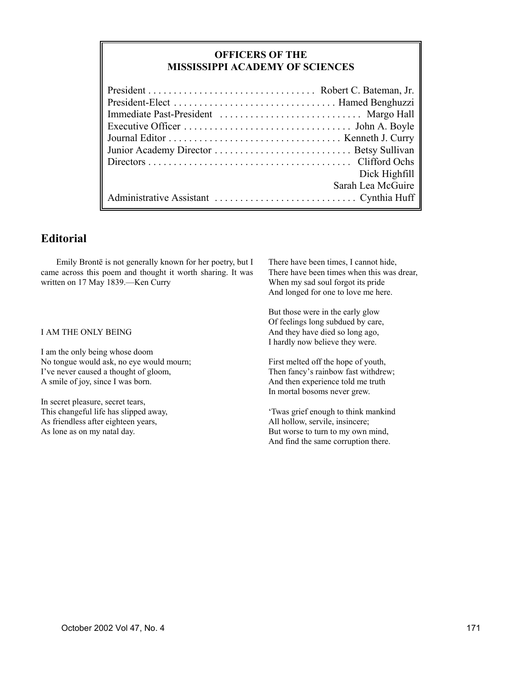# **OFFICERS OF THE MISSISSIPPI ACADEMY OF SCIENCES**

| Dick Highfill     |
|-------------------|
| Sarah Lea McGuire |
|                   |
|                   |

# **Editorial**

Emily Brontë is not generally known for her poetry, but I came across this poem and thought it worth sharing. It was written on 17 May 1839.—Ken Curry

#### I AM THE ONLY BEING

I am the only being whose doom No tongue would ask, no eye would mourn; I've never caused a thought of gloom, A smile of joy, since I was born.

In secret pleasure, secret tears, This changeful life has slipped away, As friendless after eighteen years, As lone as on my natal day.

There have been times, I cannot hide, There have been times when this was drear, When my sad soul forgot its pride And longed for one to love me here.

But those were in the early glow Of feelings long subdued by care, And they have died so long ago, I hardly now believe they were.

First melted off the hope of youth, Then fancy's rainbow fast withdrew; And then experience told me truth In mortal bosoms never grew.

'Twas grief enough to think mankind All hollow, servile, insincere; But worse to turn to my own mind, And find the same corruption there.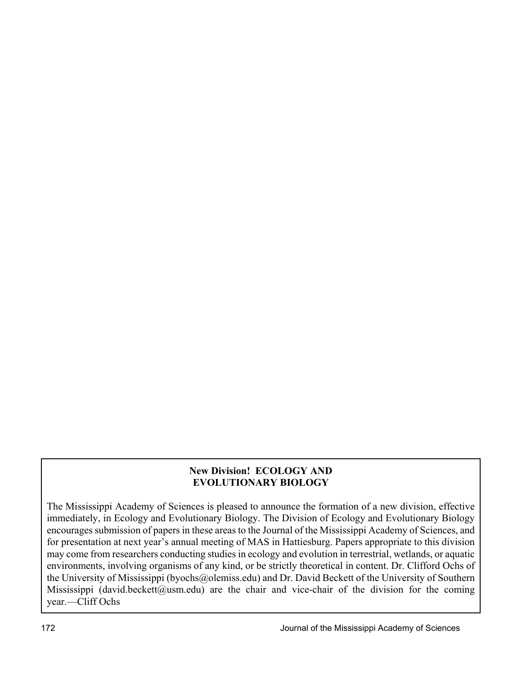# **New Division! ECOLOGY AND EVOLUTIONARY BIOLOGY**

The Mississippi Academy of Sciences is pleased to announce the formation of a new division, effective immediately, in Ecology and Evolutionary Biology. The Division of Ecology and Evolutionary Biology encourages submission of papers in these areas to the Journal of the Mississippi Academy of Sciences, and for presentation at next year's annual meeting of MAS in Hattiesburg. Papers appropriate to this division may come from researchers conducting studies in ecology and evolution in terrestrial, wetlands, or aquatic environments, involving organisms of any kind, or be strictly theoretical in content. Dr. Clifford Ochs of the University of Mississippi (byochs@olemiss.edu) and Dr. David Beckett of the University of Southern Mississippi (david.beckett@usm.edu) are the chair and vice-chair of the division for the coming year.—Cliff Ochs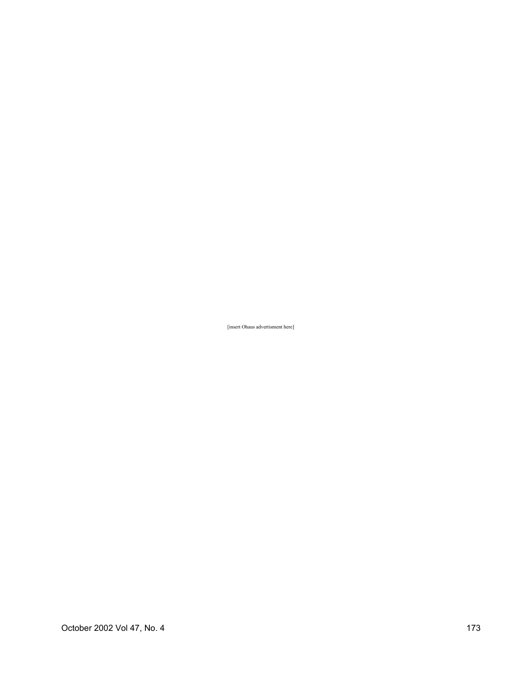[insert Ohaus advertisment here]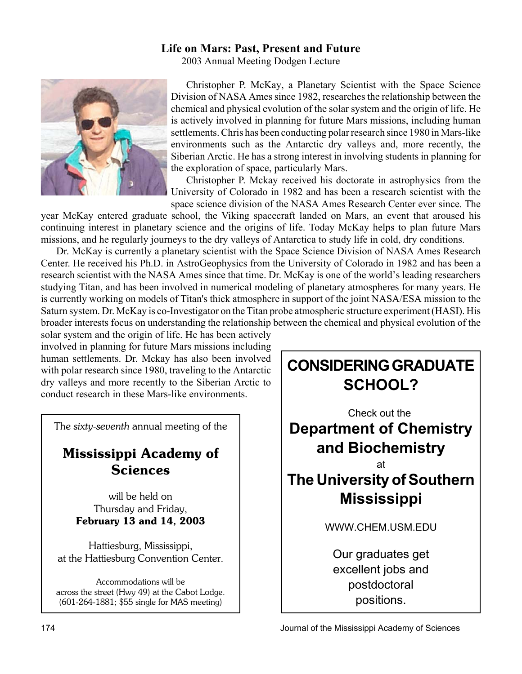# **Life on Mars: Past, Present and Future**

2003 Annual Meeting Dodgen Lecture



Christopher P. McKay, a Planetary Scientist with the Space Science Division of NASA Ames since 1982, researches the relationship between the chemical and physical evolution of the solar system and the origin of life. He is actively involved in planning for future Mars missions, including human settlements. Chris has been conducting polar research since 1980 in Mars-like environments such as the Antarctic dry valleys and, more recently, the Siberian Arctic. He has a strong interest in involving students in planning for the exploration of space, particularly Mars.

Christopher P. Mckay received his doctorate in astrophysics from the University of Colorado in 1982 and has been a research scientist with the space science division of the NASA Ames Research Center ever since. The

year McKay entered graduate school, the Viking spacecraft landed on Mars, an event that aroused his continuing interest in planetary science and the origins of life. Today McKay helps to plan future Mars missions, and he regularly journeys to the dry valleys of Antarctica to study life in cold, dry conditions.

Dr. McKay is currently a planetary scientist with the Space Science Division of NASA Ames Research Center. He received his Ph.D. in AstroGeophysics from the University of Colorado in 1982 and has been a research scientist with the NASA Ames since that time. Dr. McKay is one of the world's leading researchers studying Titan, and has been involved in numerical modeling of planetary atmospheres for many years. He is currently working on models of Titan's thick atmosphere in support of the joint NASA/ESA mission to the Saturn system. Dr. McKay is co-Investigator on the Titan probe atmospheric structure experiment (HASI). His broader interests focus on understanding the relationship between the chemical and physical evolution of the

solar system and the origin of life. He has been actively involved in planning for future Mars missions including human settlements. Dr. Mckay has also been involved with polar research since 1980, traveling to the Antarctic dry valleys and more recently to the Siberian Arctic to conduct research in these Mars-like environments.

The *sixty-seventh* annual meeting of the

# Mississippi Academy of Sciences

will be held on Thursday and Friday, February 13 and 14, 2003

Hattiesburg, Mississippi, at the Hattiesburg Convention Center.

Accommodations will be across the street (Hwy 49) at the Cabot Lodge. (601-264-1881; \$55 single for MAS meeting)

# **CONSIDERING GRADUATE SCHOOL?**

Check out the **Department of Chemistry and Biochemistry** at

# **The University of Southern Mississippi**

WWW.CHEM.USM.EDU

Our graduates get excellent jobs and postdoctoral positions.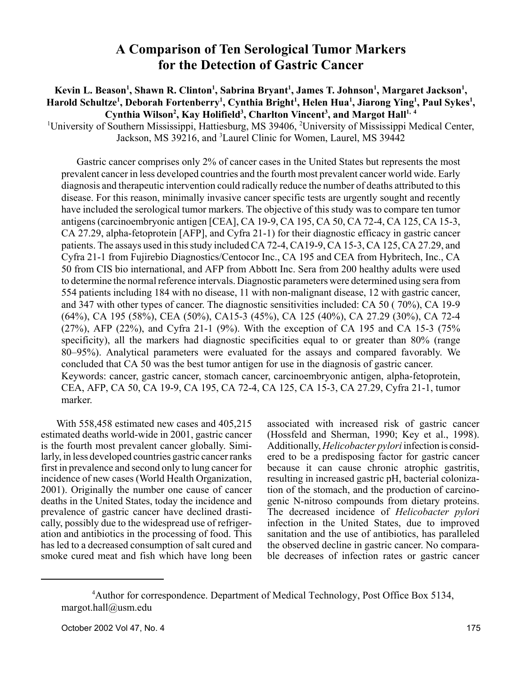# **A Comparison of Ten Serological Tumor Markers for the Detection of Gastric Cancer**

# Kevin L. Beason<sup>1</sup>, Shawn R. Clinton<sup>1</sup>, Sabrina Bryant<sup>1</sup>, James T. Johnson<sup>1</sup>, Margaret Jackson<sup>1</sup>, Harold Schultze<sup>1</sup>, Deborah Fortenberry<sup>1</sup>, Cynthia Bright<sup>1</sup>, Helen Hua<sup>1</sup>, Jiarong Ying<sup>1</sup>, Paul Sykes<sup>1</sup>, Cynthia Wilson<sup>2</sup>, Kay Holifield<sup>3</sup>, Charlton Vincent<sup>3</sup>, and Margot Hall<sup>1, 4</sup>

<sup>1</sup>University of Southern Mississippi, Hattiesburg, MS 39406, <sup>2</sup>University of Mississippi Medical Center, Jackson, MS 39216, and <sup>3</sup>Laurel Clinic for Women, Laurel, MS 39442

Gastric cancer comprises only 2% of cancer cases in the United States but represents the most prevalent cancer in less developed countries and the fourth most prevalent cancer world wide. Early diagnosis and therapeutic intervention could radically reduce the number of deaths attributed to this disease. For this reason, minimally invasive cancer specific tests are urgently sought and recently have included the serological tumor markers. The objective of this study was to compare ten tumor antigens (carcinoembryonic antigen [CEA], CA 19-9, CA 195, CA 50, CA 72-4, CA 125, CA 15-3, CA 27.29, alpha-fetoprotein [AFP], and Cyfra 21-1) for their diagnostic efficacy in gastric cancer patients. The assays used in this study included CA 72-4, CA19-9, CA 15-3, CA 125, CA 27.29, and Cyfra 21-1 from Fujirebio Diagnostics/Centocor Inc., CA 195 and CEA from Hybritech, Inc., CA 50 from CIS bio international, and AFP from Abbott Inc. Sera from 200 healthy adults were used to determine the normal reference intervals. Diagnostic parameters were determined using sera from 554 patients including 184 with no disease, 11 with non-malignant disease, 12 with gastric cancer, and 347 with other types of cancer. The diagnostic sensitivities included: CA 50 ( 70%), CA 19-9 (64%), CA 195 (58%), CEA (50%), CA15-3 (45%), CA 125 (40%), CA 27.29 (30%), CA 72-4 (27%), AFP (22%), and Cyfra 21-1 (9%). With the exception of CA 195 and CA 15-3 (75% specificity), all the markers had diagnostic specificities equal to or greater than 80% (range 80–95%). Analytical parameters were evaluated for the assays and compared favorably. We concluded that CA 50 was the best tumor antigen for use in the diagnosis of gastric cancer. Keywords: cancer, gastric cancer, stomach cancer, carcinoembryonic antigen, alpha-fetoprotein, CEA, AFP, CA 50, CA 19-9, CA 195, CA 72-4, CA 125, CA 15-3, CA 27.29, Cyfra 21-1, tumor marker.

With 558,458 estimated new cases and 405,215 estimated deaths world-wide in 2001, gastric cancer is the fourth most prevalent cancer globally. Similarly, in less developed countries gastric cancer ranks first in prevalence and second only to lung cancer for incidence of new cases (World Health Organization, 2001). Originally the number one cause of cancer deaths in the United States, today the incidence and prevalence of gastric cancer have declined drastically, possibly due to the widespread use of refrigeration and antibiotics in the processing of food. This has led to a decreased consumption of salt cured and smoke cured meat and fish which have long been associated with increased risk of gastric cancer (Hossfeld and Sherman, 1990; Key et al., 1998). Additionally, *Helicobacter pylori* infection is considered to be a predisposing factor for gastric cancer because it can cause chronic atrophic gastritis, resulting in increased gastric pH, bacterial colonization of the stomach, and the production of carcinogenic N-nitroso compounds from dietary proteins. The decreased incidence of *Helicobacter pylori* infection in the United States, due to improved sanitation and the use of antibiotics, has paralleled the observed decline in gastric cancer. No comparable decreases of infection rates or gastric cancer

<sup>&</sup>lt;sup>4</sup> Author for correspondence. Department of Medical Technology, Post Office Box 5134, margot.hall@usm.edu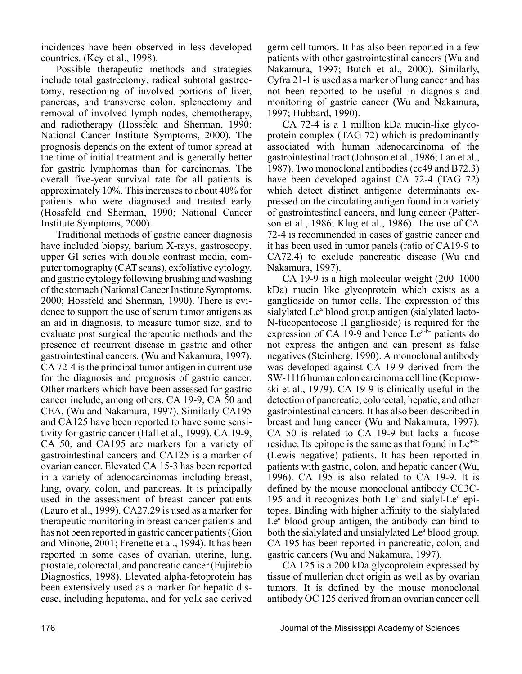incidences have been observed in less developed countries. (Key et al., 1998).

Possible therapeutic methods and strategies include total gastrectomy, radical subtotal gastrectomy, resectioning of involved portions of liver, pancreas, and transverse colon, splenectomy and removal of involved lymph nodes, chemotherapy, and radiotherapy (Hossfeld and Sherman, 1990; National Cancer Institute Symptoms, 2000). The prognosis depends on the extent of tumor spread at the time of initial treatment and is generally better for gastric lymphomas than for carcinomas. The overall five-year survival rate for all patients is approximately 10%. This increases to about 40% for patients who were diagnosed and treated early (Hossfeld and Sherman, 1990; National Cancer Institute Symptoms, 2000).

Traditional methods of gastric cancer diagnosis have included biopsy, barium X-rays, gastroscopy, upper GI series with double contrast media, computer tomography (CAT scans), exfoliative cytology, and gastric cytology following brushing and washing of the stomach (National Cancer Institute Symptoms, 2000; Hossfeld and Sherman, 1990). There is evidence to support the use of serum tumor antigens as an aid in diagnosis, to measure tumor size, and to evaluate post surgical therapeutic methods and the presence of recurrent disease in gastric and other gastrointestinal cancers. (Wu and Nakamura, 1997). CA 72-4 is the principal tumor antigen in current use for the diagnosis and prognosis of gastric cancer. Other markers which have been assessed for gastric cancer include, among others, CA 19-9, CA 50 and CEA, (Wu and Nakamura, 1997). Similarly CA195 and CA125 have been reported to have some sensitivity for gastric cancer (Hall et al., 1999). CA 19-9, CA 50, and CA195 are markers for a variety of gastrointestinal cancers and CA125 is a marker of ovarian cancer. Elevated CA 15-3 has been reported in a variety of adenocarcinomas including breast, lung, ovary, colon, and pancreas. It is principally used in the assessment of breast cancer patients (Lauro et al., 1999). CA27.29 is used as a marker for therapeutic monitoring in breast cancer patients and has not been reported in gastric cancer patients (Gion and Minone, 2001; Frenette et al., 1994). It has been reported in some cases of ovarian, uterine, lung, prostate, colorectal, and pancreatic cancer (Fujirebio Diagnostics, 1998). Elevated alpha-fetoprotein has been extensively used as a marker for hepatic disease, including hepatoma, and for yolk sac derived

germ cell tumors. It has also been reported in a few patients with other gastrointestinal cancers (Wu and Nakamura, 1997; Butch et al., 2000). Similarly, Cyfra 21-1 is used as a marker of lung cancer and has not been reported to be useful in diagnosis and monitoring of gastric cancer (Wu and Nakamura, 1997; Hubbard, 1990).

CA 72-4 is a 1 million kDa mucin-like glycoprotein complex (TAG 72) which is predominantly associated with human adenocarcinoma of the gastrointestinal tract (Johnson et al., 1986; Lan et al., 1987). Two monoclonal antibodies (cc49 and B72.3) have been developed against CA 72-4 (TAG 72) which detect distinct antigenic determinants expressed on the circulating antigen found in a variety of gastrointestinal cancers, and lung cancer (Patterson et al., 1986; Klug et al., 1986). The use of CA 72-4 is recommended in cases of gastric cancer and it has been used in tumor panels (ratio of CA19-9 to CA72.4) to exclude pancreatic disease (Wu and Nakamura, 1997).

CA 19-9 is a high molecular weight (200–1000 kDa) mucin like glycoprotein which exists as a ganglioside on tumor cells. The expression of this sialylated Le<sup>a</sup> blood group antigen (sialylated lacto-N-fucopentoeose II ganglioside) is required for the expression of CA 19-9 and hence  $Le^{a-b}$ -patients do not express the antigen and can present as false negatives (Steinberg, 1990). A monoclonal antibody was developed against CA 19-9 derived from the SW-1116 human colon carcinoma cell line (Koprowski et al., 1979). CA 19-9 is clinically useful in the detection of pancreatic, colorectal, hepatic, and other gastrointestinal cancers. It has also been described in breast and lung cancer (Wu and Nakamura, 1997). CA 50 is related to CA 19-9 but lacks a fucose residue. Its epitope is the same as that found in  $Le<sup>a-b</sup>$ (Lewis negative) patients. It has been reported in patients with gastric, colon, and hepatic cancer (Wu, 1996). CA 195 is also related to CA 19-9. It is defined by the mouse monoclonal antibody CC3C-195 and it recognizes both Le<sup>a</sup> and sialyl-Le<sup>a</sup> epitopes. Binding with higher affinity to the sialylated Le<sup>a</sup> blood group antigen, the antibody can bind to both the sialylated and unsialylated Le<sup>a</sup> blood group. CA 195 has been reported in pancreatic, colon, and gastric cancers (Wu and Nakamura, 1997).

CA 125 is a 200 kDa glycoprotein expressed by tissue of mullerian duct origin as well as by ovarian tumors. It is defined by the mouse monoclonal antibody OC 125 derived from an ovarian cancer cell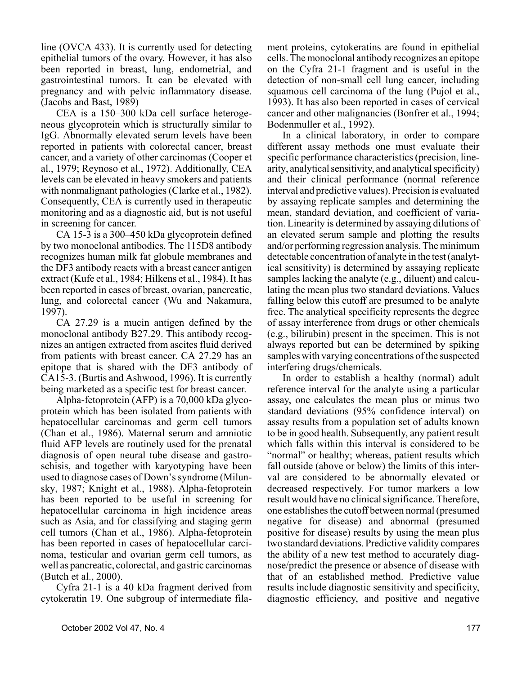line (OVCA 433). It is currently used for detecting epithelial tumors of the ovary. However, it has also been reported in breast, lung, endometrial, and gastrointestinal tumors. It can be elevated with pregnancy and with pelvic inflammatory disease. (Jacobs and Bast, 1989)

CEA is a 150–300 kDa cell surface heterogeneous glycoprotein which is structurally similar to IgG. Abnormally elevated serum levels have been reported in patients with colorectal cancer, breast cancer, and a variety of other carcinomas (Cooper et al., 1979; Reynoso et al., 1972). Additionally, CEA levels can be elevated in heavy smokers and patients with nonmalignant pathologies (Clarke et al., 1982). Consequently, CEA is currently used in therapeutic monitoring and as a diagnostic aid, but is not useful in screening for cancer.

CA 15-3 is a 300–450 kDa glycoprotein defined by two monoclonal antibodies. The 115D8 antibody recognizes human milk fat globule membranes and the DF3 antibody reacts with a breast cancer antigen extract (Kufe et al., 1984; Hilkens et al., 1984). It has been reported in cases of breast, ovarian, pancreatic, lung, and colorectal cancer (Wu and Nakamura, 1997).

CA 27.29 is a mucin antigen defined by the monoclonal antibody B27.29. This antibody recognizes an antigen extracted from ascites fluid derived from patients with breast cancer. CA 27.29 has an epitope that is shared with the DF3 antibody of CA15-3. (Burtis and Ashwood, 1996). It is currently being marketed as a specific test for breast cancer.

Alpha-fetoprotein (AFP) is a 70,000 kDa glycoprotein which has been isolated from patients with hepatocellular carcinomas and germ cell tumors (Chan et al., 1986). Maternal serum and amniotic fluid AFP levels are routinely used for the prenatal diagnosis of open neural tube disease and gastroschisis, and together with karyotyping have been used to diagnose cases of Down's syndrome (Milunsky, 1987; Knight et al., 1988). Alpha-fetoprotein has been reported to be useful in screening for hepatocellular carcinoma in high incidence areas such as Asia, and for classifying and staging germ cell tumors (Chan et al., 1986). Alpha-fetoprotein has been reported in cases of hepatocellular carcinoma, testicular and ovarian germ cell tumors, as well as pancreatic, colorectal, and gastric carcinomas (Butch et al., 2000).

Cyfra 21-1 is a 40 kDa fragment derived from cytokeratin 19. One subgroup of intermediate fila-

ment proteins, cytokeratins are found in epithelial cells. The monoclonal antibody recognizes an epitope on the Cyfra 21-1 fragment and is useful in the detection of non-small cell lung cancer, including squamous cell carcinoma of the lung (Pujol et al., 1993). It has also been reported in cases of cervical cancer and other malignancies (Bonfrer et al., 1994; Bodenmuller et al., 1992).

In a clinical laboratory, in order to compare different assay methods one must evaluate their specific performance characteristics (precision, linearity, analytical sensitivity, and analytical specificity) and their clinical performance (normal reference interval and predictive values). Precision is evaluated by assaying replicate samples and determining the mean, standard deviation, and coefficient of variation. Linearity is determined by assaying dilutions of an elevated serum sample and plotting the results and/or performing regression analysis. The minimum detectable concentration of analyte in the test (analytical sensitivity) is determined by assaying replicate samples lacking the analyte (e.g., diluent) and calculating the mean plus two standard deviations. Values falling below this cutoff are presumed to be analyte free. The analytical specificity represents the degree of assay interference from drugs or other chemicals (e.g., bilirubin) present in the specimen. This is not always reported but can be determined by spiking samples with varying concentrations of the suspected interfering drugs/chemicals.

In order to establish a healthy (normal) adult reference interval for the analyte using a particular assay, one calculates the mean plus or minus two standard deviations (95% confidence interval) on assay results from a population set of adults known to be in good health. Subsequently, any patient result which falls within this interval is considered to be "normal" or healthy; whereas, patient results which fall outside (above or below) the limits of this interval are considered to be abnormally elevated or decreased respectively. For tumor markers a low result would have no clinical significance. Therefore, one establishes the cutoff between normal (presumed negative for disease) and abnormal (presumed positive for disease) results by using the mean plus two standard deviations. Predictive validity compares the ability of a new test method to accurately diagnose/predict the presence or absence of disease with that of an established method. Predictive value results include diagnostic sensitivity and specificity, diagnostic efficiency, and positive and negative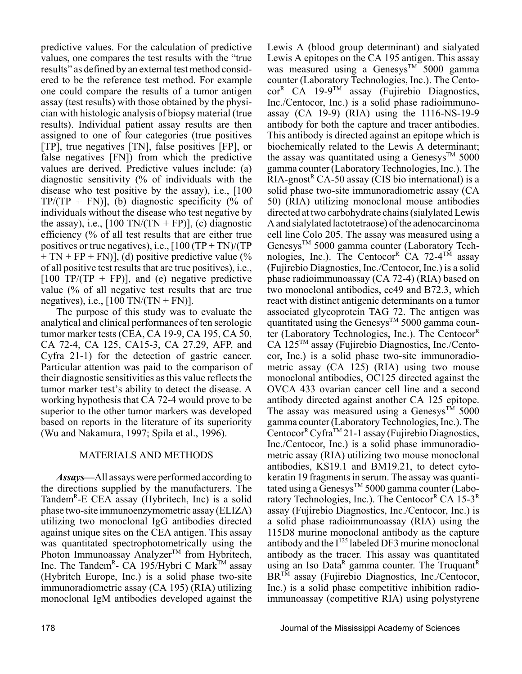predictive values. For the calculation of predictive values, one compares the test results with the "true results" as defined by an external test method considered to be the reference test method. For example one could compare the results of a tumor antigen assay (test results) with those obtained by the physician with histologic analysis of biopsy material (true results). Individual patient assay results are then assigned to one of four categories (true positives [TP], true negatives [TN], false positives [FP], or false negatives [FN]) from which the predictive values are derived. Predictive values include: (a) diagnostic sensitivity (% of individuals with the disease who test positive by the assay), i.e., [100  $TP/(TP + FN)$ ], (b) diagnostic specificity (% of individuals without the disease who test negative by the assay), i.e.,  $[100 \text{ TN/(TN} + \text{FP})]$ , (c) diagnostic efficiency (% of all test results that are either true positives or true negatives), i.e.,  $[100 (TP + TN)/(TP)$  $+$  TN + FP + FN)], (d) positive predictive value (% of all positive test results that are true positives), i.e.,  $[100 TP/(TP + FP)]$ , and (e) negative predictive value (% of all negative test results that are true negatives), i.e.,  $[100 \text{ TN/(TN} + \text{FN})]$ .

The purpose of this study was to evaluate the analytical and clinical performances of ten serologic tumor marker tests (CEA, CA 19-9, CA 195, CA 50, CA 72-4, CA 125, CA15-3, CA 27.29, AFP, and Cyfra 21-1) for the detection of gastric cancer. Particular attention was paid to the comparison of their diagnostic sensitivities as this value reflects the tumor marker test's ability to detect the disease. A working hypothesis that CA 72-4 would prove to be superior to the other tumor markers was developed based on reports in the literature of its superiority (Wu and Nakamura, 1997; Spila et al., 1996).

# MATERIALS AND METHODS

*Assays—*All assays were performed according to the directions supplied by the manufacturers. The Tandem<sup>R</sup>-E CEA assay (Hybritech, Inc) is a solid phase two-site immunoenzymometric assay (ELIZA) utilizing two monoclonal IgG antibodies directed against unique sites on the CEA antigen. This assay was quantitated spectrophotometrically using the Photon Immunoassay Analyzer<sup>TM</sup> from Hybritech, Inc. The Tandem<sup>R</sup>- CA 195/Hybri C Mark<sup>™</sup> assay (Hybritch Europe, Inc.) is a solid phase two-site immunoradiometric assay (CA 195) (RIA) utilizing monoclonal IgM antibodies developed against the Lewis A (blood group determinant) and sialyated Lewis A epitopes on the CA 195 antigen. This assay was measured using a Genesys<sup>TM</sup> 5000 gamma counter (Laboratory Technologies, Inc.). The Cento $cor^{R}$  CA 19-9<sup>TM</sup> assay (Fujirebio Diagnostics, Inc./Centocor, Inc.) is a solid phase radioimmunoassay (CA 19-9) (RIA) using the 1116-NS-19-9 antibody for both the capture and tracer antibodies. This antibody is directed against an epitope which is biochemically related to the Lewis A determinant; the assay was quantitated using a Genesys<sup>TM</sup> 5000 gamma counter (Laboratory Technologies, Inc.). The  $RIA$ -gnost<sup>R</sup> CA-50 assay (CIS bio international) is a solid phase two-site immunoradiometric assay (CA 50) (RIA) utilizing monoclonal mouse antibodies directed at two carbohydrate chains (sialylated Lewis A and sialylated lactotetraose) of the adenocarcinoma cell line Colo 205. The assay was measured using a Genesys<sup>™</sup> 5000 gamma counter (Laboratory Technologies, Inc.). The Centocor<sup>R</sup> CA 72-4<sup>TM</sup> assay (Fujirebio Diagnostics, Inc./Centocor, Inc.) is a solid phase radioimmunoassay (CA 72-4) (RIA) based on two monoclonal antibodies, cc49 and B72.3, which react with distinct antigenic determinants on a tumor associated glycoprotein TAG 72. The antigen was quantitated using the Genesys<sup>TM</sup> 5000 gamma counter (Laboratory Technologies, Inc.). The Centocor<sup>R</sup> CA 125TM assay (Fujirebio Diagnostics, Inc./Centocor, Inc.) is a solid phase two-site immunoradiometric assay (CA 125) (RIA) using two mouse monoclonal antibodies, OC125 directed against the OVCA 433 ovarian cancer cell line and a second antibody directed against another CA 125 epitope. The assay was measured using a Genesys<sup>TM</sup> 5000 gamma counter (Laboratory Technologies, Inc.). The Centocor<sup>R</sup> Cyfra<sup>TM</sup> 21-1 assay (Fujirebio Diagnostics, Inc./Centocor, Inc.) is a solid phase immunoradiometric assay (RIA) utilizing two mouse monoclonal antibodies, KS19.1 and BM19.21, to detect cytokeratin 19 fragments in serum. The assay was quantitated using a Genesys<sup>TM</sup> 5000 gamma counter (Laboratory Technologies, Inc.). The Centocor<sup>R</sup> CA 15-3<sup>R</sup> assay (Fujirebio Diagnostics, Inc./Centocor, Inc.) is a solid phase radioimmunoassay (RIA) using the 115D8 murine monoclonal antibody as the capture antibody and the  $I^{125}$  labeled DF3 murine monoclonal antibody as the tracer. This assay was quantitated using an Iso Data<sup>R</sup> gamma counter. The Truquant<sup>R</sup> BR<sup>TM</sup> assay (Fujirebio Diagnostics, Inc./Centocor, Inc.) is a solid phase competitive inhibition radioimmunoassay (competitive RIA) using polystyrene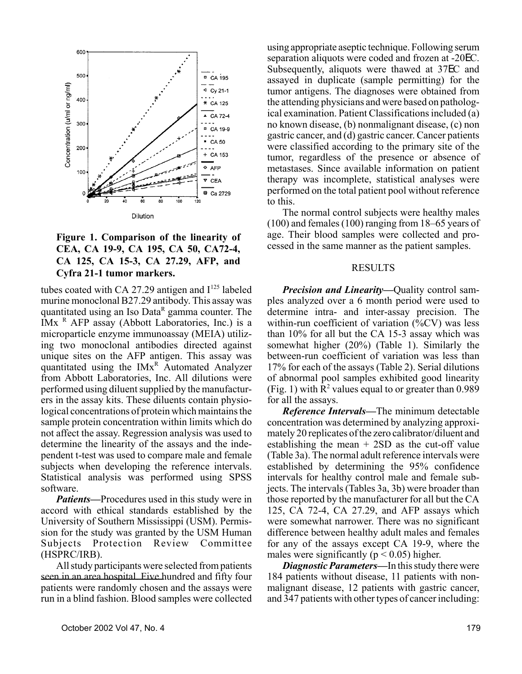

# **Figure 1. Comparison of the linearity of CEA, CA 19-9, CA 195, CA 50, CA72-4, CA 125, CA 15-3, CA 27.29, AFP, and Cyfra 21-1 tumor markers.**

tubes coated with CA 27.29 antigen and  $I^{125}$  labeled murine monoclonal B27.29 antibody. This assay was quantitated using an Iso Data<sup>R</sup> gamma counter. The IMx  $R$  AFP assay (Abbott Laboratories, Inc.) is a microparticle enzyme immunoassay (MEIA) utilizing two monoclonal antibodies directed against unique sites on the AFP antigen. This assay was quantitated using the IMx<sup>R</sup> Automated Analyzer from Abbott Laboratories, Inc. All dilutions were performed using diluent supplied by the manufacturers in the assay kits. These diluents contain physiological concentrations of protein which maintains the sample protein concentration within limits which do not affect the assay. Regression analysis was used to determine the linearity of the assays and the independent t-test was used to compare male and female subjects when developing the reference intervals. Statistical analysis was performed using SPSS software.

*Patients—*Procedures used in this study were in accord with ethical standards established by the University of Southern Mississippi (USM). Permission for the study was granted by the USM Human Subjects Protection Review Committee (HSPRC/IRB).

All study participants were selected from patients seen in an area hospital. Five hundred and fifty four patients were randomly chosen and the assays were run in a blind fashion. Blood samples were collected

using appropriate aseptic technique. Following serum separation aliquots were coded and frozen at -20EC. Subsequently, aliquots were thawed at 37EC and assayed in duplicate (sample permitting) for the tumor antigens. The diagnoses were obtained from the attending physicians and were based on pathological examination. Patient Classifications included (a) no known disease, (b) nonmalignant disease, (c) non gastric cancer, and (d) gastric cancer. Cancer patients were classified according to the primary site of the tumor, regardless of the presence or absence of metastases. Since available information on patient therapy was incomplete, statistical analyses were performed on the total patient pool without reference to this.

The normal control subjects were healthy males (100) and females (100) ranging from 18–65 years of age. Their blood samples were collected and processed in the same manner as the patient samples.

#### RESULTS

*Precision and Linearity—*Quality control samples analyzed over a 6 month period were used to determine intra- and inter-assay precision. The within-run coefficient of variation  $(\sqrt[6]{6}CV)$  was less than 10% for all but the CA 15-3 assay which was somewhat higher (20%) (Table 1). Similarly the between-run coefficient of variation was less than 17% for each of the assays (Table 2). Serial dilutions of abnormal pool samples exhibited good linearity (Fig. 1) with  $\mathbb{R}^2$  values equal to or greater than 0.989 for all the assays.

*Reference Intervals—*The minimum detectable concentration was determined by analyzing approximately 20 replicates of the zero calibrator/diluent and establishing the mean  $+$  2SD as the cut-off value (Table 3a). The normal adult reference intervals were established by determining the 95% confidence intervals for healthy control male and female subjects. The intervals (Tables 3a, 3b) were broader than those reported by the manufacturer for all but the CA 125, CA 72-4, CA 27.29, and AFP assays which were somewhat narrower. There was no significant difference between healthy adult males and females for any of the assays except CA 19-9, where the males were significantly ( $p < 0.05$ ) higher.

*Diagnostic Parameters—*In this study there were 184 patients without disease, 11 patients with nonmalignant disease, 12 patients with gastric cancer, and 347 patients with other types of cancer including: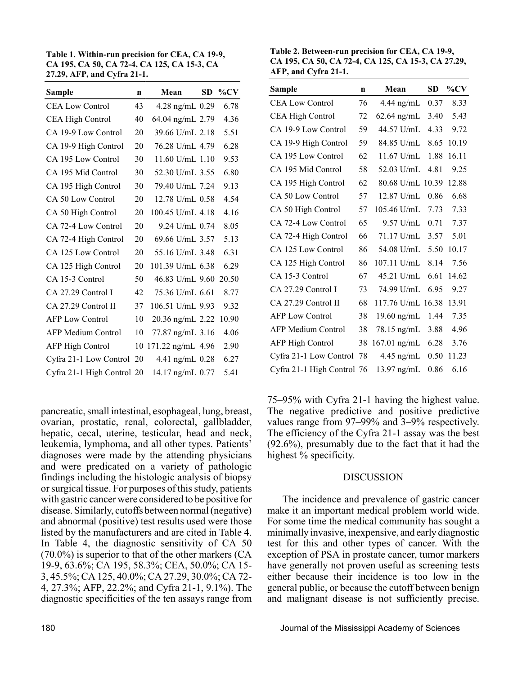**Table 1. Within-run precision for CEA, CA 19-9, CA 195, CA 50, CA 72-4, CA 125, CA 15-3, CA 27.29, AFP, and Cyfra 21-1.**

| Sample                     | $\mathbf n$ | Mean              | SD. | $\%CV$ |
|----------------------------|-------------|-------------------|-----|--------|
| <b>CEA Low Control</b>     | 43          | 4.28 ng/mL $0.29$ |     | 6.78   |
| <b>CEA High Control</b>    | 40          | 64.04 ng/mL 2.79  |     | 4.36   |
| CA 19-9 Low Control        | 20          | 39.66 U/mL 2.18   |     | 5.51   |
| CA 19-9 High Control       | 20          | 76.28 U/mL 4.79   |     | 6.28   |
| CA 195 Low Control         | 30          | 11.60 U/mL 1.10   |     | 9.53   |
| CA 195 Mid Control         | 30          | 52.30 U/mL 3.55   |     | 6.80   |
| CA 195 High Control        | 30          | 79.40 U/mL 7.24   |     | 9.13   |
| CA 50 Low Control          | 20          | 12.78 U/mL 0.58   |     | 4.54   |
| CA 50 High Control         | 20          | 100.45 U/mL 4.18  |     | 4.16   |
| CA 72-4 Low Control        | 20          | 9.24 U/mL 0.74    |     | 8.05   |
| CA 72-4 High Control       | 20          | 69.66 U/mL 3.57   |     | 5.13   |
| CA 125 Low Control         | 20          | 55.16 U/mL 3.48   |     | 6.31   |
| CA 125 High Control        | 20          | 101.39 U/mL 6.38  |     | 6.29   |
| CA 15-3 Control            | 50          | 46.83 U/mL 9.60   |     | 20.50  |
| CA 27.29 Control I         | 42          | 75.36 U/mL 6.61   |     | 8.77   |
| CA 27.29 Control II        | 37          | 106.51 U/mL 9.93  |     | 9.32   |
| <b>AFP Low Control</b>     | 10          | 20.36 ng/mL 2.22  |     | 10.90  |
| <b>AFP Medium Control</b>  | 10          | 77.87 ng/mL 3.16  |     | 4.06   |
| <b>AFP High Control</b>    | 10          | 171.22 ng/mL 4.96 |     | 2.90   |
| Cyfra 21-1 Low Control 20  |             | 4.41 ng/mL 0.28   |     | 6.27   |
| Cyfra 21-1 High Control 20 |             | 14.17 ng/mL 0.77  |     | 5.41   |

pancreatic, small intestinal, esophageal, lung, breast, ovarian, prostatic, renal, colorectal, gallbladder, hepatic, cecal, uterine, testicular, head and neck, leukemia, lymphoma, and all other types. Patients' diagnoses were made by the attending physicians and were predicated on a variety of pathologic findings including the histologic analysis of biopsy or surgical tissue. For purposes of this study, patients with gastric cancer were considered to be positive for disease. Similarly, cutoffs between normal (negative) and abnormal (positive) test results used were those listed by the manufacturers and are cited in Table 4. In Table 4, the diagnostic sensitivity of CA 50 (70.0%) is superior to that of the other markers (CA 19-9, 63.6%; CA 195, 58.3%; CEA, 50.0%; CA 15- 3, 45.5%; CA 125, 40.0%; CA 27.29, 30.0%; CA 72- 4, 27.3%; AFP, 22.2%; and Cyfra 21-1, 9.1%). The diagnostic specificities of the ten assays range from

**Table 2. Between-run precision for CEA, CA 19-9, CA 195, CA 50, CA 72-4, CA 125, CA 15-3, CA 27.29, AFP, and Cyfra 21-1.**

| <b>Sample</b>              | $\mathbf n$ | Mean              | <b>SD</b> | $\%CV$ |
|----------------------------|-------------|-------------------|-----------|--------|
| <b>CEA Low Control</b>     | 76          | $4.44$ ng/mL      | 0.37      | 8.33   |
| <b>CEA High Control</b>    | 72          | $62.64$ ng/mL     | 3.40      | 5.43   |
| CA 19-9 Low Control        | 59          | 44.57 U/mL        | 4.33      | 9.72   |
| CA 19-9 High Control       | 59          | 84.85 U/mL        | 8.65      | 10.19  |
| CA 195 Low Control         | 62          | $11.67$ U/mL      | 1.88      | 16.11  |
| CA 195 Mid Control         | 58          | 52.03 U/mL        | 4.81      | 9.25   |
| CA 195 High Control        | 62          | 80.68 U/mL 10.39  |           | 12.88  |
| CA 50 Low Control          | 57          | 12.87 U/mL        | 0.86      | 6.68   |
| CA 50 High Control         | 57          | $105.46$ U/mL     | 7.73      | 7.33   |
| CA 72-4 Low Control        | 65          | $9.57$ U/mL       | 0.71      | 7.37   |
| CA 72-4 High Control       | 66          | 71.17 U/mL        | 3.57      | 5.01   |
| CA 125 Low Control         | 86          | 54.08 U/mL        | 5.50      | 10.17  |
| CA 125 High Control        | 86          | 107.11 U/mL       | 8.14      | 7.56   |
| CA 15-3 Control            | 67          | 45.21 U/mL        | 6.61      | 14.62  |
| CA 27.29 Control I         | 73          | 74.99 U/mL        | 6.95      | 9.27   |
| CA 27.29 Control II        | 68          | 117.76 U/mL 16.38 |           | 13.91  |
| <b>AFP Low Control</b>     | 38          | $19.60$ ng/mL     | 1.44      | 7.35   |
| <b>AFP Medium Control</b>  | 38          | 78.15 ng/mL       | 3.88      | 4.96   |
| <b>AFP High Control</b>    | 38          | $167.01$ ng/mL    | 6.28      | 3.76   |
| Cyfra 21-1 Low Control 78  |             | $4.45$ ng/mL      | 0.50      | 11.23  |
| Cyfra 21-1 High Control 76 |             | $13.97$ ng/mL     | 0.86      | 6.16   |

75–95% with Cyfra 21-1 having the highest value. The negative predictive and positive predictive values range from 97–99% and 3–9% respectively. The efficiency of the Cyfra 21-1 assay was the best (92.6%), presumably due to the fact that it had the highest % specificity.

#### DISCUSSION

The incidence and prevalence of gastric cancer make it an important medical problem world wide. For some time the medical community has sought a minimally invasive, inexpensive, and early diagnostic test for this and other types of cancer. With the exception of PSA in prostate cancer, tumor markers have generally not proven useful as screening tests either because their incidence is too low in the general public, or because the cutoff between benign and malignant disease is not sufficiently precise.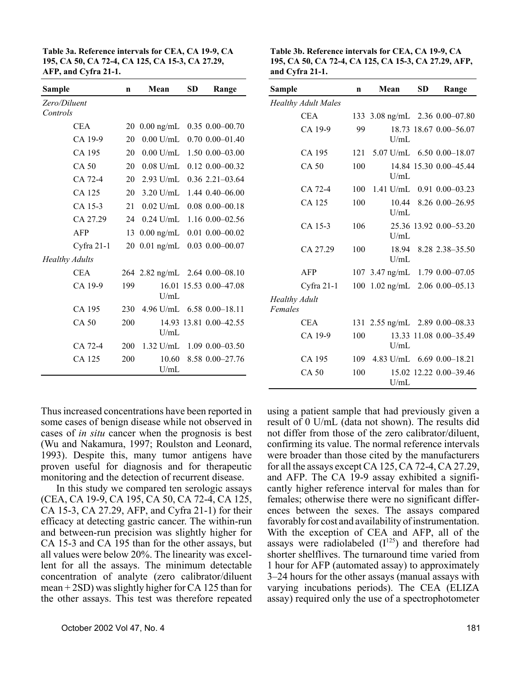**Table 3a. Reference intervals for CEA, CA 19-9, CA 195, CA 50, CA 72-4, CA 125, CA 15-3, CA 27.29, AFP, and Cyfra 21-1.**

| Sample                   |              | $\mathbf n$ | Mean                           | SD | Range                        |
|--------------------------|--------------|-------------|--------------------------------|----|------------------------------|
| Zero/Diluent<br>Controls |              |             |                                |    |                              |
|                          | <b>CEA</b>   | 20          | $0.00$ ng/mL                   |    | $0.35$ $0.00 - 00.70$        |
|                          | CA 19-9      | 20          | $0.00$ U/mL                    |    | $0.70$ $0.00 - 01.40$        |
|                          | CA 195       | 20          | $0.00$ U/mL                    |    | 1.50 0.00 - 03.00            |
|                          | CA 50        | 20          | $0.08$ U/mL                    |    | $0.12$ $0.00 - 00.32$        |
|                          | CA 72-4      | 20          | $2.93$ U/mL                    |    | $0.36$ 2.21-03.64            |
|                          | CA 125       | 20          | $3.20$ U/mL                    |    | $1.44 \text{ } 0.40 - 06.00$ |
|                          | CA 15-3      | 21          | $0.02$ U/mL                    |    | $0.08$ $0.00 - 00.18$        |
|                          | CA 27.29     | 24          |                                |    | $0.24$ U/mL 1.16 0.00-02.56  |
|                          | AFP          | 13          | $0.00 \text{ ng/mL}$           |    | $0.01$ $0.00 - 00.02$        |
|                          | Cyfra $21-1$ | 20          | $0.01$ ng/mL                   |    | $0.03$ $0.00 - 00.07$        |
| <b>Healthy Adults</b>    |              |             |                                |    |                              |
|                          | <b>CEA</b>   |             | 264 2.82 ng/mL 2.64 0.00-08.10 |    |                              |
|                          | CA 19-9      | 199         | U/mL                           |    | 16.01 15.53 0.00-47.08       |
|                          | CA 195       | 230         | $4.96$ U/mL                    |    | $6.58$ 0.00-18.11            |
|                          | CA 50        | 200         | U/mL                           |    | 14.93 13.81 0.00 - 42.55     |
|                          | CA 72-4      | 200         |                                |    | 1.32 U/mL 1.09 0.00-03.50    |
|                          | CA 125       | 200         | 10.60<br>U/mL                  |    | 8.58 0.00 - 27.76            |

**Table 3b. Reference intervals for CEA, CA 19-9, CA 195, CA 50, CA 72-4, CA 125, CA 15-3, CA 27.29, AFP, and Cyfra 21-1.**

| Sample                     | $\mathbf n$ | Mean                           | <b>SD</b> | Range                             |
|----------------------------|-------------|--------------------------------|-----------|-----------------------------------|
| <b>Healthy Adult Males</b> |             |                                |           |                                   |
| <b>CEA</b>                 |             | 133 3.08 ng/mL 2.36 0.00-07.80 |           |                                   |
| CA 19-9                    | 99          | U/mL                           |           | 18.73 18.67 0.00 - 56.07          |
| CA 195                     | 121         |                                |           | 5.07 U/mL 6.50 0.00-18.07         |
| CA 50                      | 100         | U/mL                           |           | 14.84 15.30 0.00 - 45.44          |
| CA 72-4                    | 100         |                                |           | $1.41$ U/mL $0.91$ $0.00 - 03.23$ |
| CA 125                     | 100         | 10.44<br>U/mL                  |           | 8.26 0.00 - 26.95                 |
| CA 15-3                    | 106         | U/mL                           |           | 25.36 13.92 0.00 - 53.20          |
| CA 27.29                   | 100         | 18.94<br>U/mL                  |           | 8.28 2.38 - 35.50                 |
| AFP                        |             | 107 $3.47$ ng/mL               |           | 1.79 0.00 - 07.05                 |
| Cyfra $21-1$               | 100         | $1.02$ ng/mL                   |           | 2.06 0.00 - 05.13                 |
| Healthy Adult<br>Females   |             |                                |           |                                   |
| <b>CEA</b>                 | 131         | $2.55$ ng/mL $2.89$ 0.00-08.33 |           |                                   |
| CA 19-9                    | 100         | U/mL                           |           | 13.33 11.08 0.00-35.49            |
| CA 195                     | 109         |                                |           | 4.83 U/mL 6.69 0.00-18.21         |
| CA <sub>50</sub>           | 100         | U/mL                           |           | 15.02 12.22 0.00-39.46            |

Thus increased concentrations have been reported in some cases of benign disease while not observed in cases of *in situ* cancer when the prognosis is best (Wu and Nakamura, 1997; Roulston and Leonard, 1993). Despite this, many tumor antigens have proven useful for diagnosis and for therapeutic monitoring and the detection of recurrent disease.

In this study we compared ten serologic assays (CEA, CA 19-9, CA 195, CA 50, CA 72-4, CA 125, CA 15-3, CA 27.29, AFP, and Cyfra 21-1) for their efficacy at detecting gastric cancer. The within-run and between-run precision was slightly higher for CA 15-3 and CA 195 than for the other assays, but all values were below 20%. The linearity was excellent for all the assays. The minimum detectable concentration of analyte (zero calibrator/diluent mean + 2SD) was slightly higher for CA 125 than for the other assays. This test was therefore repeated

result of 0 U/mL (data not shown). The results did not differ from those of the zero calibrator/diluent, confirming its value. The normal reference intervals were broader than those cited by the manufacturers for all the assays except CA 125, CA 72-4, CA 27.29, and AFP. The CA 19-9 assay exhibited a significantly higher reference interval for males than for females; otherwise there were no significant differences between the sexes. The assays compared favorably for cost and availability of instrumentation. With the exception of CEA and AFP, all of the assays were radiolabeled  $(I^{125})$  and therefore had shorter shelflives. The turnaround time varied from 1 hour for AFP (automated assay) to approximately 3–24 hours for the other assays (manual assays with varying incubations periods). The CEA (ELIZA assay) required only the use of a spectrophotometer

using a patient sample that had previously given a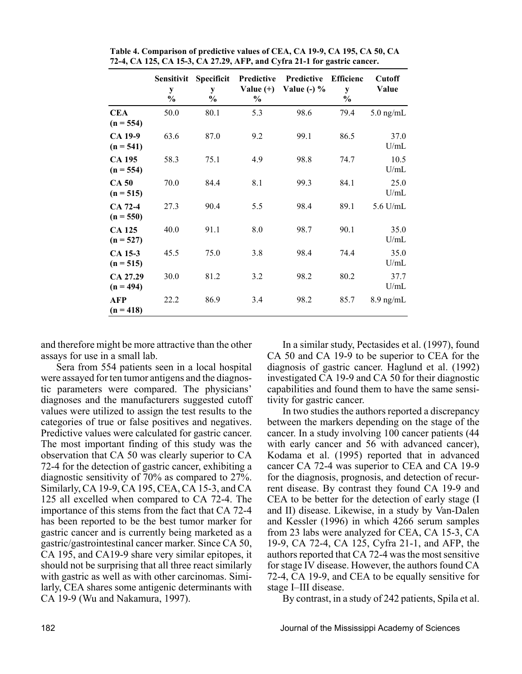|                              | Sensitivit<br>y<br>$\frac{0}{0}$ | Specificit<br>y<br>$\frac{0}{0}$ | Predictive<br>Value $(+)$<br>$\frac{0}{0}$ | Predictive<br>Value $(-)$ % | <b>Efficienc</b><br>V<br>$\frac{0}{0}$ | <b>Cutoff</b><br>Value |
|------------------------------|----------------------------------|----------------------------------|--------------------------------------------|-----------------------------|----------------------------------------|------------------------|
| <b>CEA</b><br>$(n = 554)$    | 50.0                             | 80.1                             | 5.3                                        | 98.6                        | 79.4                                   | $5.0$ ng/mL            |
| CA 19-9<br>$(n = 541)$       | 63.6                             | 87.0                             | 9.2                                        | 99.1                        | 86.5                                   | 37.0<br>U/mL           |
| <b>CA 195</b><br>$(n = 554)$ | 58.3                             | 75.1                             | 4.9                                        | 98.8                        | 74.7                                   | 10.5<br>U/mL           |
| CA 50<br>$(n = 515)$         | 70.0                             | 84.4                             | 8.1                                        | 99.3                        | 84.1                                   | 25.0<br>U/mL           |
| CA 72-4<br>$(n = 550)$       | 27.3                             | 90.4                             | 5.5                                        | 98.4                        | 89.1                                   | 5.6 U/mL               |
| <b>CA 125</b><br>$(n = 527)$ | 40.0                             | 91.1                             | 8.0                                        | 98.7                        | 90.1                                   | 35.0<br>U/mL           |
| CA 15-3<br>$(n = 515)$       | 45.5                             | 75.0                             | 3.8                                        | 98.4                        | 74.4                                   | 35.0<br>U/mL           |
| CA 27.29<br>$(n = 494)$      | 30.0                             | 81.2                             | 3.2                                        | 98.2                        | 80.2                                   | 37.7<br>U/mL           |
| AFP<br>$(n = 418)$           | 22.2                             | 86.9                             | 3.4                                        | 98.2                        | 85.7                                   | $8.9$ ng/mL            |

**Table 4. Comparison of predictive values of CEA, CA 19-9, CA 195, CA 50, CA 72-4, CA 125, CA 15-3, CA 27.29, AFP, and Cyfra 21-1 for gastric cancer.**

and therefore might be more attractive than the other assays for use in a small lab.

Sera from 554 patients seen in a local hospital were assayed for ten tumor antigens and the diagnostic parameters were compared. The physicians' diagnoses and the manufacturers suggested cutoff values were utilized to assign the test results to the categories of true or false positives and negatives. Predictive values were calculated for gastric cancer. The most important finding of this study was the observation that CA 50 was clearly superior to CA 72-4 for the detection of gastric cancer, exhibiting a diagnostic sensitivity of 70% as compared to 27%. Similarly, CA 19-9, CA 195, CEA, CA 15-3, and CA 125 all excelled when compared to CA 72-4. The importance of this stems from the fact that CA 72-4 has been reported to be the best tumor marker for gastric cancer and is currently being marketed as a gastric/gastrointestinal cancer marker. Since CA 50, CA 195, and CA19-9 share very similar epitopes, it should not be surprising that all three react similarly with gastric as well as with other carcinomas. Similarly, CEA shares some antigenic determinants with CA 19-9 (Wu and Nakamura, 1997).

In a similar study, Pectasides et al. (1997), found CA 50 and CA 19-9 to be superior to CEA for the diagnosis of gastric cancer. Haglund et al. (1992) investigated CA 19-9 and CA 50 for their diagnostic capabilities and found them to have the same sensitivity for gastric cancer.

In two studies the authors reported a discrepancy between the markers depending on the stage of the cancer. In a study involving 100 cancer patients (44 with early cancer and 56 with advanced cancer), Kodama et al. (1995) reported that in advanced cancer CA 72-4 was superior to CEA and CA 19-9 for the diagnosis, prognosis, and detection of recurrent disease. By contrast they found CA 19-9 and CEA to be better for the detection of early stage (I and II) disease. Likewise, in a study by Van-Dalen and Kessler (1996) in which 4266 serum samples from 23 labs were analyzed for CEA, CA 15-3, CA 19-9, CA 72-4, CA 125, Cyfra 21-1, and AFP, the authors reported that CA 72-4 was the most sensitive for stage IV disease. However, the authors found CA 72-4, CA 19-9, and CEA to be equally sensitive for stage I–III disease.

By contrast, in a study of 242 patients, Spila et al.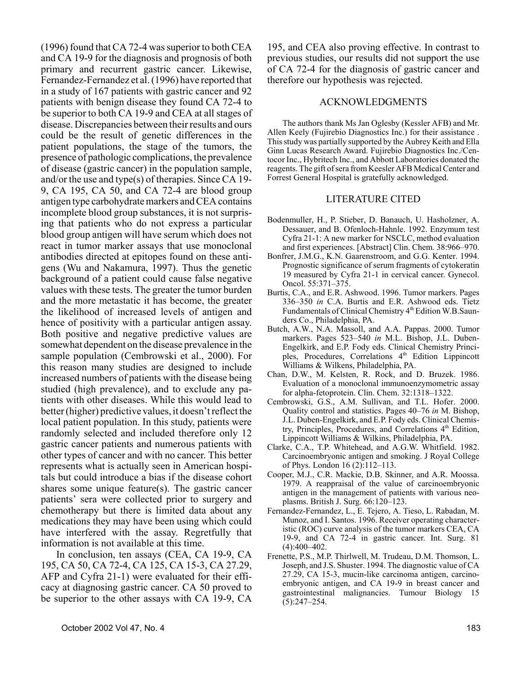(1996) found that CA 72-4 was superior to both CEA and CA 19-9 for the diagnosis and prognosis of both primary and recurrent gastric cancer. Likewise, Fernandez-Fernandez et al. (1996) have reported that in a study of 167 patients with gastric cancer and 92 patients with benign disease they found CA 72-4 to be superior to both CA 19-9 and CEA at all stages of disease. Discrepancies between their results and ours could be the result of genetic differences in the patient populations, the stage of the tumors, the presence of pathologic complications, the prevalence of disease (gastric cancer) in the population sample, and/or the use and type(s) of therapies. Since CA 19- 9, CA 195, CA 50, and CA 72-4 are blood group antigen type carbohydrate markers and CEA contains incomplete blood group substances, it is not surprising that patients who do not express a particular blood group antigen will have serum which does not react in tumor marker assays that use monoclonal antibodies directed at epitopes found on these antigens (Wu and Nakamura, 1997). Thus the genetic background of a patient could cause false negative values with these tests. The greater the tumor burden and the more metastatic it has become, the greater the likelihood of increased levels of antigen and hence of positivity with a particular antigen assay. Both positive and negative predictive values are somewhat dependent on the disease prevalence in the sample population (Cembrowski et al., 2000). For this reason many studies are designed to include increased numbers of patients with the disease being studied (high prevalence), and to exclude any patients with other diseases. While this would lead to better (higher) predictive values, it doesn't reflect the local patient population. In this study, patients were randomly selected and included therefore only 12 gastric cancer patients and numerous patients with other types of cancer and with no cancer. This better represents what is actually seen in American hospitals but could introduce a bias if the disease cohort shares some unique feature(s). The gastric cancer patients' sera were collected prior to surgery and chemotherapy but there is limited data about any medications they may have been using which could have interfered with the assay. Regretfully that information is not available at this time.

In conclusion, ten assays (CEA, CA 19-9, CA 195, CA 50, CA 72-4, CA 125, CA 15-3, CA 27.29, AFP and Cyfra 21-1) were evaluated for their efficacy at diagnosing gastric cancer. CA 50 proved to be superior to the other assays with CA 19-9, CA

195, and CEA also proving effective. In contrast to previous studies, our results did not support the use of CA 72-4 for the diagnosis of gastric cancer and therefore our hypothesis was rejected.

#### ACKNOWLEDGMENTS

The authors thank Ms Jan Oglesby (Kessler AFB) and Mr. Allen Keely (Fujirebio Diagnostics Inc.) for their assistance . This study was partially supported by the Aubrey Keith and Ella Ginn Lucas Research Award. Fujirebio Diagnostics Inc./Centocor Inc., Hybritech Inc., and Abbott Laboratories donated the reagents. The gift of sera from Keesler AFB Medical Center and Forrest General Hospital is gratefully acknowledged.

#### LITERATURE CITED

- Bodenmuller, H., P. Stieber, D. Banauch, U. Hasholzner, A. Dessauer, and B. Ofenloch-Hahnle. 1992. Enzymum test Cyfra 21-1: A new marker for NSCLC, method evaluation and first experiences. [Abstract] Clin. Chem. 38:966–970.
- Bonfrer, J.M.G., K.N. Gaarenstroom, and G.G. Kenter. 1994. Prognostic significance of serum fragments of cytokeratin 19 measured by Cyfra 21-1 in cervical cancer. Gynecol. Oncol. 55:371–375.
- Burtis, C.A., and E.R. Ashwood. 1996. Tumor markers. Pages 336–350 *in* C.A. Burtis and E.R. Ashwood eds. Tietz Fundamentals of Clinical Chemistry 4<sup>th</sup> Edition W.B.Saunders Co., Philadelphia, PA.
- Butch, A.W., N.A. Massoll, and A.A. Pappas. 2000. Tumor markers. Pages 523–540 *in* M.L. Bishop, J.L. Duben-Engelkirk, and E.P. Fody eds. Clinical Chemistry Principles, Procedures, Correlations 4<sup>th</sup> Edition Lippincott Williams & Wilkens, Philadelphia, PA.
- Chan, D.W., M. Kelsten, R. Rock, and D. Bruzek. 1986. Evaluation of a monoclonal immunoenzymometric assay for alpha-fetoprotein. Clin. Chem. 32:1318–1322.
- Cembrowski, G.S., A.M. Sullivan, and T.L. Hofer. 2000. Quality control and statistics. Pages 40–76 *in* M. Bishop, J.L. Duben-Engelkirk, and E.P. Fody eds. Clinical Chemistry, Principles, Procedures, and Correlations  $4<sup>th</sup>$  Edition, Lippincott Williams & Wilkins, Philadelphia, PA.
- Clarke, C.A., T.P. Whitehead, and A.G.W. Whitfield. 1982. Carcinoembryonic antigen and smoking. J Royal College of Phys. London 16 (2):112–113.
- Cooper, M.J., C.R. Mackie, D.B. Skinner, and A.R. Moossa. 1979. A reappraisal of the value of carcinoembryonic antigen in the management of patients with various neoplasms. British J. Surg. 66:120–123.
- Fernandez-Fernandez, L., E. Tejero, A. Tieso, L. Rabadan, M. Munoz, and I. Santos. 1996. Receiver operating characteristic (ROC) curve analysis of the tumor markers CEA, CA 19-9, and CA 72-4 in gastric cancer. Int. Surg. 81 (4):400–402.
- Frenette, P.S., M.P. Thirlwell, M. Trudeau, D.M. Thomson, L. Joseph, and J.S. Shuster. 1994. The diagnostic value of CA 27.29, CA 15-3, mucin-like carcinoma antigen, carcinoembryonic antigen, and CA 19-9 in breast cancer and gastrointestinal malignancies. Tumour Biology 15 (5):247–254.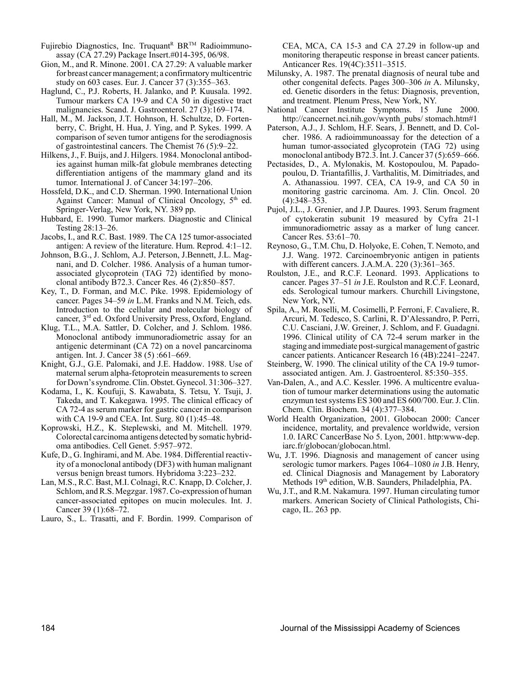- Fujirebio Diagnostics, Inc. Truquant<sup>R</sup> BR<sup>TM</sup> Radioimmunoassay (CA 27.29) Package Insert.#014-395, 06/98.
- Gion, M., and R. Minone. 2001. CA 27.29: A valuable marker for breast cancer management; a confirmatory multicentric study on 603 cases. Eur. J. Cancer 37 (3):355–363.
- Haglund, C., P.J. Roberts, H. Jalanko, and P. Kuusala. 1992. Tumour markers CA 19-9 and CA 50 in digestive tract malignancies. Scand. J. Gastroenterol. 27 (3):169–174.
- Hall, M., M. Jackson, J.T. Hohnson, H. Schultze, D. Fortenberry, C. Bright, H. Hua, J. Ying, and P. Sykes. 1999. A comparison of seven tumor antigens for the serodiagnosis of gastrointestinal cancers. The Chemist 76 (5):9–22.
- Hilkens, J., F. Buijs, and J. Hilgers. 1984. Monoclonal antibodies against human milk-fat globule membranes detecting differentiation antigens of the mammary gland and its tumor. International J. of Cancer 34:197–206.
- Hossfeld, D.K., and C.D. Sherman. 1990. International Union Against Cancer: Manual of Clinical Oncology, 5<sup>th</sup> ed. Springer-Verlag, New York, NY. 389 pp.
- Hubbard, E. 1990. Tumor markers. Diagnostic and Clinical Testing 28:13–26.
- Jacobs, I., and R.C. Bast. 1989. The CA 125 tumor-associated antigen: A review of the literature. Hum. Reprod. 4:1–12.
- Johnson, B.G., J. Schlom, A.J. Peterson, J.Bennett, J.L. Magnani, and D. Colcher. 1986. Analysis of a human tumorassociated glycoprotein (TAG 72) identified by monoclonal antibody B72.3. Cancer Res. 46 (2):850–857.
- Key, T., D. Forman, and M.C. Pike. 1998. Epidemiology of cancer. Pages 34–59 *in* L.M. Franks and N.M. Teich, eds. Introduction to the cellular and molecular biology of cancer, 3rd ed. Oxford University Press, Oxford, England.
- Klug, T.L., M.A. Sattler, D. Colcher, and J. Schlom. 1986. Monoclonal antibody immunoradiometric assay for an antigenic determinant (CA 72) on a novel pancarcinoma antigen. Int. J. Cancer 38 (5) :661–669.
- Knight, G.J., G.E. Palomaki, and J.E. Haddow. 1988. Use of maternal serum alpha-fetoprotein measurements to screen for Down's syndrome. Clin. Obstet. Gynecol. 31:306–327.
- Kodama, I., K. Koufuji, S. Kawabata, S. Tetsu, Y. Tsuji, J. Takeda, and T. Kakegawa. 1995. The clinical efficacy of CA 72-4 as serum marker for gastric cancer in comparison with CA 19-9 and CEA. Int. Surg. 80 (1):45–48.
- Koprowski, H.Z., K. Steplewski, and M. Mitchell. 1979. Colorectal carcinoma antigens detected by somatic hybridoma antibodies. Cell Genet. 5:957–972.
- Kufe, D., G. Inghirami, and M. Abe. 1984. Differential reactivity of a monoclonal antibody (DF3) with human malignant versus benign breast tumors. Hybridoma 3:223–232.
- Lan, M.S., R.C. Bast, M.I. Colnagi, R.C. Knapp, D. Colcher, J. Schlom, and R.S. Megzgar. 1987. Co-expression of human cancer-associated epitopes on mucin molecules. Int. J. Cancer 39 (1):68–72.

Lauro, S., L. Trasatti, and F. Bordin. 1999. Comparison of

CEA, MCA, CA 15-3 and CA 27.29 in follow-up and monitoring therapeutic response in breast cancer patients. Anticancer Res. 19(4C):3511–3515.

- Milunsky, A. 1987. The prenatal diagnosis of neural tube and other congenital defects. Pages 300–306 *in* A. Milunsky, ed. Genetic disorders in the fetus: Diagnosis, prevention, and treatment. Plenum Press, New York, NY.
- National Cancer Institute Symptoms. 15 June 2000. http://cancernet.nci.nih.gov/wynth\_pubs/ stomach.htm#1
- Paterson, A.J., J. Schlom, H.F. Sears, J. Bennett, and D. Colcher. 1986. A radioimmunoassay for the detection of a human tumor-associated glycoprotein (TAG 72) using monoclonal antibody B72.3. Int. J. Cancer 37 (5):659–666.
- Pectasides, D., A. Mylonakis, M. Kostopoulou, M. Papadopoulou, D. Triantafillis, J. Varthalitis, M. Dimitriades, and A. Athanassiou. 1997. CEA, CA 19-9, and CA 50 in monitoring gastric carcinoma. Am. J. Clin. Oncol. 20 (4):348–353.
- Pujol, J.L., J. Grenier, and J.P. Daures. 1993. Serum fragment of cytokeratin subunit 19 measured by Cyfra 21-1 immunoradiometric assay as a marker of lung cancer. Cancer Res. 53:61–70.
- Reynoso, G., T.M. Chu, D. Holyoke, E. Cohen, T. Nemoto, and J.J. Wang. 1972. Carcinoembryonic antigen in patients with different cancers. J.A.M.A. 220 (3):361–365.
- Roulston, J.E., and R.C.F. Leonard. 1993. Applications to cancer. Pages 37–51 *in* J.E. Roulston and R.C.F. Leonard, eds. Serological tumour markers. Churchill Livingstone, New York, NY.
- Spila, A., M. Roselli, M. Cosimelli, P. Ferroni, F. Cavaliere, R. Arcuri, M. Tedesco, S. Carlini, R. D'Alessandro, P. Perri, C.U. Casciani, J.W. Greiner, J. Schlom, and F. Guadagni. 1996. Clinical utility of CA 72-4 serum marker in the staging and immediate post-surgical management of gastric cancer patients. Anticancer Research 16 (4B):2241–2247.
- Steinberg, W. 1990. The clinical utility of the CA 19-9 tumorassociated antigen. Am. J. Gastroenterol. 85:350–355.
- Van-Dalen, A., and A.C. Kessler. 1996. A multicentre evaluation of tumour marker determinations using the automatic enzymun test systems ES 300 and ES 600/700. Eur. J. Clin. Chem. Clin. Biochem. 34 (4):377–384.
- World Health Organization, 2001. Globocan 2000: Cancer incidence, mortality, and prevalence worldwide, version 1.0. IARC CancerBase No 5. Lyon, 2001. http:www-dep. iarc.fr/globocan/globocan.html.
- Wu, J.T. 1996. Diagnosis and management of cancer using serologic tumor markers. Pages 1064–1080 *in* J.B. Henry, ed. Clinical Diagnosis and Management by Laboratory Methods 19<sup>th</sup> edition, W.B. Saunders, Philadelphia, PA.
- Wu, J.T., and R.M. Nakamura. 1997. Human circulating tumor markers. American Society of Clinical Pathologists, Chicago, IL. 263 pp.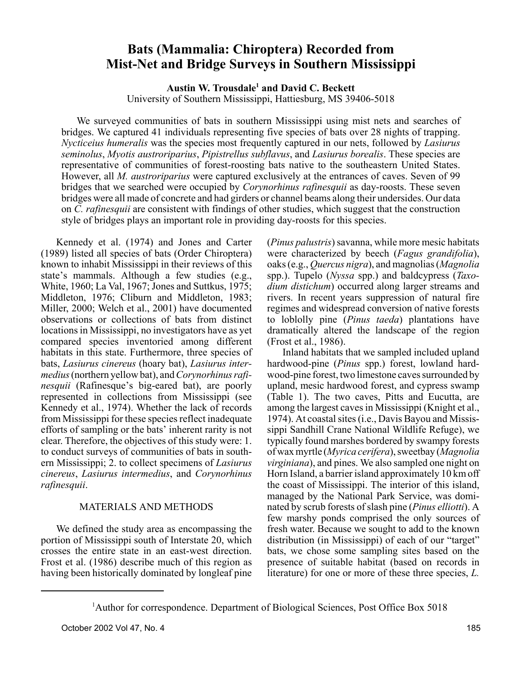# **Bats (Mammalia: Chiroptera) Recorded from Mist-Net and Bridge Surveys in Southern Mississippi**

**Austin W. Trousdale1 and David C. Beckett** University of Southern Mississippi, Hattiesburg, MS 39406-5018

We surveyed communities of bats in southern Mississippi using mist nets and searches of bridges. We captured 41 individuals representing five species of bats over 28 nights of trapping. *Nycticeius humeralis* was the species most frequently captured in our nets, followed by *Lasiurus seminolus*, *Myotis austroriparius*, *Pipistrellus subflavus*, and *Lasiurus borealis*. These species are representative of communities of forest-roosting bats native to the southeastern United States. However, all *M. austroriparius* were captured exclusively at the entrances of caves. Seven of 99 bridges that we searched were occupied by *Corynorhinus rafinesquii* as day-roosts. These seven bridges were all made of concrete and had girders or channel beams along their undersides. Our data on *C. rafinesquii* are consistent with findings of other studies, which suggest that the construction style of bridges plays an important role in providing day-roosts for this species.

Kennedy et al. (1974) and Jones and Carter (1989) listed all species of bats (Order Chiroptera) known to inhabit Mississippi in their reviews of this state's mammals. Although a few studies (e.g., White, 1960; La Val, 1967; Jones and Suttkus, 1975; Middleton, 1976; Cliburn and Middleton, 1983; Miller, 2000; Welch et al., 2001) have documented observations or collections of bats from distinct locations in Mississippi, no investigators have as yet compared species inventoried among different habitats in this state. Furthermore, three species of bats, *Lasiurus cinereus* (hoary bat), *Lasiurus intermedius* (northern yellow bat), and *Corynorhinus rafinesquii* (Rafinesque's big-eared bat), are poorly represented in collections from Mississippi (see Kennedy et al., 1974). Whether the lack of records from Mississippi for these species reflect inadequate efforts of sampling or the bats' inherent rarity is not clear. Therefore, the objectives of this study were: 1. to conduct surveys of communities of bats in southern Mississippi; 2. to collect specimens of *Lasiurus cinereus*, *Lasiurus intermedius*, and *Corynorhinus rafinesquii*.

# MATERIALS AND METHODS

We defined the study area as encompassing the portion of Mississippi south of Interstate 20, which crosses the entire state in an east-west direction. Frost et al. (1986) describe much of this region as having been historically dominated by longleaf pine (*Pinus palustris*) savanna, while more mesic habitats were characterized by beech (*Fagus grandifolia*), oaks (e.g., *Quercus nigra*), and magnolias (*Magnolia* spp.). Tupelo (*Nyssa* spp.) and baldcypress (*Taxodium distichum*) occurred along larger streams and rivers. In recent years suppression of natural fire regimes and widespread conversion of native forests to loblolly pine (*Pinus taeda*) plantations have dramatically altered the landscape of the region (Frost et al., 1986).

Inland habitats that we sampled included upland hardwood-pine (*Pinus* spp.) forest, lowland hardwood-pine forest, two limestone caves surrounded by upland, mesic hardwood forest, and cypress swamp (Table 1). The two caves, Pitts and Eucutta, are among the largest caves in Mississippi (Knight et al., 1974). At coastal sites (i.e., Davis Bayou and Mississippi Sandhill Crane National Wildlife Refuge), we typically found marshes bordered by swampy forests of wax myrtle (*Myrica cerifera*), sweetbay (*Magnolia virginiana*), and pines. We also sampled one night on Horn Island, a barrier island approximately 10 km off the coast of Mississippi. The interior of this island, managed by the National Park Service, was dominated by scrub forests of slash pine (*Pinus elliotti*). A few marshy ponds comprised the only sources of fresh water. Because we sought to add to the known distribution (in Mississippi) of each of our "target" bats, we chose some sampling sites based on the presence of suitable habitat (based on records in literature) for one or more of these three species, *L.*

<sup>&</sup>lt;sup>1</sup>Author for correspondence. Department of Biological Sciences, Post Office Box 5018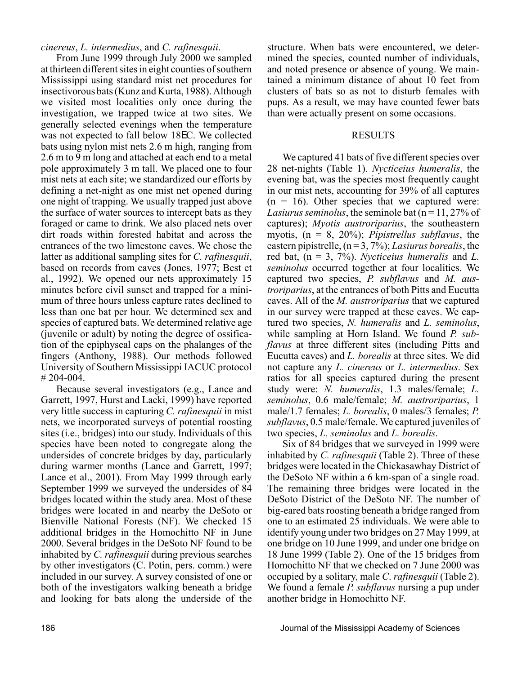# *cinereus*, *L. intermedius*, and *C. rafinesquii*.

From June 1999 through July 2000 we sampled at thirteen different sites in eight counties of southern Mississippi using standard mist net procedures for insectivorous bats (Kunz and Kurta, 1988). Although we visited most localities only once during the investigation, we trapped twice at two sites. We generally selected evenings when the temperature was not expected to fall below 18EC. We collected bats using nylon mist nets 2.6 m high, ranging from 2.6 m to 9 m long and attached at each end to a metal pole approximately 3 m tall. We placed one to four mist nets at each site; we standardized our efforts by defining a net-night as one mist net opened during one night of trapping. We usually trapped just above the surface of water sources to intercept bats as they foraged or came to drink. We also placed nets over dirt roads within forested habitat and across the entrances of the two limestone caves. We chose the latter as additional sampling sites for *C. rafinesquii*, based on records from caves (Jones, 1977; Best et al., 1992). We opened our nets approximately 15 minutes before civil sunset and trapped for a minimum of three hours unless capture rates declined to less than one bat per hour. We determined sex and species of captured bats. We determined relative age (juvenile or adult) by noting the degree of ossification of the epiphyseal caps on the phalanges of the fingers (Anthony, 1988). Our methods followed University of Southern Mississippi IACUC protocol  $# 204 - 004.$ 

Because several investigators (e.g., Lance and Garrett, 1997, Hurst and Lacki, 1999) have reported very little success in capturing *C. rafinesquii* in mist nets, we incorporated surveys of potential roosting sites (i.e., bridges) into our study. Individuals of this species have been noted to congregate along the undersides of concrete bridges by day, particularly during warmer months (Lance and Garrett, 1997; Lance et al., 2001). From May 1999 through early September 1999 we surveyed the undersides of 84 bridges located within the study area. Most of these bridges were located in and nearby the DeSoto or Bienville National Forests (NF). We checked 15 additional bridges in the Homochitto NF in June 2000. Several bridges in the DeSoto NF found to be inhabited by *C. rafinesquii* during previous searches by other investigators (C. Potin, pers. comm.) were included in our survey. A survey consisted of one or both of the investigators walking beneath a bridge and looking for bats along the underside of the

structure. When bats were encountered, we determined the species, counted number of individuals, and noted presence or absence of young. We maintained a minimum distance of about 10 feet from clusters of bats so as not to disturb females with pups. As a result, we may have counted fewer bats than were actually present on some occasions.

#### **RESULTS**

We captured 41 bats of five different species over 28 net-nights (Table 1). *Nycticeius humeralis*, the evening bat, was the species most frequently caught in our mist nets, accounting for 39% of all captures  $(n = 16)$ . Other species that we captured were: *Lasiurus seminolus*, the seminole bat  $(n = 11, 27\%$  of captures); *Myotis austroriparius*, the southeastern myotis, (n = 8, 20%); *Pipistrellus subflavus*, the eastern pipistrelle, (n = 3, 7%); *Lasiurus borealis*, the red bat, (n = 3, 7%). *Nycticeius humeralis* and *L. seminolus* occurred together at four localities. We captured two species, *P. subflavus* and *M. austroriparius*, at the entrances of both Pitts and Eucutta caves. All of the *M. austroriparius* that we captured in our survey were trapped at these caves. We captured two species, *N. humeralis* and *L. seminolus*, while sampling at Horn Island. We found *P. subflavus* at three different sites (including Pitts and Eucutta caves) and *L. borealis* at three sites. We did not capture any *L. cinereus* or *L. intermedius*. Sex ratios for all species captured during the present study were: *N. humeralis*, 1.3 males/female; *L. seminolus*, 0.6 male/female; *M. austroriparius*, 1 male/1.7 females; *L. borealis*, 0 males/3 females; *P. subflavus*, 0.5 male/female. We captured juveniles of two species, *L. seminolus* and *L. borealis*.

Six of 84 bridges that we surveyed in 1999 were inhabited by *C. rafinesquii* (Table 2). Three of these bridges were located in the Chickasawhay District of the DeSoto NF within a 6 km-span of a single road. The remaining three bridges were located in the DeSoto District of the DeSoto NF. The number of big-eared bats roosting beneath a bridge ranged from one to an estimated 25 individuals. We were able to identify young under two bridges on 27 May 1999, at one bridge on 10 June 1999, and under one bridge on 18 June 1999 (Table 2). One of the 15 bridges from Homochitto NF that we checked on 7 June 2000 was occupied by a solitary, male *C*. *rafinesquii* (Table 2). We found a female *P. subflavus* nursing a pup under another bridge in Homochitto NF.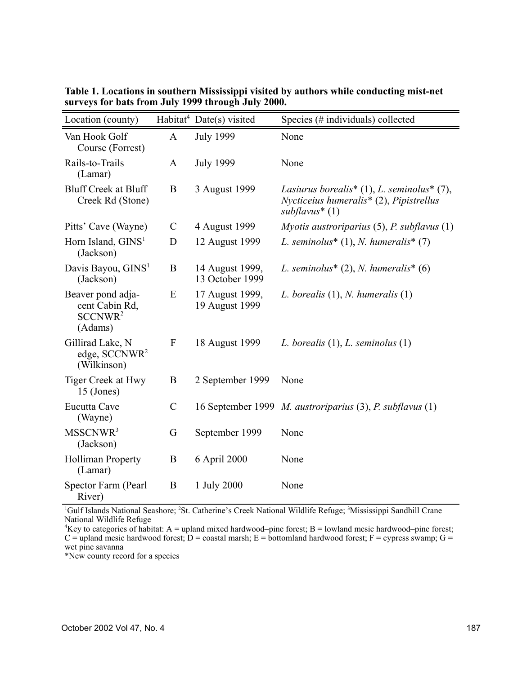| Location (county)                                                     |               | Habitat <sup>4</sup> Date(s) visited | Species (# individuals) collected                                                                                                            |
|-----------------------------------------------------------------------|---------------|--------------------------------------|----------------------------------------------------------------------------------------------------------------------------------------------|
| Van Hook Golf<br>Course (Forrest)                                     | $\mathbf{A}$  | <b>July 1999</b>                     | None                                                                                                                                         |
| Rails-to-Trails<br>(Lamar)                                            | $\mathbf{A}$  | <b>July 1999</b>                     | None                                                                                                                                         |
| <b>Bluff Creek at Bluff</b><br>Creek Rd (Stone)                       | B             | 3 August 1999                        | Lasiurus borealis <sup>*</sup> (1), L. seminolus <sup>*</sup> (7),<br>Nycticeius humeralis <sup>*</sup> (2), Pipistrellus<br>$subflavus*(1)$ |
| Pitts' Cave (Wayne)                                                   | $\mathcal{C}$ | 4 August 1999                        | Myotis austroriparius (5), P. subflavus (1)                                                                                                  |
| Horn Island, $GINS1$<br>(Jackson)                                     | D             | 12 August 1999                       | L. seminolus* $(1)$ , N. humeralis* $(7)$                                                                                                    |
| Davis Bayou, GINS <sup>1</sup><br>(Jackson)                           | B             | 14 August 1999,<br>13 October 1999   | L. seminolus* $(2)$ , N. humeralis* $(6)$                                                                                                    |
| Beaver pond adja-<br>cent Cabin Rd,<br>SCCNWR <sup>2</sup><br>(Adams) | E             | 17 August 1999,<br>19 August 1999    | L. borealis $(1)$ , N. humeralis $(1)$                                                                                                       |
| Gillirad Lake, N<br>edge, $SCCNWR2$<br>(Wilkinson)                    | F             | 18 August 1999                       | L. borealis $(1)$ , L. seminolus $(1)$                                                                                                       |
| Tiger Creek at Hwy<br>15 (Jones)                                      | B             | 2 September 1999                     | None                                                                                                                                         |
| Eucutta Cave<br>(Wayne)                                               | $\mathcal{C}$ |                                      | 16 September 1999 M. austroriparius (3), P. subflavus (1)                                                                                    |
| MSSCNWR <sup>3</sup><br>(Jackson)                                     | G             | September 1999                       | None                                                                                                                                         |
| <b>Holliman Property</b><br>(Lamar)                                   | B             | 6 April 2000                         | None                                                                                                                                         |
| Spector Farm (Pearl<br>River)                                         | B             | 1 July 2000                          | None                                                                                                                                         |

**Table 1. Locations in southern Mississippi visited by authors while conducting mist-net surveys for bats from July 1999 through July 2000.**

<sup>1</sup>Gulf Islands National Seashore; <sup>2</sup>St. Catherine's Creek National Wildlife Refuge; <sup>3</sup>Mississippi Sandhill Crane National Wildlife Refuge

<sup>4</sup>Key to categories of habitat: A = upland mixed hardwood–pine forest; B = lowland mesic hardwood–pine forest;  $C =$  upland mesic hardwood forest;  $D =$  coastal marsh;  $E =$  bottomland hardwood forest;  $F =$  cypress swamp;  $G =$ wet pine savanna

\*New county record for a species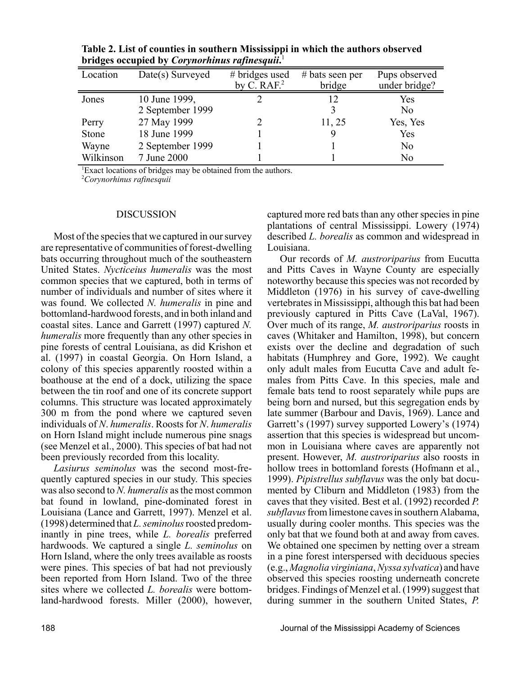| Location  | Date(s) Surveyed | $#$ bridges used | $#$ bats seen per | Pups observed  |
|-----------|------------------|------------------|-------------------|----------------|
|           |                  | by C. $RAF2$     | bridge            | under bridge?  |
| Jones     | 10 June 1999,    |                  | 12                | Yes            |
|           | 2 September 1999 |                  |                   | N <sub>0</sub> |
| Perry     | 27 May 1999      |                  | 11, 25            | Yes, Yes       |
| Stone     | 18 June 1999     |                  |                   | Yes            |
| Wayne     | 2 September 1999 |                  |                   | No             |
| Wilkinson | 7 June 2000      |                  |                   | No             |

**Table 2. List of counties in southern Mississippi in which the authors observed bridges occupied by** *Corynorhinus rafinesquii***.** 1

<sup>1</sup>Exact locations of bridges may be obtained from the authors.

2 *Corynorhinus rafinesquii*

#### DISCUSSION

Most of the species that we captured in our survey are representative of communities of forest-dwelling bats occurring throughout much of the southeastern United States. *Nycticeius humeralis* was the most common species that we captured, both in terms of number of individuals and number of sites where it was found. We collected *N. humeralis* in pine and bottomland-hardwood forests, and in both inland and coastal sites. Lance and Garrett (1997) captured *N. humeralis* more frequently than any other species in pine forests of central Louisiana, as did Krishon et al. (1997) in coastal Georgia. On Horn Island, a colony of this species apparently roosted within a boathouse at the end of a dock, utilizing the space between the tin roof and one of its concrete support columns. This structure was located approximately 300 m from the pond where we captured seven individuals of *N*. *humeralis*. Roosts for *N*. *humeralis* on Horn Island might include numerous pine snags (see Menzel et al., 2000). This species of bat had not been previously recorded from this locality.

*Lasiurus seminolus* was the second most-frequently captured species in our study. This species was also second to *N. humeralis* as the most common bat found in lowland, pine-dominated forest in Louisiana (Lance and Garrett, 1997). Menzel et al. (1998) determined that *L. seminolus* roosted predominantly in pine trees, while *L. borealis* preferred hardwoods. We captured a single *L. seminolus* on Horn Island, where the only trees available as roosts were pines. This species of bat had not previously been reported from Horn Island. Two of the three sites where we collected *L. borealis* were bottomland-hardwood forests. Miller (2000), however, captured more red bats than any other species in pine plantations of central Mississippi. Lowery (1974) described *L. borealis* as common and widespread in Louisiana.

Our records of *M. austroriparius* from Eucutta and Pitts Caves in Wayne County are especially noteworthy because this species was not recorded by Middleton (1976) in his survey of cave-dwelling vertebrates in Mississippi, although this bat had been previously captured in Pitts Cave (LaVal, 1967). Over much of its range, *M. austroriparius* roosts in caves (Whitaker and Hamilton, 1998), but concern exists over the decline and degradation of such habitats (Humphrey and Gore, 1992). We caught only adult males from Eucutta Cave and adult females from Pitts Cave. In this species, male and female bats tend to roost separately while pups are being born and nursed, but this segregation ends by late summer (Barbour and Davis, 1969). Lance and Garrett's (1997) survey supported Lowery's (1974) assertion that this species is widespread but uncommon in Louisiana where caves are apparently not present. However, *M. austroriparius* also roosts in hollow trees in bottomland forests (Hofmann et al., 1999). *Pipistrellus subflavus* was the only bat documented by Cliburn and Middleton (1983) from the caves that they visited. Best et al. (1992) recorded *P. subflavus* from limestone caves in southern Alabama, usually during cooler months. This species was the only bat that we found both at and away from caves. We obtained one specimen by netting over a stream in a pine forest interspersed with deciduous species (e.g., *Magnolia virginiana*, *Nyssa sylvatica*) and have observed this species roosting underneath concrete bridges. Findings of Menzel et al. (1999) suggest that during summer in the southern United States, *P.*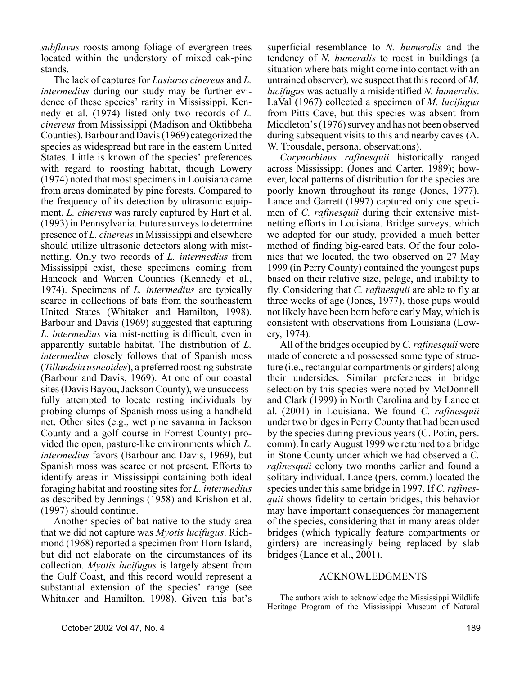*subflavus* roosts among foliage of evergreen trees located within the understory of mixed oak-pine stands.

The lack of captures for *Lasiurus cinereus* and *L. intermedius* during our study may be further evidence of these species' rarity in Mississippi. Kennedy et al. (1974) listed only two records of *L. cinereus* from Mississippi (Madison and Oktibbeha Counties). Barbour and Davis (1969) categorized the species as widespread but rare in the eastern United States. Little is known of the species' preferences with regard to roosting habitat, though Lowery (1974) noted that most specimens in Louisiana came from areas dominated by pine forests. Compared to the frequency of its detection by ultrasonic equipment, *L. cinereus* was rarely captured by Hart et al. (1993) in Pennsylvania. Future surveys to determine presence of *L. cinereus* in Mississippi and elsewhere should utilize ultrasonic detectors along with mistnetting. Only two records of *L. intermedius* from Mississippi exist, these specimens coming from Hancock and Warren Counties (Kennedy et al., 1974). Specimens of *L. intermedius* are typically scarce in collections of bats from the southeastern United States (Whitaker and Hamilton, 1998). Barbour and Davis (1969) suggested that capturing *L. intermedius* via mist-netting is difficult, even in apparently suitable habitat. The distribution of *L. intermedius* closely follows that of Spanish moss (*Tillandsia usneoides*), a preferred roosting substrate (Barbour and Davis, 1969). At one of our coastal sites (Davis Bayou, Jackson County), we unsuccessfully attempted to locate resting individuals by probing clumps of Spanish moss using a handheld net. Other sites (e.g., wet pine savanna in Jackson County and a golf course in Forrest County) provided the open, pasture-like environments which *L. intermedius* favors (Barbour and Davis, 1969), but Spanish moss was scarce or not present. Efforts to identify areas in Mississippi containing both ideal foraging habitat and roosting sites for *L. intermedius* as described by Jennings (1958) and Krishon et al. (1997) should continue.

Another species of bat native to the study area that we did not capture was *Myotis lucifugus*. Richmond (1968) reported a specimen from Horn Island, but did not elaborate on the circumstances of its collection. *Myotis lucifugus* is largely absent from the Gulf Coast, and this record would represent a substantial extension of the species' range (see Whitaker and Hamilton, 1998). Given this bat's

superficial resemblance to *N. humeralis* and the tendency of *N. humeralis* to roost in buildings (a situation where bats might come into contact with an untrained observer), we suspect that this record of *M. lucifugus* was actually a misidentified *N. humeralis*. LaVal (1967) collected a specimen of *M. lucifugus* from Pitts Cave, but this species was absent from Middleton's (1976) survey and has not been observed during subsequent visits to this and nearby caves (A. W. Trousdale, personal observations).

*Corynorhinus rafinesquii* historically ranged across Mississippi (Jones and Carter, 1989); however, local patterns of distribution for the species are poorly known throughout its range (Jones, 1977). Lance and Garrett (1997) captured only one specimen of *C. rafinesquii* during their extensive mistnetting efforts in Louisiana. Bridge surveys, which we adopted for our study, provided a much better method of finding big-eared bats. Of the four colonies that we located, the two observed on 27 May 1999 (in Perry County) contained the youngest pups based on their relative size, pelage, and inability to fly. Considering that *C. rafinesquii* are able to fly at three weeks of age (Jones, 1977), those pups would not likely have been born before early May, which is consistent with observations from Louisiana (Lowery, 1974).

All of the bridges occupied by *C. rafinesquii* were made of concrete and possessed some type of structure (i.e., rectangular compartments or girders) along their undersides. Similar preferences in bridge selection by this species were noted by McDonnell and Clark (1999) in North Carolina and by Lance et al. (2001) in Louisiana. We found *C. rafinesquii* under two bridges in Perry County that had been used by the species during previous years (C. Potin, pers. comm). In early August 1999 we returned to a bridge in Stone County under which we had observed a *C. rafinesquii* colony two months earlier and found a solitary individual. Lance (pers. comm.) located the species under this same bridge in 1997. If *C. rafinesquii* shows fidelity to certain bridges, this behavior may have important consequences for management of the species, considering that in many areas older bridges (which typically feature compartments or girders) are increasingly being replaced by slab bridges (Lance et al., 2001).

#### ACKNOWLEDGMENTS

The authors wish to acknowledge the Mississippi Wildlife Heritage Program of the Mississippi Museum of Natural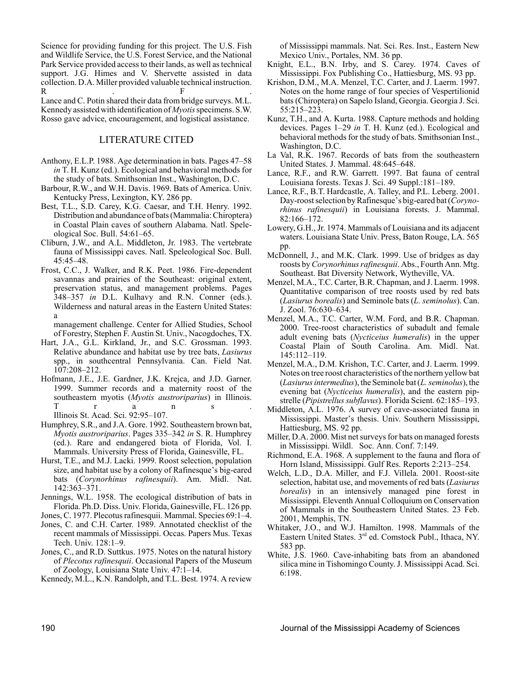Science for providing funding for this project. The U.S. Fish and Wildlife Service, the U.S. Forest Service, and the National Park Service provided access to their lands, as well as technical support. J.G. Himes and V. Shervette assisted in data collection. D.A. Miller provided valuable technical instruction. R  $\qquad \qquad$   $\qquad \qquad$   $\qquad \qquad$   $\qquad \qquad$   $\qquad \qquad$   $\qquad \qquad$   $\qquad \qquad$   $\qquad \qquad$   $\qquad \qquad$   $\qquad \qquad$   $\qquad$   $\qquad \qquad$   $\qquad$   $\qquad$   $\qquad$   $\qquad$   $\qquad$   $\qquad$   $\qquad$   $\qquad$   $\qquad$   $\qquad$   $\qquad$   $\qquad$   $\qquad$   $\qquad$   $\qquad$   $\qquad$   $\qquad$   $\qquad$   $\qquad$ 

Lance and C. Potin shared their data from bridge surveys. M.L. Kennedy assisted with identification of *Myotis* specimens. S.W. Rosso gave advice, encouragement, and logistical assistance.

#### LITERATURE CITED

- Anthony, E.L.P. 1988. Age determination in bats. Pages 47–58 *in* T. H. Kunz (ed.). Ecological and behavioral methods for the study of bats. Smithsonian Inst., Washington, D.C.
- Barbour, R.W., and W.H. Davis. 1969. Bats of America. Univ. Kentucky Press, Lexington, KY. 286 pp.
- Best, T.L., S.D. Carey, K.G. Caesar, and T.H. Henry. 1992. Distribution and abundance of bats (Mammalia: Chiroptera) in Coastal Plain caves of southern Alabama. Natl. Speleological Soc. Bull. 54:61–65.
- Cliburn, J.W., and A.L. Middleton, Jr. 1983. The vertebrate fauna of Mississippi caves. Natl. Speleological Soc. Bull. 45:45–48.
- Frost, C.C., J. Walker, and R.K. Peet. 1986. Fire-dependent savannas and prairies of the Southeast: original extent, preservation status, and management problems. Pages 348–357 *in* D.L. Kulhavy and R.N. Conner (eds.). Wilderness and natural areas in the Eastern United States: a

management challenge. Center for Allied Studies, School of Forestry, Stephen F. Austin St. Univ., Nacogdoches, TX.

- Hart, J.A., G.L. Kirkland, Jr., and S.C. Grossman. 1993. Relative abundance and habitat use by tree bats, *Lasiurus* spp., in southcentral Pennsylvania. Can. Field Nat. 107:208–212.
- Hofmann, J.E., J.E. Gardner, J.K. Krejca, and J.D. Garner. 1999. Summer records and a maternity roost of the southeastern myotis (*Myotis austroriparius*) in Illinois. T r a n s.
	- Illinois St. Acad. Sci. 92:95–107.
- Humphrey, S.R., and J.A. Gore. 1992. Southeastern brown bat, *Myotis austroriparius*. Pages 335–342 *in* S. R. Humphrey (ed.). Rare and endangered biota of Florida, Vol. I. Mammals. University Press of Florida, Gainesville, FL.
- Hurst, T.E., and M.J. Lacki. 1999. Roost selection, population size, and habitat use by a colony of Rafinesque's big-eared bats (*Corynorhinus rafinesquii*). Am. Midl. Nat. 142:363–371.
- Jennings, W.L. 1958. The ecological distribution of bats in Florida. Ph.D. Diss. Univ. Florida, Gainesville, FL. 126 pp.

Jones, C. 1977. Plecotus rafinesquii. Mammal. Species 69:1–4. Jones, C. and C.H. Carter. 1989. Annotated checklist of the

- recent mammals of Mississippi. Occas. Papers Mus. Texas Tech. Univ. 128:1–9.
- Jones, C., and R.D. Suttkus. 1975. Notes on the natural history of *Plecotus rafinesquii*. Occasional Papers of the Museum of Zoology, Louisiana State Univ. 47:1–14.

Kennedy, M.L., K.N. Randolph, and T.L. Best. 1974. A review

of Mississippi mammals. Nat. Sci. Res. Inst., Eastern New Mexico Univ., Portales, NM. 36 pp.

- Knight, E.L., B.N. Irby, and S. Carey. 1974. Caves of Mississippi. Fox Publishing Co., Hattiesburg, MS. 93 pp.
- Krishon, D.M., M.A. Menzel, T.C. Carter, and J. Laerm. 1997. Notes on the home range of four species of Vespertilionid bats (Chiroptera) on Sapelo Island, Georgia. Georgia J. Sci. 55:215–223.
- Kunz, T.H., and A. Kurta. 1988. Capture methods and holding devices. Pages 1–29 *in* T. H. Kunz (ed.). Ecological and behavioral methods for the study of bats. Smithsonian Inst., Washington, D.C.
- La Val, R.K. 1967. Records of bats from the southeastern United States. J. Mammal. 48:645–648.
- Lance, R.F., and R.W. Garrett. 1997. Bat fauna of central Louisiana forests. Texas J. Sci. 49 Suppl.:181–189.
- Lance, R.F., B.T. Hardcastle, A. Talley, and P.L. Leberg. 2001. Day-roost selection by Rafinesque's big-eared bat (*Corynorhinus rafinesquii*) in Louisiana forests. J. Mammal. 82:166–172.
- Lowery, G.H., Jr. 1974. Mammals of Louisiana and its adjacent waters. Louisiana State Univ. Press, Baton Rouge, LA. 565 pp.
- McDonnell, J., and M.K. Clark. 1999. Use of bridges as day roosts by *Corynorhinus rafinesquii*. Abs., Fourth Ann. Mtg. Southeast. Bat Diversity Network, Wytheville, VA.
- Menzel, M.A., T.C. Carter, B.R. Chapman, and J. Laerm. 1998. Quantitative comparison of tree roosts used by red bats (*Lasiurus borealis*) and Seminole bats (*L. seminolus*). Can. J. Zool. 76:630–634.
- Menzel, M.A., T.C. Carter, W.M. Ford, and B.R. Chapman. 2000. Tree-roost characteristics of subadult and female adult evening bats (*Nycticeius humeralis*) in the upper Coastal Plain of South Carolina. Am. Midl. Nat. 145:112–119.
- Menzel, M.A., D.M. Krishon, T.C. Carter, and J. Laerm. 1999. Notes on tree roost characteristics of the northern yellow bat (*Lasiurus intermedius*), the Seminole bat (*L. seminolus*), the evening bat (*Nycticeius humeralis*), and the eastern pipstrelle (*Pipistrellus subflavus*). Florida Scient. 62:185–193.
- Middleton, A.L. 1976. A survey of cave-associated fauna in Mississippi. Master's thesis. Univ. Southern Mississippi, Hattiesburg, MS. 92 pp.
- Miller, D.A. 2000. Mist net surveys for bats on managed forests in Mississippi. Wildl. Soc. Ann. Conf. 7:149.
- Richmond, E.A. 1968. A supplement to the fauna and flora of Horn Island, Mississippi. Gulf Res. Reports 2:213–254.
- Welch, L.D., D.A. Miller, and F.J. Villela. 2001. Roost-site selection, habitat use, and movements of red bats (*Lasiurus borealis*) in an intensively managed pine forest in Mississippi. Eleventh Annual Colloquium on Conservation of Mammals in the Southeastern United States. 23 Feb. 2001, Memphis, TN.
- Whitaker, J.O., and W.J. Hamilton. 1998. Mammals of the Eastern United States. 3<sup>rd</sup> ed. Comstock Publ., Ithaca, NY. 583 pp.
- White, J.S. 1960. Cave-inhabiting bats from an abandoned silica mine in Tishomingo County. J. Mississippi Acad. Sci. 6:198.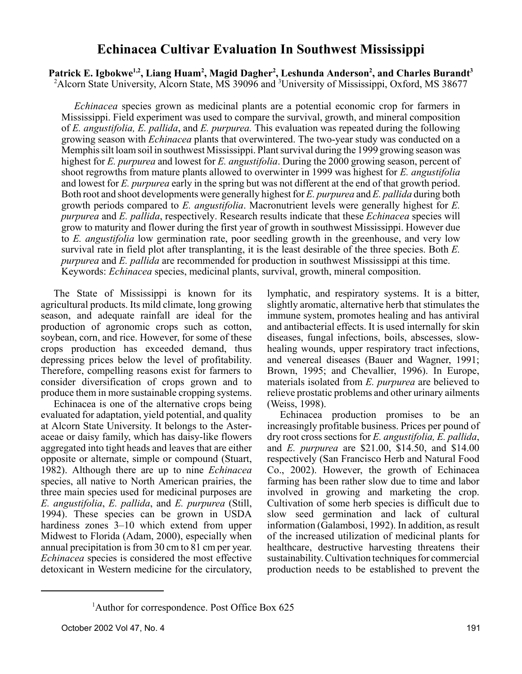# **Echinacea Cultivar Evaluation In Southwest Mississippi**

Patrick E. Igbokwe<sup>1,2</sup>, Liang Huam<sup>2</sup>, Magid Dagher<sup>2</sup>, Leshunda Anderson<sup>2</sup>, and Charles Burandt<sup>3</sup> <sup>2</sup> Alcorn State University, Alcorn State, MS 39096 and <sup>3</sup>University of Mississippi, Oxford, MS 38677

*Echinacea* species grown as medicinal plants are a potential economic crop for farmers in Mississippi. Field experiment was used to compare the survival, growth, and mineral composition of *E. angustifolia, E. pallida*, and *E. purpurea.* This evaluation was repeated during the following growing season with *Echinacea* plants that overwintered. The two-year study was conducted on a Memphis silt loam soil in southwest Mississippi. Plant survival during the 1999 growing season was highest for *E. purpurea* and lowest for *E. angustifolia*. During the 2000 growing season, percent of shoot regrowths from mature plants allowed to overwinter in 1999 was highest for *E. angustifolia* and lowest for *E. purpurea* early in the spring but was not different at the end of that growth period. Both root and shoot developments were generally highest for *E. purpurea* and *E. pallida* during both growth periods compared to *E. angustifolia*. Macronutrient levels were generally highest for *E. purpurea* and *E. pallida*, respectively. Research results indicate that these *Echinacea* species will grow to maturity and flower during the first year of growth in southwest Mississippi. However due to *E. angustifolia* low germination rate, poor seedling growth in the greenhouse, and very low survival rate in field plot after transplanting, it is the least desirable of the three species. Both *E. purpurea* and *E. pallida* are recommended for production in southwest Mississippi at this time. Keywords: *Echinacea* species, medicinal plants, survival, growth, mineral composition.

The State of Mississippi is known for its agricultural products. Its mild climate, long growing season, and adequate rainfall are ideal for the production of agronomic crops such as cotton, soybean, corn, and rice. However, for some of these crops production has exceeded demand, thus depressing prices below the level of profitability. Therefore, compelling reasons exist for farmers to consider diversification of crops grown and to produce them in more sustainable cropping systems.

Echinacea is one of the alternative crops being evaluated for adaptation, yield potential, and quality at Alcorn State University. It belongs to the Asteraceae or daisy family, which has daisy-like flowers aggregated into tight heads and leaves that are either opposite or alternate, simple or compound (Stuart, 1982). Although there are up to nine *Echinacea* species, all native to North American prairies, the three main species used for medicinal purposes are *E. angustifolia*, *E. pallida*, and *E. purpurea* (Still, 1994). These species can be grown in USDA hardiness zones 3–10 which extend from upper Midwest to Florida (Adam, 2000), especially when annual precipitation is from 30 cm to 81 cm per year. *Echinacea* species is considered the most effective detoxicant in Western medicine for the circulatory, lymphatic, and respiratory systems. It is a bitter, slightly aromatic, alternative herb that stimulates the immune system, promotes healing and has antiviral and antibacterial effects. It is used internally for skin diseases, fungal infections, boils, abscesses, slowhealing wounds, upper respiratory tract infections, and venereal diseases (Bauer and Wagner, 1991; Brown, 1995; and Chevallier, 1996). In Europe, materials isolated from *E. purpurea* are believed to relieve prostatic problems and other urinary ailments (Weiss, 1998).

Echinacea production promises to be an increasingly profitable business. Prices per pound of dry root cross sections for *E. angustifolia, E. pallida*, and *E. purpurea* are \$21.00, \$14.50, and \$14.00 respectively (San Francisco Herb and Natural Food Co., 2002). However, the growth of Echinacea farming has been rather slow due to time and labor involved in growing and marketing the crop. Cultivation of some herb species is difficult due to slow seed germination and lack of cultural information (Galambosi, 1992). In addition, as result of the increased utilization of medicinal plants for healthcare, destructive harvesting threatens their sustainability. Cultivation techniques for commercial production needs to be established to prevent the

<sup>&</sup>lt;sup>1</sup>Author for correspondence. Post Office Box 625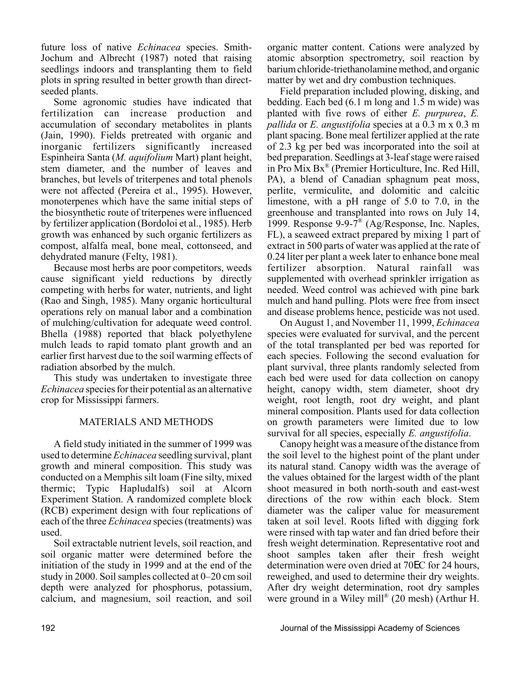future loss of native *Echinacea* species. Smith-Jochum and Albrecht (1987) noted that raising seedlings indoors and transplanting them to field plots in spring resulted in better growth than directseeded plants.

Some agronomic studies have indicated that fertilization can increase production and accumulation of secondary metabolites in plants (Jain, 1990). Fields pretreated with organic and inorganic fertilizers significantly increased Espinheira Santa (*M. aquifolium* Mart) plant height, stem diameter, and the number of leaves and branches, but levels of triterpenes and total phenols were not affected (Pereira et al., 1995). However, monoterpenes which have the same initial steps of the biosynthetic route of triterpenes were influenced by fertilizer application (Bordoloi et al., 1985). Herb growth was enhanced by such organic fertilizers as compost, alfalfa meal, bone meal, cottonseed, and dehydrated manure (Felty, 1981).

Because most herbs are poor competitors, weeds cause significant yield reductions by directly competing with herbs for water, nutrients, and light (Rao and Singh, 1985). Many organic horticultural operations rely on manual labor and a combination of mulching/cultivation for adequate weed control. Bhella (1988) reported that black polyethylene mulch leads to rapid tomato plant growth and an earlier first harvest due to the soil warming effects of radiation absorbed by the mulch.

This study was undertaken to investigate three *Echinacea* species for their potential as an alternative crop for Mississippi farmers.

# MATERIALS AND METHODS

A field study initiated in the summer of 1999 was used to determine *Echinacea* seedling survival, plant growth and mineral composition. This study was conducted on a Memphis silt loam (Fine silty, mixed thermic; Typic Hapludalfs) soil at Alcorn Experiment Station. A randomized complete block (RCB) experiment design with four replications of each of the three *Echinacea* species (treatments) was used.

Soil extractable nutrient levels, soil reaction, and soil organic matter were determined before the initiation of the study in 1999 and at the end of the study in 2000. Soil samples collected at 0–20 cm soil depth were analyzed for phosphorus, potassium, calcium, and magnesium, soil reaction, and soil

organic matter content. Cations were analyzed by atomic absorption spectrometry, soil reaction by barium chloride-triethanolamine method, and organic matter by wet and dry combustion techniques.

Field preparation included plowing, disking, and bedding. Each bed (6.1 m long and 1.5 m wide) was planted with five rows of either *E. purpurea*, *E. pallida* or *E. angustifolia* species at a 0.3 m x 0.3 m plant spacing. Bone meal fertilizer applied at the rate of 2.3 kg per bed was incorporated into the soil at bed preparation. Seedlings at 3-leaf stage were raised in Pro Mix Bx® (Premier Horticulture, Inc. Red Hill, PA), a blend of Canadian sphagnum peat moss, perlite, vermiculite, and dolomitic and calcitic limestone, with a pH range of 5.0 to 7.0, in the greenhouse and transplanted into rows on July 14, 1999. Response 9-9-7® (Ag/Response, Inc. Naples, FL), a seaweed extract prepared by mixing 1 part of extract in 500 parts of water was applied at the rate of 0.24 liter per plant a week later to enhance bone meal fertilizer absorption. Natural rainfall was supplemented with overhead sprinkler irrigation as needed. Weed control was achieved with pine bark mulch and hand pulling. Plots were free from insect and disease problems hence, pesticide was not used.

On August 1, and November 11, 1999, *Echinacea* species were evaluated for survival, and the percent of the total transplanted per bed was reported for each species. Following the second evaluation for plant survival, three plants randomly selected from each bed were used for data collection on canopy height, canopy width, stem diameter, shoot dry weight, root length, root dry weight, and plant mineral composition. Plants used for data collection on growth parameters were limited due to low survival for all species, especially *E. angustifolia*.

Canopy height was a measure of the distance from the soil level to the highest point of the plant under its natural stand. Canopy width was the average of the values obtained for the largest width of the plant shoot measured in both north-south and east-west directions of the row within each block. Stem diameter was the caliper value for measurement taken at soil level. Roots lifted with digging fork were rinsed with tap water and fan dried before their fresh weight determination. Representative root and shoot samples taken after their fresh weight determination were oven dried at 70EC for 24 hours, reweighed, and used to determine their dry weights. After dry weight determination, root dry samples were ground in a Wiley mill® (20 mesh) (Arthur H.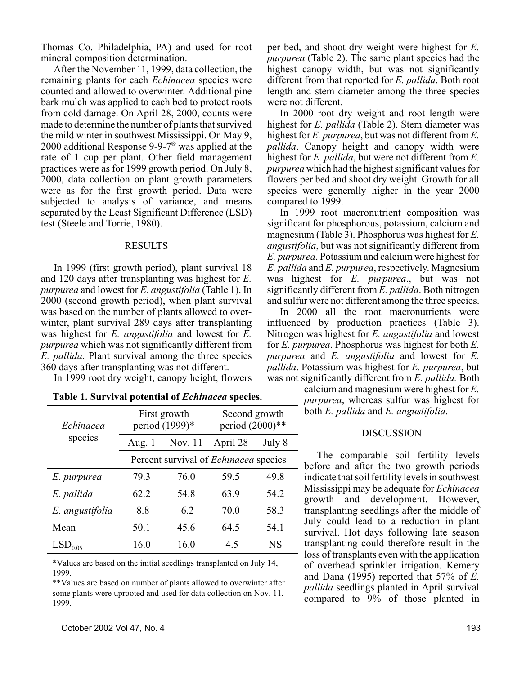Thomas Co. Philadelphia, PA) and used for root mineral composition determination.

After the November 11, 1999, data collection, the remaining plants for each *Echinacea* species were counted and allowed to overwinter. Additional pine bark mulch was applied to each bed to protect roots from cold damage. On April 28, 2000, counts were made to determine the number of plants that survived the mild winter in southwest Mississippi. On May 9, 2000 additional Response 9-9-7® was applied at the rate of 1 cup per plant. Other field management practices were as for 1999 growth period. On July 8, 2000, data collection on plant growth parameters were as for the first growth period. Data were subjected to analysis of variance, and means separated by the Least Significant Difference (LSD) test (Steele and Torrie, 1980).

#### RESULTS

In 1999 (first growth period), plant survival 18 and 120 days after transplanting was highest for *E. purpurea* and lowest for *E. angustifolia* (Table 1). In 2000 (second growth period), when plant survival was based on the number of plants allowed to overwinter, plant survival 289 days after transplanting was highest for *E. angustifolia* and lowest for *E. purpurea* which was not significantly different from *E. pallida*. Plant survival among the three species 360 days after transplanting was not different.

In 1999 root dry weight, canopy height, flowers

| Echinacea           |        | First growth<br>period (1999)* | Second growth<br>period (2000)**             |        |  |
|---------------------|--------|--------------------------------|----------------------------------------------|--------|--|
| species             | Aug. 1 | Nov. 11                        | April 28                                     | July 8 |  |
|                     |        |                                | Percent survival of <i>Echinacea</i> species |        |  |
| E. purpurea         | 79.3   | 76.0                           | 59.5                                         | 49.8   |  |
| E. pallida          | 62.2   | 548                            | 63.9                                         | 54 2   |  |
| E. angustifolia     | 8.8    | 6.2                            | 70.0                                         | 58.3   |  |
| Mean                | 50.1   | 45.6                           | 64.5                                         | 54.1   |  |
| LSD <sub>0.05</sub> | 16.0   | 16.0                           | 45                                           | NS     |  |

| Table 1. Survival potential of <i>Echinacea</i> species. |  |  |  |
|----------------------------------------------------------|--|--|--|
|----------------------------------------------------------|--|--|--|

\*Values are based on the initial seedlings transplanted on July 14, 1999.

\*\*Values are based on number of plants allowed to overwinter after some plants were uprooted and used for data collection on Nov. 11, 1999.

per bed, and shoot dry weight were highest for *E. purpurea* (Table 2). The same plant species had the highest canopy width, but was not significantly different from that reported for *E. pallida*. Both root length and stem diameter among the three species were not different.

In 2000 root dry weight and root length were highest for *E. pallida* (Table 2). Stem diameter was highest for *E. purpurea*, but was not different from *E. pallida*. Canopy height and canopy width were highest for *E. pallida*, but were not different from *E. purpurea* which had the highest significant values for flowers per bed and shoot dry weight. Growth for all species were generally higher in the year 2000 compared to 1999.

In 1999 root macronutrient composition was significant for phosphorous, potassium, calcium and magnesium (Table 3). Phosphorus was highest for *E. angustifolia*, but was not significantly different from *E. purpurea*. Potassium and calcium were highest for *E. pallida* and *E. purpurea*, respectively. Magnesium was highest for *E. purpurea*., but was not significantly different from *E. pallida*. Both nitrogen and sulfur were not different among the three species.

In 2000 all the root macronutrients were influenced by production practices (Table 3). Nitrogen was highest for *E. angustifolia* and lowest for *E. purpurea*. Phosphorus was highest for both *E. purpurea* and *E. angustifolia* and lowest for *E. pallida*. Potassium was highest for *E. purpurea*, but was not significantly different from *E. pallida.* Both

> calcium and magnesium were highest for *E. purpurea*, whereas sulfur was highest for  $\mathbf{r}$ both *E. pallida* and *E. angustifolia*.

#### DISCUSSION

The comparable soil fertility levels before and after the two growth periods indicate that soil fertility levels in southwest Mississippi may be adequate for *Echinacea* growth and development. However, transplanting seedlings after the middle of July could lead to a reduction in plant survival. Hot days following late season transplanting could therefore result in the loss of transplants even with the application of overhead sprinkler irrigation. Kemery and Dana (1995) reported that 57% of *E. pallida* seedlings planted in April survival compared to 9% of those planted in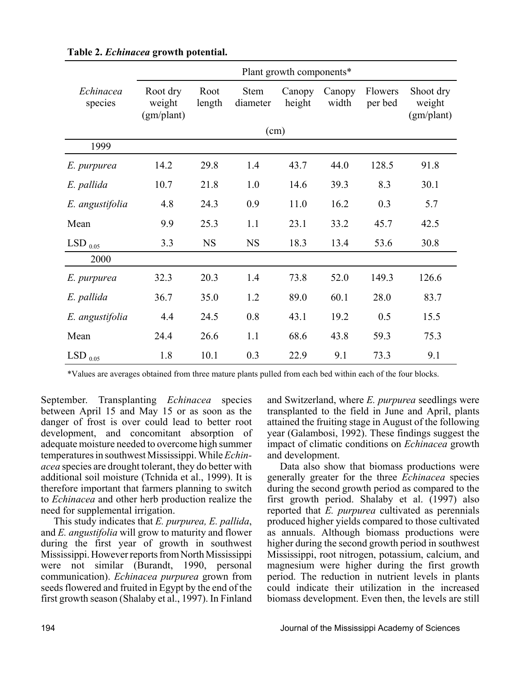|                      | Plant growth components*         |                |                  |                  |                 |                    |                                   |
|----------------------|----------------------------------|----------------|------------------|------------------|-----------------|--------------------|-----------------------------------|
| Echinacea<br>species | Root dry<br>weight<br>(gm/plant) | Root<br>length | Stem<br>diameter | Canopy<br>height | Canopy<br>width | Flowers<br>per bed | Shoot dry<br>weight<br>(gm/plant) |
|                      |                                  |                | (cm)             |                  |                 |                    |                                   |
| 1999                 |                                  |                |                  |                  |                 |                    |                                   |
| E. purpurea          | 14.2                             | 29.8           | 1.4              | 43.7             | 44.0            | 128.5              | 91.8                              |
| E. pallida           | 10.7                             | 21.8           | 1.0              | 14.6             | 39.3            | 8.3                | 30.1                              |
| E. angustifolia      | 4.8                              | 24.3           | 0.9              | 11.0             | 16.2            | 0.3                | 5.7                               |
| Mean                 | 9.9                              | 25.3           | 1.1              | 23.1             | 33.2            | 45.7               | 42.5                              |
| $LSD_{0.05}$         | 3.3                              | <b>NS</b>      | <b>NS</b>        | 18.3             | 13.4            | 53.6               | 30.8                              |
| 2000                 |                                  |                |                  |                  |                 |                    |                                   |
| E. purpurea          | 32.3                             | 20.3           | 1.4              | 73.8             | 52.0            | 149.3              | 126.6                             |
| E. pallida           | 36.7                             | 35.0           | 1.2              | 89.0             | 60.1            | 28.0               | 83.7                              |
| E. angustifolia      | 4.4                              | 24.5           | 0.8              | 43.1             | 19.2            | 0.5                | 15.5                              |
| Mean                 | 24.4                             | 26.6           | 1.1              | 68.6             | 43.8            | 59.3               | 75.3                              |
| $LSD_{0.05}$         | 1.8                              | 10.1           | 0.3              | 22.9             | 9.1             | 73.3               | 9.1                               |

|  | Table 2. Echinacea growth potential. |  |
|--|--------------------------------------|--|
|  |                                      |  |

\*Values are averages obtained from three mature plants pulled from each bed within each of the four blocks.

September. Transplanting *Echinacea* species between April 15 and May 15 or as soon as the danger of frost is over could lead to better root development, and concomitant absorption of adequate moisture needed to overcome high summer temperatures in southwest Mississippi. While *Echinacea* species are drought tolerant, they do better with additional soil moisture (Tchnida et al., 1999). It is therefore important that farmers planning to switch to *Echinacea* and other herb production realize the need for supplemental irrigation.

This study indicates that *E. purpurea, E. pallida*, and *E. angustifolia* will grow to maturity and flower during the first year of growth in southwest Mississippi. However reports from North Mississippi were not similar (Burandt, 1990, personal communication). *Echinacea purpurea* grown from seeds flowered and fruited in Egypt by the end of the first growth season (Shalaby et al., 1997). In Finland and Switzerland, where *E. purpurea* seedlings were transplanted to the field in June and April, plants attained the fruiting stage in August of the following year (Galambosi, 1992). These findings suggest the impact of climatic conditions on *Echinacea* growth and development.

Data also show that biomass productions were generally greater for the three *Echinacea* species during the second growth period as compared to the first growth period. Shalaby et al. (1997) also reported that *E. purpurea* cultivated as perennials produced higher yields compared to those cultivated as annuals. Although biomass productions were higher during the second growth period in southwest Mississippi, root nitrogen, potassium, calcium, and magnesium were higher during the first growth period. The reduction in nutrient levels in plants could indicate their utilization in the increased biomass development. Even then, the levels are still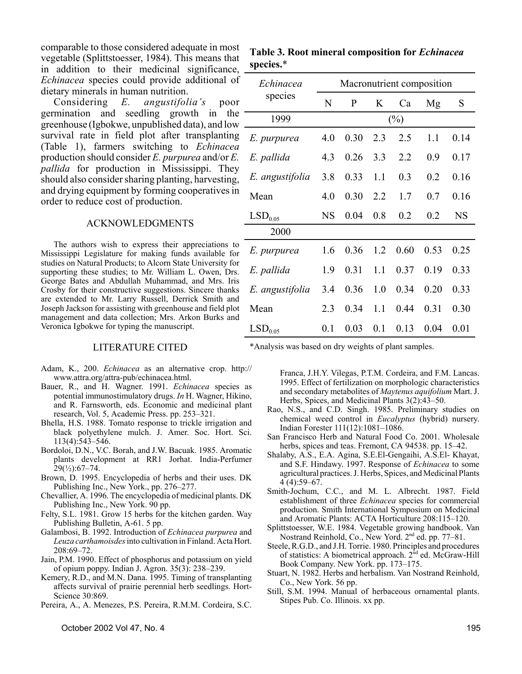comparable to those considered adequate in most vegetable (Splittstoesser, 1984). This means that in addition to their medicinal significance, *Echinacea* species could provide additional of dietary minerals in human nutrition.

Considering *E. angustifolia's* poor germination and seedling growth in the greenhouse (Igbokwe, unpublished data), and low survival rate in field plot after transplanting (Table 1), farmers switching to *Echinacea* production should consider *E. purpurea* and/or *E. pallida* for production in Mississippi. They should also consider sharing planting, harvesting, and drying equipment by forming cooperatives in order to reduce cost of production.

#### ACKNOWLEDGMENTS

The authors wish to express their appreciations to Mississippi Legislature for making funds available for studies on Natural Products; to Alcorn State University for supporting these studies; to Mr. William L. Owen, Drs. George Bates and Abdullah Muhammad, and Mrs. Iris Crosby for their constructive suggestions. Sincere thanks are extended to Mr. Larry Russell, Derrick Smith and Joseph Jackson for assisting with greenhouse and field plot management and data collection; Mrs. Arkon Burks and Veronica Igbokwe for typing the manuscript.

| Echinacea<br>species | Macronutrient composition |      |     |      |      |           |
|----------------------|---------------------------|------|-----|------|------|-----------|
|                      | N                         | P    | K   | Ca   | Mg   | S         |
| 1999                 | $(\%)$                    |      |     |      |      |           |
| E. purpurea          | 4.0                       | 0.30 | 2.3 | 2.5  | 1.1  | 0.14      |
| E. pallida           | 4.3                       | 0.26 | 3.3 | 2.2  | 0.9  | 0.17      |
| E. angustifolia      | 3.8                       | 0.33 | 1.1 | 0.3  | 0.2  | 0.16      |
| Mean                 | 4.0                       | 0.30 | 2.2 | 1.7  | 0.7  | 0.16      |
| LSD <sub>0.05</sub>  | <b>NS</b>                 | 0.04 | 0.8 | 0.2  | 0.2  | <b>NS</b> |
| 2000                 |                           |      |     |      |      |           |
| E. purpurea          | 1.6                       | 0.36 | 1.2 | 0.60 | 0.53 | 0.25      |
| E. pallida           | 1.9                       | 0.31 | 1.1 | 0.37 | 0.19 | 0.33      |
| E. angustifolia      | 3.4                       | 0.36 | 1.0 | 0.34 | 0.20 | 0.33      |
| Mean                 | 2.3                       | 0.34 | 1.1 | 0.44 | 0.31 | 0.30      |
| LSD <sub>0.05</sub>  | 0.1                       | 0.03 | 0.1 | 0.13 | 0.04 | 0.01      |

#### **Table 3. Root mineral composition for** *Echinacea* **species.**\*

#### LITERATURE CITED

- Adam, K., 200. *Echinacea* as an alternative crop. http:// www.attra.org/attra-pub/echinacea.html.
- Bauer, R., and H. Wagner. 1991. *Echinacea* species as potential immunostimulatory drugs. *In* H. Wagner, Hikino, and R. Farnsworth, eds. Economic and medicinal plant research, Vol. 5, Academic Press. pp. 253–321.
- Bhella, H.S. 1988. Tomato response to trickle irrigation and black polyethylene mulch. J. Amer. Soc. Hort. Sci. 113(4):543–546.
- Bordoloi, D.N., V.C. Borah, and J.W. Bacuak. 1985. Aromatic plants development at RR1 Jorhat. India-Perfumer 29(½):67–74.
- Brown, D. 1995. Encyclopedia of herbs and their uses. DK Publishing Inc., New York., pp. 276–277.
- Chevallier, A. 1996. The encyclopedia of medicinal plants. DK Publishing Inc., New York. 90 pp.
- Felty, S.L. 1981. Grow 15 herbs for the kitchen garden. Way Publishing Bulletin, A-61. 5 pp.
- Galambosi, B. 1992. Introduction of *Echinacea purpurea* and *Leuza carthamoisdes* into cultivation in Finland. Acta Hort. 208:69–72.
- Jain, P.M. 1990. Effect of phosphorus and potassium on yield of opium poppy. Indian J. Agron. 35(3): 238–239.
- Kemery, R.D., and M.N. Dana. 1995. Timing of transplanting affects survival of prairie perennial herb seedlings. Hort-Science 30:869.
- Pereira, A., A. Menezes, P.S. Pereira, R.M.M. Cordeira, S.C.

October 2002 Vol 47, No. 4 195

\*Analysis was based on dry weights of plant samples.

Franca, J.H.Y. Vilegas, P.T.M. Cordeira, and F.M. Lancas. 1995. Effect of fertilization on morphologic characteristics and secondary metabolites of *Maytenus aquifolium* Mart. J. Herbs, Spices, and Medicinal Plants 3(2):43–50.

- Rao, N.S., and C.D. Singh. 1985. Preliminary studies on chemical weed control in *Eucalyptus* (hybrid) nursery. Indian Forester 111(12):1081–1086.
- San Francisco Herb and Natural Food Co. 2001. Wholesale herbs, spices and teas. Fremont, CA 94538. pp. 15–42.
- Shalaby, A.S., E.A. Agina, S.E.El-Gengaihi, A.S.El- Khayat, and S.F. Hindawy. 1997. Response of *Echinacea* to some agricultural practices. J. Herbs, Spices, and Medicinal Plants 4 (4):59–67.
- Smith-Jochum, C.C., and M. L. Albrecht. 1987. Field establishment of three *Echinacea* species for commercial production. Smith International Symposium on Medicinal and Aromatic Plants: ACTA Horticulture 208:115–120.
- Splittstoesser, W.E. 1984. Vegetable growing handbook. Van Nostrand Reinhold, Co., New Yord. 2<sup>nd</sup> ed. pp. 77–81.
- Steele, R.G.D., and J.H. Torrie. 1980. Principles and procedures of statistics: A biometrical approach. 2nd ed. McGraw-Hill Book Company. New York. pp. 173–175.
- Stuart, N. 1982. Herbs and herbalism. Van Nostrand Reinhold, Co., New York. 56 pp.
- Still, S.M. 1994. Manual of herbaceous ornamental plants. Stipes Pub. Co. Illinois. xx pp.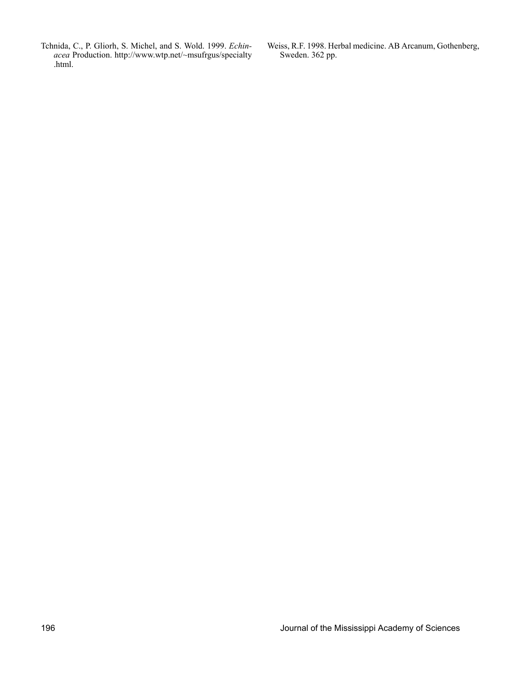Tchnida, C., P. Gliorh, S. Michel, and S. Wold. 1999. *Echinacea* Production. http://www.wtp.net/~msufrgus/specialty .html.

Weiss, R.F. 1998. Herbal medicine. AB Arcanum, Gothenberg, Sweden. 362 pp.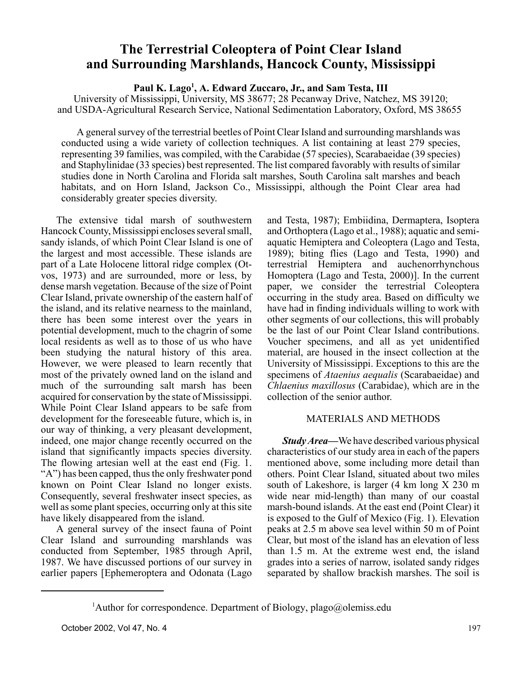# **The Terrestrial Coleoptera of Point Clear Island and Surrounding Marshlands, Hancock County, Mississippi**

Paul K. Lago<sup>1</sup>, A. Edward Zuccaro, Jr., and Sam Testa, III

University of Mississippi, University, MS 38677; 28 Pecanway Drive, Natchez, MS 39120; and USDA-Agricultural Research Service, National Sedimentation Laboratory, Oxford, MS 38655

A general survey of the terrestrial beetles of Point Clear Island and surrounding marshlands was conducted using a wide variety of collection techniques. A list containing at least 279 species, representing 39 families, was compiled, with the Carabidae (57 species), Scarabaeidae (39 species) and Staphylinidae (33 species) best represented. The list compared favorably with results of similar studies done in North Carolina and Florida salt marshes, South Carolina salt marshes and beach habitats, and on Horn Island, Jackson Co., Mississippi, although the Point Clear area had considerably greater species diversity.

The extensive tidal marsh of southwestern Hancock County, Mississippi encloses several small, sandy islands, of which Point Clear Island is one of the largest and most accessible. These islands are part of a Late Holocene littoral ridge complex (Otvos, 1973) and are surrounded, more or less, by dense marsh vegetation. Because of the size of Point Clear Island, private ownership of the eastern half of the island, and its relative nearness to the mainland, there has been some interest over the years in potential development, much to the chagrin of some local residents as well as to those of us who have been studying the natural history of this area. However, we were pleased to learn recently that most of the privately owned land on the island and much of the surrounding salt marsh has been acquired for conservation by the state of Mississippi. While Point Clear Island appears to be safe from development for the foreseeable future, which is, in our way of thinking, a very pleasant development, indeed, one major change recently occurred on the island that significantly impacts species diversity. The flowing artesian well at the east end (Fig. 1. "A") has been capped, thus the only freshwater pond known on Point Clear Island no longer exists. Consequently, several freshwater insect species, as well as some plant species, occurring only at this site have likely disappeared from the island.

A general survey of the insect fauna of Point Clear Island and surrounding marshlands was conducted from September, 1985 through April, 1987. We have discussed portions of our survey in earlier papers [Ephemeroptera and Odonata (Lago

and Testa, 1987); Embiidina, Dermaptera, Isoptera and Orthoptera (Lago et al., 1988); aquatic and semiaquatic Hemiptera and Coleoptera (Lago and Testa, 1989); biting flies (Lago and Testa, 1990) and terrestrial Hemiptera and auchenorrhynchous Homoptera (Lago and Testa, 2000)]. In the current paper, we consider the terrestrial Coleoptera occurring in the study area. Based on difficulty we have had in finding individuals willing to work with other segments of our collections, this will probably be the last of our Point Clear Island contributions. Voucher specimens, and all as yet unidentified material, are housed in the insect collection at the University of Mississippi. Exceptions to this are the specimens of *Ataenius aequalis* (Scarabaeidae) and *Chlaenius maxillosus* (Carabidae), which are in the collection of the senior author.

#### MATERIALS AND METHODS

*Study Area—*We have described various physical characteristics of our study area in each of the papers mentioned above, some including more detail than others. Point Clear Island, situated about two miles south of Lakeshore, is larger (4 km long X 230 m wide near mid-length) than many of our coastal marsh-bound islands. At the east end (Point Clear) it is exposed to the Gulf of Mexico (Fig. 1). Elevation peaks at 2.5 m above sea level within 50 m of Point Clear, but most of the island has an elevation of less than 1.5 m. At the extreme west end, the island grades into a series of narrow, isolated sandy ridges separated by shallow brackish marshes. The soil is

<sup>&</sup>lt;sup>1</sup>Author for correspondence. Department of Biology, plago@olemiss.edu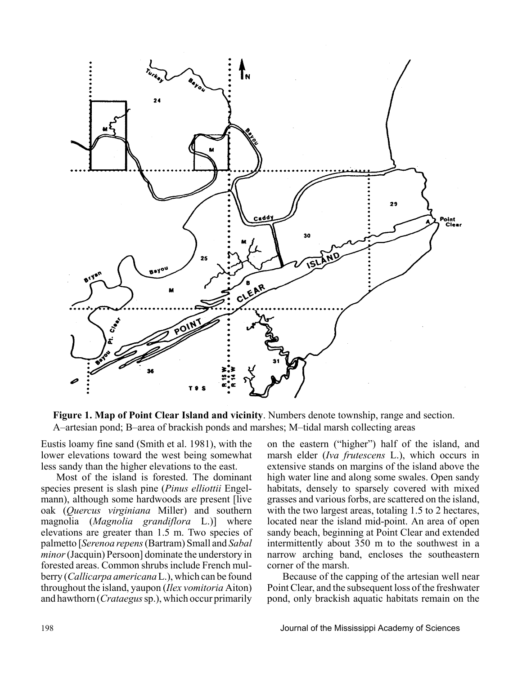

**Figure 1. Map of Point Clear Island and vicinity**. Numbers denote township, range and section. A–artesian pond; B–area of brackish ponds and marshes; M–tidal marsh collecting areas

Eustis loamy fine sand (Smith et al. 1981), with the lower elevations toward the west being somewhat less sandy than the higher elevations to the east.

Most of the island is forested. The dominant species present is slash pine (*Pinus elliottii* Engelmann), although some hardwoods are present [live oak (*Quercus virginiana* Miller) and southern magnolia (*Magnolia grandiflora* L.)] where elevations are greater than 1.5 m. Two species of palmetto [*Serenoa repens* (Bartram) Small and *Sabal minor* (Jacquin) Persoon] dominate the understory in forested areas. Common shrubs include French mulberry (*Callicarpa americana* L.), which can be found throughout the island, yaupon (*Ilex vomitoria* Aiton) and hawthorn (*Crataegus* sp.), which occur primarily on the eastern ("higher") half of the island, and marsh elder (*Iva frutescens* L.), which occurs in extensive stands on margins of the island above the high water line and along some swales. Open sandy habitats, densely to sparsely covered with mixed grasses and various forbs, are scattered on the island, with the two largest areas, totaling 1.5 to 2 hectares, located near the island mid-point. An area of open sandy beach, beginning at Point Clear and extended intermittently about 350 m to the southwest in a narrow arching band, encloses the southeastern corner of the marsh.

Because of the capping of the artesian well near Point Clear, and the subsequent loss of the freshwater pond, only brackish aquatic habitats remain on the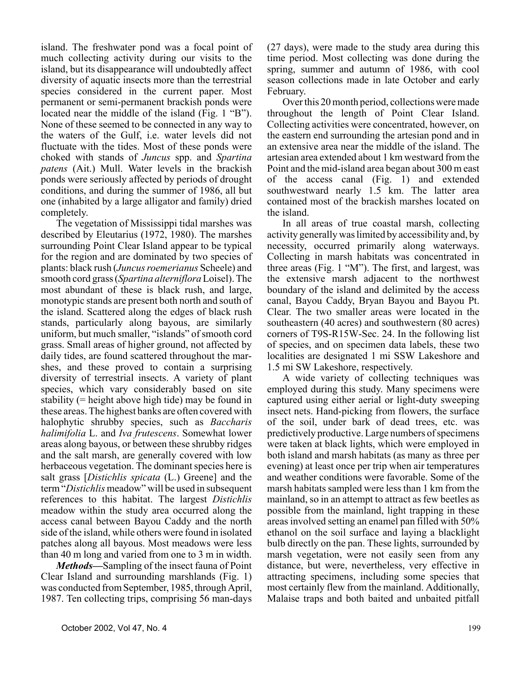island. The freshwater pond was a focal point of much collecting activity during our visits to the island, but its disappearance will undoubtedly affect diversity of aquatic insects more than the terrestrial species considered in the current paper. Most permanent or semi-permanent brackish ponds were located near the middle of the island (Fig. 1 "B"). None of these seemed to be connected in any way to the waters of the Gulf, i.e. water levels did not fluctuate with the tides. Most of these ponds were choked with stands of *Juncus* spp. and *Spartina patens* (Ait.) Mull. Water levels in the brackish ponds were seriously affected by periods of drought conditions, and during the summer of 1986, all but one (inhabited by a large alligator and family) dried completely.

The vegetation of Mississippi tidal marshes was described by Eleutarius (1972, 1980). The marshes surrounding Point Clear Island appear to be typical for the region and are dominated by two species of plants: black rush (*Juncus roemerianus* Scheele) and smooth cord grass (*Spartina alterniflora* Loisel). The most abundant of these is black rush, and large, monotypic stands are present both north and south of the island. Scattered along the edges of black rush stands, particularly along bayous, are similarly uniform, but much smaller, "islands" of smooth cord grass. Small areas of higher ground, not affected by daily tides, are found scattered throughout the marshes, and these proved to contain a surprising diversity of terrestrial insects. A variety of plant species, which vary considerably based on site stability (= height above high tide) may be found in these areas. The highest banks are often covered with halophytic shrubby species, such as *Baccharis halimifolia* L. and *Iva frutescens*. Somewhat lower areas along bayous, or between these shrubby ridges and the salt marsh, are generally covered with low herbaceous vegetation. The dominant species here is salt grass [*Distichlis spicata* (L.) Greene] and the term "*Distichlis* meadow" will be used in subsequent references to this habitat. The largest *Distichlis* meadow within the study area occurred along the access canal between Bayou Caddy and the north side of the island, while others were found in isolated patches along all bayous. Most meadows were less than 40 m long and varied from one to 3 m in width.

*Methods—*Sampling of the insect fauna of Point Clear Island and surrounding marshlands (Fig. 1) was conducted from September, 1985, through April, 1987. Ten collecting trips, comprising 56 man-days

(27 days), were made to the study area during this time period. Most collecting was done during the spring, summer and autumn of 1986, with cool season collections made in late October and early February.

Over this 20 month period, collections were made throughout the length of Point Clear Island. Collecting activities were concentrated, however, on the eastern end surrounding the artesian pond and in an extensive area near the middle of the island. The artesian area extended about 1 km westward from the Point and the mid-island area began about 300 m east of the access canal (Fig. 1) and extended southwestward nearly 1.5 km. The latter area contained most of the brackish marshes located on the island.

In all areas of true coastal marsh, collecting activity generally was limited by accessibility and, by necessity, occurred primarily along waterways. Collecting in marsh habitats was concentrated in three areas (Fig. 1 "M"). The first, and largest, was the extensive marsh adjacent to the northwest boundary of the island and delimited by the access canal, Bayou Caddy, Bryan Bayou and Bayou Pt. Clear. The two smaller areas were located in the southeastern (40 acres) and southwestern (80 acres) corners of T9S-R15W-Sec. 24. In the following list of species, and on specimen data labels, these two localities are designated 1 mi SSW Lakeshore and 1.5 mi SW Lakeshore, respectively.

A wide variety of collecting techniques was employed during this study. Many specimens were captured using either aerial or light-duty sweeping insect nets. Hand-picking from flowers, the surface of the soil, under bark of dead trees, etc. was predictively productive. Large numbers of specimens were taken at black lights, which were employed in both island and marsh habitats (as many as three per evening) at least once per trip when air temperatures and weather conditions were favorable. Some of the marsh habitats sampled were less than 1 km from the mainland, so in an attempt to attract as few beetles as possible from the mainland, light trapping in these areas involved setting an enamel pan filled with 50% ethanol on the soil surface and laying a blacklight bulb directly on the pan. These lights, surrounded by marsh vegetation, were not easily seen from any distance, but were, nevertheless, very effective in attracting specimens, including some species that most certainly flew from the mainland. Additionally, Malaise traps and both baited and unbaited pitfall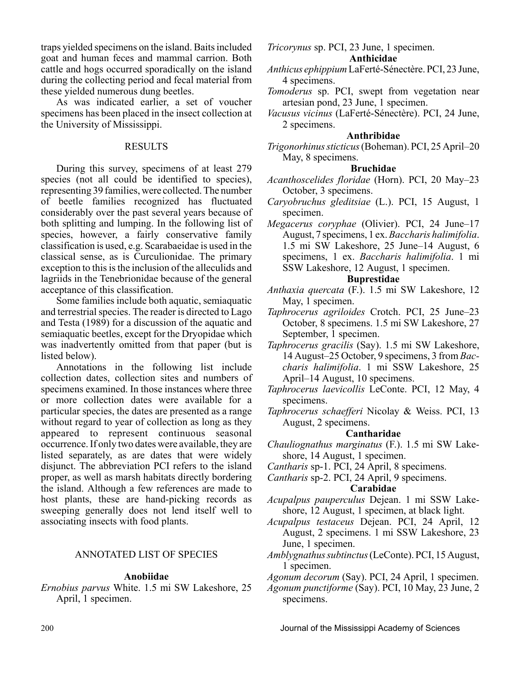traps yielded specimens on the island. Baits included goat and human feces and mammal carrion. Both cattle and hogs occurred sporadically on the island during the collecting period and fecal material from these yielded numerous dung beetles.

As was indicated earlier, a set of voucher specimens has been placed in the insect collection at the University of Mississippi.

### **RESULTS**

During this survey, specimens of at least 279 species (not all could be identified to species), representing 39 families, were collected. The number of beetle families recognized has fluctuated considerably over the past several years because of both splitting and lumping. In the following list of species, however, a fairly conservative family classification is used, e.g. Scarabaeidae is used in the classical sense, as is Curculionidae. The primary exception to this is the inclusion of the alleculids and lagriids in the Tenebrionidae because of the general acceptance of this classification.

Some families include both aquatic, semiaquatic and terrestrial species. The reader is directed to Lago and Testa (1989) for a discussion of the aquatic and semiaquatic beetles, except for the Dryopidae which was inadvertently omitted from that paper (but is listed below).

Annotations in the following list include collection dates, collection sites and numbers of specimens examined. In those instances where three or more collection dates were available for a particular species, the dates are presented as a range without regard to year of collection as long as they appeared to represent continuous seasonal occurrence. If only two dates were available, they are listed separately, as are dates that were widely disjunct. The abbreviation PCI refers to the island proper, as well as marsh habitats directly bordering the island. Although a few references are made to host plants, these are hand-picking records as sweeping generally does not lend itself well to associating insects with food plants.

# ANNOTATED LIST OF SPECIES

#### **Anobiidae**

*Ernobius parvus* White. 1.5 mi SW Lakeshore, 25 April, 1 specimen.

*Tricorynus* sp. PCI, 23 June, 1 specimen.

#### **Anthicidae**

- *Anthicus ephippium* LaFerté-Sénectère. PCI, 23 June, 4 specimens.
- *Tomoderus* sp. PCI, swept from vegetation near artesian pond, 23 June, 1 specimen.
- *Vacusus vicinus* (LaFerté-Sénectère). PCI, 24 June, 2 specimens.

## **Anthribidae**

*Trigonorhinus sticticus* (Boheman). PCI, 25 April–20 May, 8 specimens.

#### **Bruchidae**

- *Acanthoscelides floridae* (Horn). PCI, 20 May–23 October, 3 specimens.
- *Caryobruchus gleditsiae* (L.). PCI, 15 August, 1 specimen.
- *Megacerus coryphae* (Olivier). PCI, 24 June–17 August, 7 specimens, 1 ex. *Baccharis halimifolia*. 1.5 mi SW Lakeshore, 25 June–14 August, 6 specimens, 1 ex. *Baccharis halimifolia*. 1 mi SSW Lakeshore, 12 August, 1 specimen.

# **Buprestidae**

- *Anthaxia quercata* (F.). 1.5 mi SW Lakeshore, 12 May, 1 specimen.
- *Taphrocerus agriloides* Crotch. PCI, 25 June–23 October, 8 specimens. 1.5 mi SW Lakeshore, 27 September, 1 specimen.
- *Taphrocerus gracilis* (Say). 1.5 mi SW Lakeshore, 14 August–25 October, 9 specimens, 3 from *Baccharis halimifolia*. 1 mi SSW Lakeshore, 25 April–14 August, 10 specimens.
- *Taphrocerus laevicollis* LeConte. PCI, 12 May, 4 specimens.
- *Taphrocerus schaefferi* Nicolay & Weiss. PCI, 13 August, 2 specimens.

#### **Cantharidae**

- *Chauliognathus marginatus* (F.). 1.5 mi SW Lakeshore, 14 August, 1 specimen.
- *Cantharis* sp-1. PCI, 24 April, 8 specimens.
- *Cantharis* sp-2. PCI, 24 April, 9 specimens.

#### **Carabidae**

- *Acupalpus pauperculus* Dejean. 1 mi SSW Lakeshore, 12 August, 1 specimen, at black light.
- *Acupalpus testaceus* Dejean. PCI, 24 April, 12 August, 2 specimens. 1 mi SSW Lakeshore, 23 June, 1 specimen.
- *Amblygnathus subtinctus* (LeConte). PCI, 15 August, 1 specimen.

*Agonum decorum* (Say). PCI, 24 April, 1 specimen.

*Agonum punctiforme* (Say). PCI, 10 May, 23 June, 2 specimens.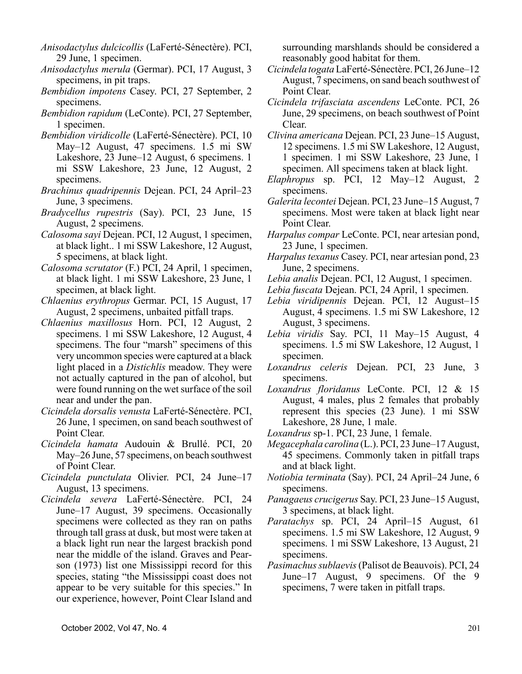- *Anisodactylus dulcicollis* (LaFerté-Sénectère). PCI, 29 June, 1 specimen.
- *Anisodactylus merula* (Germar). PCI, 17 August, 3 specimens, in pit traps.
- *Bembidion impotens* Casey. PCI, 27 September, 2 specimens.
- *Bembidion rapidum* (LeConte). PCI, 27 September, 1 specimen.
- *Bembidion viridicolle* (LaFerté-Sénectère). PCI, 10 May–12 August, 47 specimens. 1.5 mi SW Lakeshore, 23 June–12 August, 6 specimens. 1 mi SSW Lakeshore, 23 June, 12 August, 2 specimens.
- *Brachinus quadripennis* Dejean. PCI, 24 April–23 June, 3 specimens.
- *Bradycellus rupestris* (Say). PCI, 23 June, 15 August, 2 specimens.
- *Calosoma sayi* Dejean. PCI, 12 August, 1 specimen, at black light.. 1 mi SSW Lakeshore, 12 August, 5 specimens, at black light.
- *Calosoma scrutator* (F.) PCI, 24 April, 1 specimen, at black light. 1 mi SSW Lakeshore, 23 June, 1 specimen, at black light.
- *Chlaenius erythropus* Germar. PCI, 15 August, 17 August, 2 specimens, unbaited pitfall traps.
- *Chlaenius maxillosus* Horn. PCI, 12 August, 2 specimens. 1 mi SSW Lakeshore, 12 August, 4 specimens. The four "marsh" specimens of this very uncommon species were captured at a black light placed in a *Distichlis* meadow. They were not actually captured in the pan of alcohol, but were found running on the wet surface of the soil near and under the pan.
- *Cicindela dorsalis venusta* LaFerté-Sénectère. PCI, 26 June, 1 specimen, on sand beach southwest of Point Clear.
- *Cicindela hamata* Audouin & Brullé. PCI, 20 May–26 June, 57 specimens, on beach southwest of Point Clear.
- *Cicindela punctulata* Olivier. PCI, 24 June–17 August, 13 specimens.
- *Cicindela severa* LaFerté-Sénectère. PCI, 24 June–17 August, 39 specimens. Occasionally specimens were collected as they ran on paths through tall grass at dusk, but most were taken at a black light run near the largest brackish pond near the middle of the island. Graves and Pearson (1973) list one Mississippi record for this species, stating "the Mississippi coast does not appear to be very suitable for this species." In our experience, however, Point Clear Island and

surrounding marshlands should be considered a reasonably good habitat for them.

- *Cicindela togata* LaFerté-Sénectère. PCI, 26 June–12 August, 7 specimens, on sand beach southwest of Point Clear.
- *Cicindela trifasciata ascendens* LeConte. PCI, 26 June, 29 specimens, on beach southwest of Point Clear.
- *Clivina americana* Dejean. PCI, 23 June–15 August, 12 specimens. 1.5 mi SW Lakeshore, 12 August, 1 specimen. 1 mi SSW Lakeshore, 23 June, 1 specimen. All specimens taken at black light.
- *Elaphropus* sp. PCI, 12 May–12 August, 2 specimens.
- *Galerita lecontei* Dejean. PCI, 23 June–15 August, 7 specimens. Most were taken at black light near Point Clear.
- *Harpalus compar* LeConte. PCI, near artesian pond, 23 June, 1 specimen.
- *Harpalus texanus* Casey. PCI, near artesian pond, 23 June, 2 specimens.
- *Lebia analis* Dejean. PCI, 12 August, 1 specimen.
- *Lebia fuscata* Dejean. PCI, 24 April, 1 specimen.
- *Lebia viridipennis* Dejean. PCI, 12 August–15 August, 4 specimens. 1.5 mi SW Lakeshore, 12 August, 3 specimens.
- *Lebia viridis* Say. PCI, 11 May–15 August, 4 specimens. 1.5 mi SW Lakeshore, 12 August, 1 specimen.
- *Loxandrus celeris* Dejean. PCI, 23 June, 3 specimens.
- *Loxandrus floridanus* LeConte. PCI, 12 & 15 August, 4 males, plus 2 females that probably represent this species (23 June). 1 mi SSW Lakeshore, 28 June, 1 male.
- *Loxandrus* sp-1. PCI, 23 June, 1 female.
- *Megacephala carolina* (L.). PCI, 23 June–17 August, 45 specimens. Commonly taken in pitfall traps and at black light.
- *Notiobia terminata* (Say). PCI, 24 April–24 June, 6 specimens.
- *Panagaeus crucigerus* Say. PCI, 23 June–15 August, 3 specimens, at black light.
- *Paratachys* sp. PCI, 24 April–15 August, 61 specimens. 1.5 mi SW Lakeshore, 12 August, 9 specimens. 1 mi SSW Lakeshore, 13 August, 21 specimens.
- *Pasimachus sublaevis* (Palisot de Beauvois). PCI, 24 June–17 August, 9 specimens. Of the 9 specimens, 7 were taken in pitfall traps.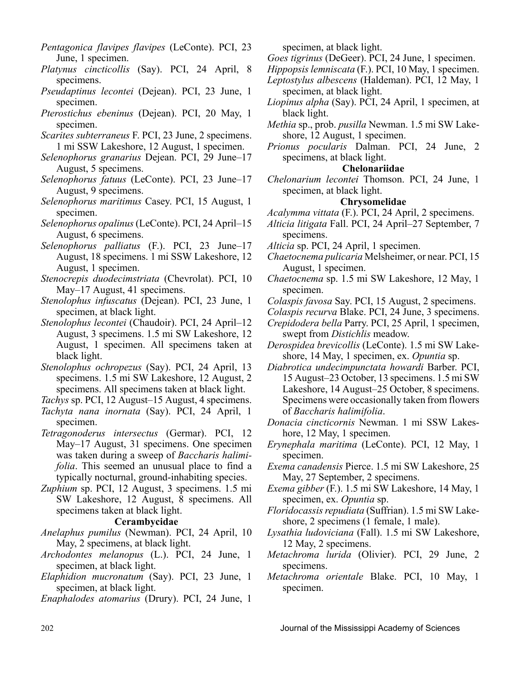- *Pentagonica flavipes flavipes* (LeConte). PCI, 23 June, 1 specimen.
- *Platynus cincticollis* (Say). PCI, 24 April, 8 specimens.
- *Pseudaptinus lecontei* (Dejean). PCI, 23 June, 1 specimen.
- *Pterostichus ebeninus* (Dejean). PCI, 20 May, 1 specimen.
- *Scarites subterraneus* F. PCI, 23 June, 2 specimens. 1 mi SSW Lakeshore, 12 August, 1 specimen.
- *Selenophorus granarius* Dejean. PCI, 29 June–17 August, 5 specimens.
- *Selenophorus fatuus* (LeConte). PCI, 23 June–17 August, 9 specimens.
- *Selenophorus maritimus* Casey. PCI, 15 August, 1 specimen.
- *Selenophorus opalinus* (LeConte). PCI, 24 April–15 August, 6 specimens.
- *Selenophorus palliatus* (F.). PCI, 23 June–17 August, 18 specimens. 1 mi SSW Lakeshore, 12 August, 1 specimen.
- *Stenocrepis duodecimstriata* (Chevrolat). PCI, 10 May–17 August, 41 specimens.
- *Stenolophus infuscatus* (Dejean). PCI, 23 June, 1 specimen, at black light.
- *Stenolophus lecontei* (Chaudoir). PCI, 24 April–12 August, 3 specimens. 1.5 mi SW Lakeshore, 12 August, 1 specimen. All specimens taken at black light.
- *Stenolophus ochropezus* (Say). PCI, 24 April, 13 specimens. 1.5 mi SW Lakeshore, 12 August, 2 specimens. All specimens taken at black light.
- *Tachys* sp. PCI, 12 August–15 August, 4 specimens.
- *Tachyta nana inornata* (Say). PCI, 24 April, 1 specimen.
- *Tetragonoderus intersectus* (Germar). PCI, 12 May–17 August, 31 specimens. One specimen was taken during a sweep of *Baccharis halimifolia*. This seemed an unusual place to find a typically nocturnal, ground-inhabiting species.
- *Zuphium* sp. PCI, 12 August, 3 specimens. 1.5 mi SW Lakeshore, 12 August, 8 specimens. All specimens taken at black light.

# **Cerambycidae**

- *Anelaphus pumilus* (Newman). PCI, 24 April, 10 May, 2 specimens, at black light.
- *Archodontes melanopus* (L.). PCI, 24 June, 1 specimen, at black light.
- *Elaphidion mucronatum* (Say). PCI, 23 June, 1 specimen, at black light.
- *Enaphalodes atomarius* (Drury). PCI, 24 June, 1

specimen, at black light.

*Goes tigrinus* (DeGeer). PCI, 24 June, 1 specimen.

*Hippopsis lemniscata* (F.). PCI, 10 May, 1 specimen.

- *Leptostylus albescens* (Haldeman). PCI, 12 May, 1 specimen, at black light.
- *Liopinus alpha* (Say). PCI, 24 April, 1 specimen, at black light.
- *Methia* sp., prob. *pusilla* Newman. 1.5 mi SW Lakeshore, 12 August, 1 specimen.
- *Prionus pocularis* Dalman. PCI, 24 June, 2 specimens, at black light.

# **Chelonariidae**

*Chelonarium lecontei* Thomson. PCI, 24 June, 1 specimen, at black light.

#### **Chrysomelidae**

- *Acalymma vittata* (F.). PCI, 24 April, 2 specimens.
- *Alticia litigata* Fall. PCI, 24 April–27 September, 7 specimens.
- *Alticia* sp. PCI, 24 April, 1 specimen.
- *Chaetocnema pulicaria* Melsheimer, or near. PCI, 15 August, 1 specimen.
- *Chaetocnema* sp. 1.5 mi SW Lakeshore, 12 May, 1 specimen.
- *Colaspis favosa* Say. PCI, 15 August, 2 specimens.
- *Colaspis recurva* Blake. PCI, 24 June, 3 specimens.
- *Crepidodera bella* Parry. PCI, 25 April, 1 specimen, swept from *Distichlis* meadow.
- *Derospidea brevicollis* (LeConte). 1.5 mi SW Lakeshore, 14 May, 1 specimen, ex. *Opuntia* sp.
- *Diabrotica undecimpunctata howardi* Barber. PCI, 15 August–23 October, 13 specimens. 1.5 mi SW Lakeshore, 14 August–25 October, 8 specimens. Specimens were occasionally taken from flowers of *Baccharis halimifolia*.
- *Donacia cincticornis* Newman. 1 mi SSW Lakeshore, 12 May, 1 specimen.
- *Erynephala maritima* (LeConte). PCI, 12 May, 1 specimen.
- *Exema canadensis* Pierce. 1.5 mi SW Lakeshore, 25 May, 27 September, 2 specimens.
- *Exema gibber* (F.). 1.5 mi SW Lakeshore, 14 May, 1 specimen, ex. *Opuntia* sp.
- *Floridocassis repudiata* (Suffrian). 1.5 mi SW Lakeshore, 2 specimens (1 female, 1 male).
- *Lysathia ludoviciana* (Fall). 1.5 mi SW Lakeshore, 12 May, 2 specimens.
- *Metachroma lurida* (Olivier). PCI, 29 June, 2 specimens.
- *Metachroma orientale* Blake. PCI, 10 May, 1 specimen.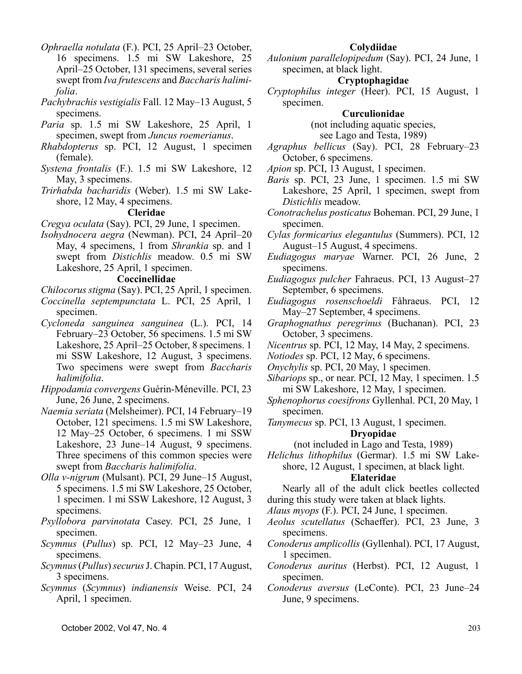*Ophraella notulata* (F.). PCI, 25 April–23 October, 16 specimens. 1.5 mi SW Lakeshore, 25 April–25 October, 131 specimens, several series swept from *Iva frutescens* and *Baccharis halimifolia*.

- *Pachybrachis vestigialis* Fall. 12 May–13 August, 5 specimens.
- *Paria* sp. 1.5 mi SW Lakeshore, 25 April, 1 specimen, swept from *Juncus roemerianus*.
- *Rhabdopterus* sp. PCI, 12 August, 1 specimen (female).
- *Systena frontalis* (F.). 1.5 mi SW Lakeshore, 12 May, 3 specimens.
- *Trirhabda bacharidis* (Weber). 1.5 mi SW Lakeshore, 12 May, 4 specimens.

**Cleridae**

*Cregya oculata* (Say). PCI, 29 June, 1 specimen.

*Isohydnocera aegra* (Newman). PCI, 24 April–20 May, 4 specimens, 1 from *Shrankia* sp. and 1 swept from *Distichlis* meadow. 0.5 mi SW Lakeshore, 25 April, 1 specimen.

# **Coccinellidae**

- *Chilocorus stigma* (Say). PCI, 25 April, 1 specimen.
- *Coccinella septempunctata* L. PCI, 25 April, 1 specimen.
- *Cycloneda sanguinea sanguinea* (L.). PCI, 14 February–23 October, 56 specimens. 1.5 mi SW Lakeshore, 25 April–25 October, 8 specimens. 1 mi SSW Lakeshore, 12 August, 3 specimens. Two specimens were swept from *Baccharis halimifolia*.
- *Hippodamia convergens* Guérin-Méneville. PCI, 23 June, 26 June, 2 specimens.
- *Naemia seriata* (Melsheimer). PCI, 14 February–19 October, 121 specimens. 1.5 mi SW Lakeshore, 12 May–25 October, 6 specimens. 1 mi SSW Lakeshore, 23 June–14 August, 9 specimens. Three specimens of this common species were swept from *Baccharis halimifolia*.
- *Olla v-nigrum* (Mulsant). PCI, 29 June–15 August, 5 specimens. 1.5 mi SW Lakeshore, 25 October, 1 specimen. 1 mi SSW Lakeshore, 12 August, 3 specimens.
- *Psyllobora parvinotata* Casey. PCI, 25 June, 1 specimen.
- *Scymnus* (*Pullus*) sp. PCI, 12 May–23 June, 4 specimens.
- *Scymnus* (*Pullus*) *securus* J. Chapin. PCI, 17 August, 3 specimens.
- *Scymnus* (*Scymnus*) *indianensis* Weise. PCI, 24 April, 1 specimen.

#### **Colydiidae**

*Aulonium parallelopipedum* (Say). PCI, 24 June, 1 specimen, at black light.

## **Cryptophagidae**

*Cryptophilus integer* (Heer). PCI, 15 August, 1 specimen.

# **Curculionidae**

(not including aquatic species, see Lago and Testa, 1989)

- *Agraphus bellicus* (Say). PCI, 28 February–23 October, 6 specimens.
- *Apion* sp. PCI, 13 August, 1 specimen.
- *Baris* sp. PCI, 23 June, 1 specimen. 1.5 mi SW Lakeshore, 25 April, 1 specimen, swept from *Distichlis* meadow.
- *Conotrachelus posticatus* Boheman. PCI, 29 June, 1 specimen.

*Cylas formicarius elegantulus* (Summers). PCI, 12 August–15 August, 4 specimens.

- *Eudiagogus maryae* Warner. PCI, 26 June, 2 specimens.
- *Eudiagogus pulcher* Fahraeus. PCI, 13 August–27 September, 6 specimens.
- *Eudiagogus rosenschoeldi* Fåhraeus. PCI, 12 May–27 September, 4 specimens.
- *Graphognathus peregrinus* (Buchanan). PCI, 23 October, 3 specimens.
- *Nicentrus* sp. PCI, 12 May, 14 May, 2 specimens.
- *Notiodes* sp. PCI, 12 May, 6 specimens.
- *Onychylis* sp. PCI, 20 May, 1 specimen.
- *Sibariops* sp., or near. PCI, 12 May, 1 specimen. 1.5 mi SW Lakeshore, 12 May, 1 specimen.
- *Sphenophorus coesifrons* Gyllenhal. PCI, 20 May, 1 specimen.
- *Tanymecus* sp. PCI, 13 August, 1 specimen.

### **Dryopidae**

(not included in Lago and Testa, 1989)

*Helichus lithophilus* (Germar). 1.5 mi SW Lakeshore, 12 August, 1 specimen, at black light.

# **Elateridae**

Nearly all of the adult click beetles collected during this study were taken at black lights.

*Alaus myops* (F.). PCI, 24 June, 1 specimen.

- *Aeolus scutellatus* (Schaeffer). PCI, 23 June, 3 specimens.
- *Conoderus amplicollis* (Gyllenhal). PCI, 17 August, 1 specimen.
- *Conoderus auritus* (Herbst). PCI, 12 August, 1 specimen.
- *Conoderus aversus* (LeConte). PCI, 23 June–24 June, 9 specimens.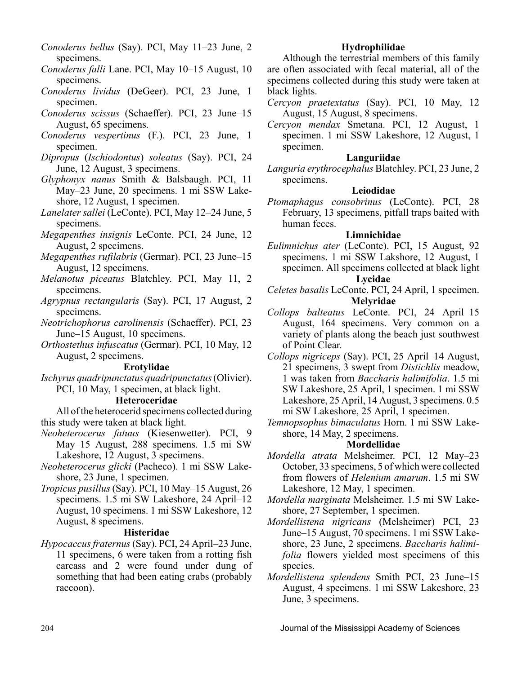- *Conoderus bellus* (Say). PCI, May 11–23 June, 2 specimens.
- *Conoderus falli* Lane. PCI, May 10–15 August, 10 specimens.
- *Conoderus lividus* (DeGeer). PCI, 23 June, 1 specimen.
- *Conoderus scissus* (Schaeffer). PCI, 23 June–15 August, 65 specimens.
- *Conoderus vespertinus* (F.). PCI, 23 June, 1 specimen.
- *Dipropus* (*Ischiodontus*) *soleatus* (Say). PCI, 24 June, 12 August, 3 specimens.
- *Glyphonyx nanus* Smith & Balsbaugh. PCI, 11 May–23 June, 20 specimens. 1 mi SSW Lakeshore, 12 August, 1 specimen.
- *Lanelater sallei* (LeConte). PCI, May 12–24 June, 5 specimens.
- *Megapenthes insignis* LeConte. PCI, 24 June, 12 August, 2 specimens.
- *Megapenthes rufilabris* (Germar). PCI, 23 June–15 August, 12 specimens.
- *Melanotus piceatus* Blatchley. PCI, May 11, 2 specimens.
- *Agrypnus rectangularis* (Say). PCI, 17 August, 2 specimens.
- *Neotrichophorus carolinensis* (Schaeffer). PCI, 23 June–15 August, 10 specimens.
- *Orthostethus infuscatus* (Germar). PCI, 10 May, 12 August, 2 specimens.

#### **Erotylidae**

*Ischyrus quadripunctatus quadripunctatus* (Olivier). PCI, 10 May, 1 specimen, at black light.

#### **Heteroceridae**

All of the heterocerid specimens collected during this study were taken at black light.

- *Neoheterocerus fatuus* (Kiesenwetter). PCI, 9 May–15 August, 288 specimens. 1.5 mi SW Lakeshore, 12 August, 3 specimens.
- *Neoheterocerus glicki* (Pacheco). 1 mi SSW Lakeshore, 23 June, 1 specimen.
- *Tropicus pusillus* (Say). PCI, 10 May–15 August, 26 specimens. 1.5 mi SW Lakeshore, 24 April–12 August, 10 specimens. 1 mi SSW Lakeshore, 12 August, 8 specimens.

#### **Histeridae**

*Hypocaccus fraternus* (Say). PCI, 24 April–23 June, 11 specimens, 6 were taken from a rotting fish carcass and 2 were found under dung of something that had been eating crabs (probably raccoon).

## **Hydrophilidae**

Although the terrestrial members of this family are often associated with fecal material, all of the specimens collected during this study were taken at black lights.

- *Cercyon praetextatus* (Say). PCI, 10 May, 12 August, 15 August, 8 specimens.
- *Cercyon mendax* Smetana. PCI, 12 August, 1 specimen. 1 mi SSW Lakeshore, 12 August, 1 specimen.

#### **Languriidae**

*Languria erythrocephalus* Blatchley. PCI, 23 June, 2 specimens.

#### **Leiodidae**

*Ptomaphagus consobrinus* (LeConte). PCI, 28 February, 13 specimens, pitfall traps baited with human feces.

#### **Limnichidae**

- *Eulimnichus ater* (LeConte). PCI, 15 August, 92 specimens. 1 mi SSW Lakshore, 12 August, 1 specimen. All specimens collected at black light **Lycidae**
- *Celetes basalis* LeConte. PCI, 24 April, 1 specimen. **Melyridae**
- *Collops balteatus* LeConte. PCI, 24 April–15 August, 164 specimens. Very common on a variety of plants along the beach just southwest of Point Clear.
- *Collops nigriceps* (Say). PCI, 25 April–14 August, 21 specimens, 3 swept from *Distichlis* meadow, 1 was taken from *Baccharis halimifolia*. 1.5 mi SW Lakeshore, 25 April, 1 specimen. 1 mi SSW Lakeshore, 25 April, 14 August, 3 specimens. 0.5 mi SW Lakeshore, 25 April, 1 specimen.
- *Temnopsophus bimaculatus* Horn. 1 mi SSW Lakeshore, 14 May, 2 specimens.

#### **Mordellidae**

- *Mordella atrata* Melsheimer. PCI, 12 May–23 October, 33 specimens, 5 of which were collected from flowers of *Helenium amarum*. 1.5 mi SW Lakeshore, 12 May, 1 specimen.
- *Mordella marginata* Melsheimer. 1.5 mi SW Lakeshore, 27 September, 1 specimen.
- *Mordellistena nigricans* (Melsheimer) PCI, 23 June–15 August, 70 specimens. 1 mi SSW Lakeshore, 23 June, 2 specimens. *Baccharis halimifolia* flowers yielded most specimens of this species.
- *Mordellistena splendens* Smith PCI, 23 June–15 August, 4 specimens. 1 mi SSW Lakeshore, 23 June, 3 specimens.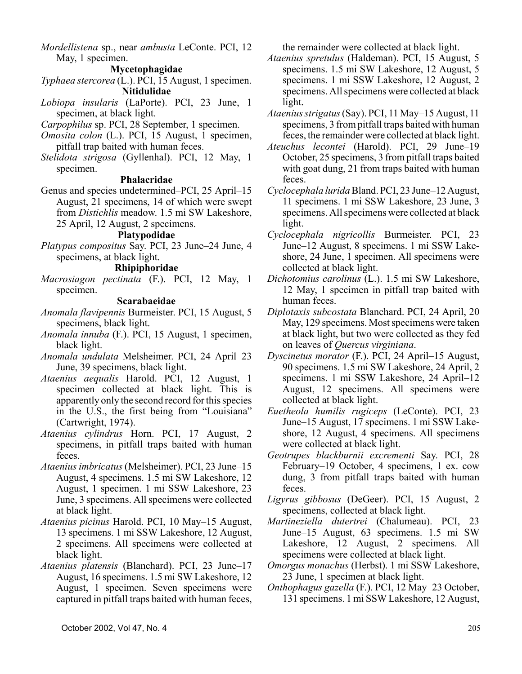*Mordellistena* sp., near *ambusta* LeConte. PCI, 12 May, 1 specimen.

#### **Mycetophagidae**

- *Typhaea stercorea* (L.). PCI, 15 August, 1 specimen. **Nitidulidae**
- *Lobiopa insularis* (LaPorte). PCI, 23 June, 1 specimen, at black light.
- *Carpophilus* sp. PCI, 28 September, 1 specimen.
- *Omosita colon* (L.). PCI, 15 August, 1 specimen, pitfall trap baited with human feces.
- *Stelidota strigosa* (Gyllenhal). PCI, 12 May, 1 specimen.

#### **Phalacridae**

Genus and species undetermined–PCI, 25 April–15 August, 21 specimens, 14 of which were swept from *Distichlis* meadow. 1.5 mi SW Lakeshore, 25 April, 12 August, 2 specimens.

#### **Platypodidae**

*Platypus compositus* Say. PCI, 23 June–24 June, 4 specimens, at black light.

#### **Rhipiphoridae**

*Macrosiagon pectinata* (F.). PCI, 12 May, 1 specimen.

#### **Scarabaeidae**

- *Anomala flavipennis* Burmeister. PCI, 15 August, 5 specimens, black light.
- *Anomala innuba* (F.). PCI, 15 August, 1 specimen, black light.
- *Anomala undulata* Melsheimer. PCI, 24 April–23 June, 39 specimens, black light.
- *Ataenius aequalis* Harold. PCI, 12 August, 1 specimen collected at black light. This is apparently only the second record for this species in the U.S., the first being from "Louisiana" (Cartwright, 1974).
- *Ataenius cylindrus* Horn. PCI, 17 August, 2 specimens, in pitfall traps baited with human feces.
- *Ataenius imbricatus* (Melsheimer). PCI, 23 June–15 August, 4 specimens. 1.5 mi SW Lakeshore, 12 August, 1 specimen. 1 mi SSW Lakeshore, 23 June, 3 specimens. All specimens were collected at black light.
- *Ataenius picinus* Harold. PCI, 10 May–15 August, 13 specimens. 1 mi SSW Lakeshore, 12 August, 2 specimens. All specimens were collected at black light.
- *Ataenius platensis* (Blanchard). PCI, 23 June–17 August, 16 specimens. 1.5 mi SW Lakeshore, 12 August, 1 specimen. Seven specimens were captured in pitfall traps baited with human feces,

the remainder were collected at black light.

- *Ataenius spretulus* (Haldeman). PCI, 15 August, 5 specimens. 1.5 mi SW Lakeshore, 12 August, 5 specimens. 1 mi SSW Lakeshore, 12 August, 2 specimens. All specimens were collected at black light.
- *Ataenius strigatus* (Say). PCI, 11 May–15 August, 11 specimens, 3 from pitfall traps baited with human feces, the remainder were collected at black light.
- *Ateuchus lecontei* (Harold). PCI, 29 June–19 October, 25 specimens, 3 from pitfall traps baited with goat dung, 21 from traps baited with human feces.
- *Cyclocephala lurida* Bland. PCI, 23 June–12 August, 11 specimens. 1 mi SSW Lakeshore, 23 June, 3 specimens. All specimens were collected at black light.
- *Cyclocephala nigricollis* Burmeister. PCI, 23 June–12 August, 8 specimens. 1 mi SSW Lakeshore, 24 June, 1 specimen. All specimens were collected at black light.
- *Dichotomius carolinus* (L.). 1.5 mi SW Lakeshore, 12 May, 1 specimen in pitfall trap baited with human feces.
- *Diplotaxis subcostata* Blanchard. PCI, 24 April, 20 May, 129 specimens. Most specimens were taken at black light, but two were collected as they fed on leaves of *Quercus virginiana*.
- *Dyscinetus morator* (F.). PCI, 24 April–15 August, 90 specimens. 1.5 mi SW Lakeshore, 24 April, 2 specimens. 1 mi SSW Lakeshore, 24 April–12 August, 12 specimens. All specimens were collected at black light.
- *Euetheola humilis rugiceps* (LeConte). PCI, 23 June–15 August, 17 specimens. 1 mi SSW Lakeshore, 12 August, 4 specimens. All specimens were collected at black light.
- *Geotrupes blackburnii excrementi* Say. PCI, 28 February–19 October, 4 specimens, 1 ex. cow dung, 3 from pitfall traps baited with human feces.
- *Ligyrus gibbosus* (DeGeer). PCI, 15 August, 2 specimens, collected at black light.
- *Martineziella dutertrei* (Chalumeau). PCI, 23 June–15 August, 63 specimens. 1.5 mi SW Lakeshore, 12 August, 2 specimens. All specimens were collected at black light.
- *Omorgus monachus* (Herbst). 1 mi SSW Lakeshore, 23 June, 1 specimen at black light.
- *Onthophagus gazella* (F.). PCI, 12 May–23 October, 131 specimens. 1 mi SSW Lakeshore, 12 August,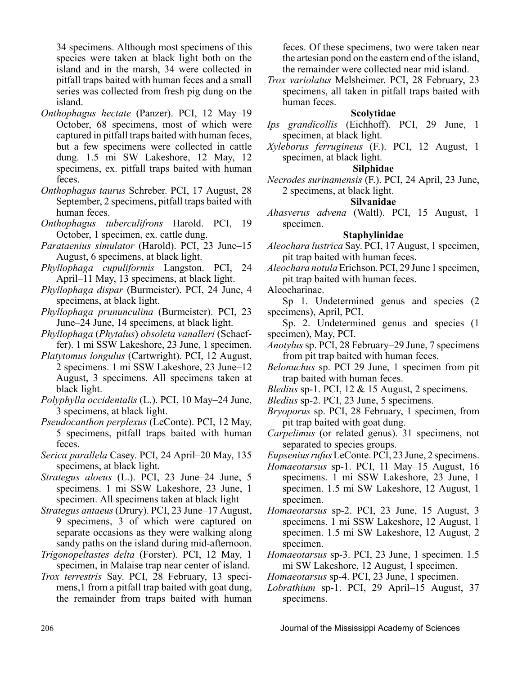34 specimens. Although most specimens of this species were taken at black light both on the island and in the marsh, 34 were collected in pitfall traps baited with human feces and a small series was collected from fresh pig dung on the island.

- *Onthophagus hectate* (Panzer). PCI, 12 May–19 October, 68 specimens, most of which were captured in pitfall traps baited with human feces, but a few specimens were collected in cattle dung. 1.5 mi SW Lakeshore, 12 May, 12 specimens, ex. pitfall traps baited with human feces.
- *Onthophagus taurus* Schreber. PCI, 17 August, 28 September, 2 specimens, pitfall traps baited with human feces.
- *Onthophagus tuberculifrons* Harold. PCI, 19 October, 1 specimen, ex. cattle dung.
- *Parataenius simulator* (Harold). PCI, 23 June–15 August, 6 specimens, at black light.
- *Phyllophaga cupuliformis* Langston. PCI, 24 April–11 May, 13 specimens, at black light.
- *Phyllophaga dispar* (Burmeister). PCI, 24 June, 4 specimens, at black light.
- *Phyllophaga prununculina* (Burmeister). PCI, 23 June–24 June, 14 specimens, at black light.
- *Phyllophaga* (*Phytalus*) *obsoleta vanalleri* (Schaeffer). 1 mi SSW Lakeshore, 23 June, 1 specimen.
- *Platytomus longulus* (Cartwright). PCI, 12 August, 2 specimens. 1 mi SSW Lakeshore, 23 June–12 August, 3 specimens. All specimens taken at black light.
- *Polyphylla occidentalis* (L.). PCI, 10 May–24 June, 3 specimens, at black light.
- *Pseudocanthon perplexus* (LeConte). PCI, 12 May, 5 specimens, pitfall traps baited with human feces.
- *Serica parallela* Casey. PCI, 24 April–20 May, 135 specimens, at black light.
- *Strategus aloeus* (L.). PCI, 23 June–24 June, 5 specimens. 1 mi SSW Lakeshore, 23 June, 1 specimen. All specimens taken at black light
- *Strategus antaeus* (Drury). PCI, 23 June–17 August, 9 specimens, 3 of which were captured on separate occasions as they were walking along sandy paths on the island during mid-afternoon.
- *Trigonopeltastes delta* (Forster). PCI, 12 May, 1 specimen, in Malaise trap near center of island.
- *Trox terrestris* Say. PCI, 28 February, 13 specimens,1 from a pitfall trap baited with goat dung, the remainder from traps baited with human

feces. Of these specimens, two were taken near the artesian pond on the eastern end of the island, the remainder were collected near mid island.

*Trox variolatus* Melsheimer. PCI, 28 February, 23 specimens, all taken in pitfall traps baited with human feces.

## **Scolytidae**

- *Ips grandicollis* (Eichhoff). PCI, 29 June, 1 specimen, at black light.
- *Xyleborus ferrugineus* (F.). PCI, 12 August, 1 specimen, at black light.

## **Silphidae**

*Necrodes surinamensis* (F.). PCI, 24 April, 23 June, 2 specimens, at black light.

# **Silvanidae**

*Ahasverus advena* (Waltl). PCI, 15 August, 1 specimen.

# **Staphylinidae**

- *Aleochara lustrica* Say. PCI, 17 August, 1 specimen, pit trap baited with human feces.
- *Aleochara notula* Erichson. PCI, 29 June 1 specimen, pit trap baited with human feces.
- Aleocharinae.

Sp 1. Undetermined genus and species (2 specimens), April, PCI.

Sp. 2. Undetermined genus and species (1 specimen), May, PCI.

- *Anotylus* sp. PCI, 28 February–29 June, 7 specimens from pit trap baited with human feces.
- *Belonuchus* sp. PCI 29 June, 1 specimen from pit trap baited with human feces.
- *Bledius* sp-1. PCI, 12 & 15 August, 2 specimens.
- *Bledius* sp-2. PCI, 23 June, 5 specimens.
- *Bryoporus* sp. PCI, 28 February, 1 specimen, from pit trap baited with goat dung.
- *Carpelimus* (or related genus). 31 specimens, not separated to species groups.

*Eupsenius rufus* LeConte. PCI, 23 June, 2 specimens.

- *Homaeotarsus* sp-1. PCI, 11 May–15 August, 16 specimens. 1 mi SSW Lakeshore, 23 June, 1 specimen. 1.5 mi SW Lakeshore, 12 August, 1 specimen.
- *Homaeotarsus* sp-2. PCI, 23 June, 15 August, 3 specimens. 1 mi SSW Lakeshore, 12 August, 1 specimen. 1.5 mi SW Lakeshore, 12 August, 2 specimen.
- *Homaeotarsus* sp-3. PCI, 23 June, 1 specimen. 1.5 mi SW Lakeshore, 12 August, 1 specimen.
- *Homaeotarsus* sp-4. PCI, 23 June, 1 specimen.
- *Lobrathium* sp-1. PCI, 29 April–15 August, 37 specimens.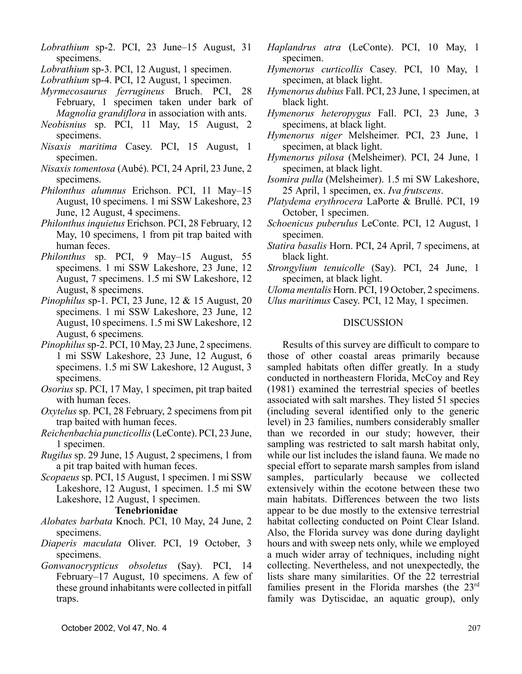- *Lobrathium* sp-2. PCI, 23 June–15 August, 31 specimens.
- *Lobrathium* sp-3. PCI, 12 August, 1 specimen.
- *Lobrathium* sp-4. PCI, 12 August, 1 specimen.
- *Myrmecosaurus ferrugineus* Bruch. PCI, 28 February, 1 specimen taken under bark of *Magnolia grandiflora* in association with ants.
- *Neobisnius* sp. PCI, 11 May, 15 August, 2 specimens.
- *Nisaxis maritima* Casey. PCI, 15 August, 1 specimen.
- *Nisaxis tomentosa* (Aubé). PCI, 24 April, 23 June, 2 specimens.
- *Philonthus alumnus* Erichson. PCI, 11 May–15 August, 10 specimens. 1 mi SSW Lakeshore, 23 June, 12 August, 4 specimens.
- *Philonthus inquietus* Erichson. PCI, 28 February, 12 May, 10 specimens, 1 from pit trap baited with human feces.
- *Philonthus* sp. PCI, 9 May–15 August, 55 specimens. 1 mi SSW Lakeshore, 23 June, 12 August, 7 specimens. 1.5 mi SW Lakeshore, 12 August, 8 specimens.
- *Pinophilus* sp-1. PCI, 23 June, 12 & 15 August, 20 specimens. 1 mi SSW Lakeshore, 23 June, 12 August, 10 specimens. 1.5 mi SW Lakeshore, 12 August, 6 specimens.
- *Pinophilus* sp-2. PCI, 10 May, 23 June, 2 specimens. 1 mi SSW Lakeshore, 23 June, 12 August, 6 specimens. 1.5 mi SW Lakeshore, 12 August, 3 specimens.
- *Osorius* sp. PCI, 17 May, 1 specimen, pit trap baited with human feces.
- *Oxytelus* sp. PCI, 28 February, 2 specimens from pit trap baited with human feces.
- *Reichenbachia puncticollis* (LeConte). PCI, 23 June, 1 specimen.
- *Rugilus* sp. 29 June, 15 August, 2 specimens, 1 from a pit trap baited with human feces.
- *Scopaeus* sp. PCI, 15 August, 1 specimen. 1 mi SSW Lakeshore, 12 August, 1 specimen. 1.5 mi SW Lakeshore, 12 August, 1 specimen. **Tenebrionidae**
- *Alobates barbata* Knoch. PCI, 10 May, 24 June, 2 specimens.
- *Diaperis maculata* Oliver. PCI, 19 October, 3 specimens.
- *Gonwanocrypticus obsoletus* (Say). PCI, 14 February–17 August, 10 specimens. A few of these ground inhabitants were collected in pitfall traps.
- *Haplandrus atra* (LeConte). PCI, 10 May, 1 specimen.
- *Hymenorus curticollis* Casey. PCI, 10 May, 1 specimen, at black light.
- *Hymenorus dubius* Fall. PCI, 23 June, 1 specimen, at black light.
- *Hymenorus heteropygus* Fall. PCI, 23 June, 3 specimens, at black light.
- *Hymenorus niger* Melsheimer. PCI, 23 June, 1 specimen, at black light.
- *Hymenorus pilosa* (Melsheimer). PCI, 24 June, 1 specimen, at black light.
- *Isomira pulla* (Melsheimer). 1.5 mi SW Lakeshore, 25 April, 1 specimen, ex. *Iva frutscens*.
- *Platydema erythrocera* LaPorte & Brullé. PCI, 19 October, 1 specimen.
- *Schoenicus puberulus* LeConte. PCI, 12 August, 1 specimen.
- *Statira basalis* Horn. PCI, 24 April, 7 specimens, at black light.
- *Strongylium tenuicolle* (Say). PCI, 24 June, 1 specimen, at black light.
- *Uloma mentalis* Horn. PCI, 19 October, 2 specimens. *Ulus maritimus* Casey. PCI, 12 May, 1 specimen.

## DISCUSSION

Results of this survey are difficult to compare to those of other coastal areas primarily because sampled habitats often differ greatly. In a study conducted in northeastern Florida, McCoy and Rey (1981) examined the terrestrial species of beetles associated with salt marshes. They listed 51 species (including several identified only to the generic level) in 23 families, numbers considerably smaller than we recorded in our study; however, their sampling was restricted to salt marsh habitat only, while our list includes the island fauna. We made no special effort to separate marsh samples from island samples, particularly because we collected extensively within the ecotone between these two main habitats. Differences between the two lists appear to be due mostly to the extensive terrestrial habitat collecting conducted on Point Clear Island. Also, the Florida survey was done during daylight hours and with sweep nets only, while we employed a much wider array of techniques, including night collecting. Nevertheless, and not unexpectedly, the lists share many similarities. Of the 22 terrestrial families present in the Florida marshes (the  $23<sup>rd</sup>$ family was Dytiscidae, an aquatic group), only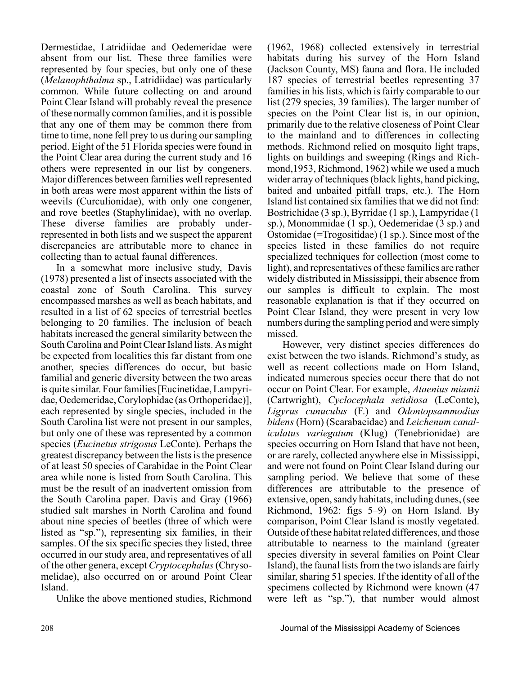Dermestidae, Latridiidae and Oedemeridae were absent from our list. These three families were represented by four species, but only one of these (*Melanophthalma* sp., Latridiidae) was particularly common. While future collecting on and around Point Clear Island will probably reveal the presence of these normally common families, and it is possible that any one of them may be common there from time to time, none fell prey to us during our sampling period. Eight of the 51 Florida species were found in the Point Clear area during the current study and 16 others were represented in our list by congeners. Major differences between families well represented in both areas were most apparent within the lists of weevils (Curculionidae), with only one congener, and rove beetles (Staphylinidae), with no overlap. These diverse families are probably underrepresented in both lists and we suspect the apparent discrepancies are attributable more to chance in collecting than to actual faunal differences.

In a somewhat more inclusive study, Davis (1978) presented a list of insects associated with the coastal zone of South Carolina. This survey encompassed marshes as well as beach habitats, and resulted in a list of 62 species of terrestrial beetles belonging to 20 families. The inclusion of beach habitats increased the general similarity between the South Carolina and Point Clear Island lists. As might be expected from localities this far distant from one another, species differences do occur, but basic familial and generic diversity between the two areas is quite similar. Four families [Eucinetidae, Lampyridae, Oedemeridae, Corylophidae (as Orthoperidae)], each represented by single species, included in the South Carolina list were not present in our samples, but only one of these was represented by a common species (*Eucinetus strigosus* LeConte). Perhaps the greatest discrepancy between the lists is the presence of at least 50 species of Carabidae in the Point Clear area while none is listed from South Carolina. This must be the result of an inadvertent omission from the South Carolina paper. Davis and Gray (1966) studied salt marshes in North Carolina and found about nine species of beetles (three of which were listed as "sp."), representing six families, in their samples. Of the six specific species they listed, three occurred in our study area, and representatives of all of the other genera, except *Cryptocephalus* (Chrysomelidae), also occurred on or around Point Clear Island.

Unlike the above mentioned studies, Richmond

(1962, 1968) collected extensively in terrestrial habitats during his survey of the Horn Island (Jackson County, MS) fauna and flora. He included 187 species of terrestrial beetles representing 37 families in his lists, which is fairly comparable to our list (279 species, 39 families). The larger number of species on the Point Clear list is, in our opinion, primarily due to the relative closeness of Point Clear to the mainland and to differences in collecting methods. Richmond relied on mosquito light traps, lights on buildings and sweeping (Rings and Richmond,1953, Richmond, 1962) while we used a much wider array of techniques (black lights, hand picking, baited and unbaited pitfall traps, etc.). The Horn Island list contained six families that we did not find: Bostrichidae (3 sp.), Byrridae (1 sp.), Lampyridae (1 sp.), Monommidae (1 sp.), Oedemeridae (3 sp.) and Ostomidae (=Trogositidae) (1 sp.). Since most of the species listed in these families do not require specialized techniques for collection (most come to light), and representatives of these families are rather widely distributed in Mississippi, their absence from our samples is difficult to explain. The most reasonable explanation is that if they occurred on Point Clear Island, they were present in very low numbers during the sampling period and were simply missed.

However, very distinct species differences do exist between the two islands. Richmond's study, as well as recent collections made on Horn Island, indicated numerous species occur there that do not occur on Point Clear. For example, *Ataenius miamii* (Cartwright), *Cyclocephala setidiosa* (LeConte), *Ligyrus cunuculus* (F.) and *Odontopsammodius bidens* (Horn) (Scarabaeidae) and *Leichenum canaliculatus variegatum* (Klug) (Tenebrionidae) are species occurring on Horn Island that have not been, or are rarely, collected anywhere else in Mississippi, and were not found on Point Clear Island during our sampling period. We believe that some of these differences are attributable to the presence of extensive, open, sandy habitats, including dunes, (see Richmond, 1962: figs 5–9) on Horn Island. By comparison, Point Clear Island is mostly vegetated. Outside of these habitat related differences, and those attributable to nearness to the mainland (greater species diversity in several families on Point Clear Island), the faunal lists from the two islands are fairly similar, sharing 51 species. If the identity of all of the specimens collected by Richmond were known (47 were left as "sp."), that number would almost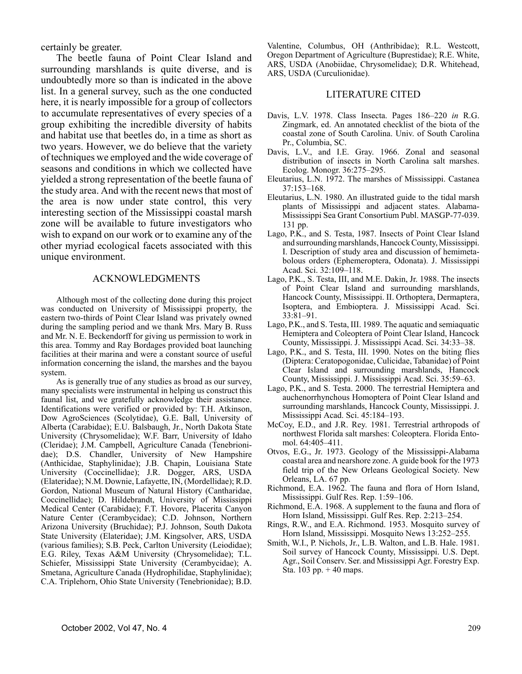certainly be greater.

The beetle fauna of Point Clear Island and surrounding marshlands is quite diverse, and is undoubtedly more so than is indicated in the above list. In a general survey, such as the one conducted here, it is nearly impossible for a group of collectors to accumulate representatives of every species of a group exhibiting the incredible diversity of habits and habitat use that beetles do, in a time as short as two years. However, we do believe that the variety of techniques we employed and the wide coverage of seasons and conditions in which we collected have yielded a strong representation of the beetle fauna of the study area. And with the recent news that most of the area is now under state control, this very interesting section of the Mississippi coastal marsh zone will be available to future investigators who wish to expand on our work or to examine any of the other myriad ecological facets associated with this unique environment.

#### ACKNOWLEDGMENTS

Although most of the collecting done during this project was conducted on University of Mississippi property, the eastern two-thirds of Point Clear Island was privately owned during the sampling period and we thank Mrs. Mary B. Russ and Mr. N. E. Beckendorff for giving us permission to work in this area. Tommy and Ray Bordages provided boat launching facilities at their marina and were a constant source of useful information concerning the island, the marshes and the bayou system.

As is generally true of any studies as broad as our survey, many specialists were instrumental in helping us construct this faunal list, and we gratefully acknowledge their assistance. Identifications were verified or provided by: T.H. Atkinson, Dow AgroSciences (Scolytidae), G.E. Ball, University of Alberta (Carabidae); E.U. Balsbaugh, Jr., North Dakota State University (Chrysomelidae); W.F. Barr, University of Idaho (Cleridae); J.M. Campbell, Agriculture Canada (Tenebrionidae); D.S. Chandler, University of New Hampshire (Anthicidae, Staphylinidae); J.B. Chapin, Louisiana State University (Coccinellidae); J.R. Dogger, ARS, USDA (Elateridae); N.M. Downie, Lafayette, IN, (Mordellidae); R.D. Gordon, National Museum of Natural History (Cantharidae, Coccinellidae); D. Hildebrandt, University of Mississippi Medical Center (Carabidae); F.T. Hovore, Placerita Canyon Nature Center (Cerambycidae); C.D. Johnson, Northern Arizona University (Bruchidae); P.J. Johnson, South Dakota State University (Elateridae); J.M. Kingsolver, ARS, USDA (various families); S.B. Peck, Carlton University (Leiodidae); E.G. Riley, Texas A&M University (Chrysomelidae); T.L. Schiefer, Mississippi State University (Cerambycidae); A. Smetana, Agriculture Canada (Hydrophilidae, Staphylinidae); C.A. Triplehorn, Ohio State University (Tenebrionidae); B.D.

Valentine, Columbus, OH (Anthribidae); R.L. Westcott, Oregon Department of Agriculture (Buprestidae); R.E. White, ARS, USDA (Anobiidae, Chrysomelidae); D.R. Whitehead, ARS, USDA (Curculionidae).

#### LITERATURE CITED

- Davis, L.V. 1978. Class Insecta. Pages 186–220 *in* R.G. Zingmark, ed. An annotated checklist of the biota of the coastal zone of South Carolina. Univ. of South Carolina Pr., Columbia, SC.
- Davis, L.V., and I.E. Gray. 1966. Zonal and seasonal distribution of insects in North Carolina salt marshes. Ecolog. Monogr. 36:275–295.
- Eleutarius, L.N. 1972. The marshes of Mississippi. Castanea 37:153–168.
- Eleutarius, L.N. 1980. An illustrated guide to the tidal marsh plants of Mississippi and adjacent states. Alabama-Mississippi Sea Grant Consortium Publ. MASGP-77-039. 131 pp.
- Lago, P.K., and S. Testa, 1987. Insects of Point Clear Island and surrounding marshlands, Hancock County, Mississippi. I. Description of study area and discussion of hemimetabolous orders (Ephemeroptera, Odonata). J. Mississippi Acad. Sci. 32:109–118.
- Lago, P.K., S. Testa, III, and M.E. Dakin, Jr. 1988. The insects of Point Clear Island and surrounding marshlands, Hancock County, Mississippi. II. Orthoptera, Dermaptera, Isoptera, and Embioptera. J. Mississippi Acad. Sci. 33:81–91.
- Lago, P.K., and S. Testa, III. 1989. The aquatic and semiaquatic Hemiptera and Coleoptera of Point Clear Island, Hancock County, Mississippi. J. Mississippi Acad. Sci. 34:33–38.
- Lago, P.K., and S. Testa, III. 1990. Notes on the biting flies (Diptera: Ceratopogonidae, Culicidae, Tabanidae) of Point Clear Island and surrounding marshlands, Hancock County, Mississippi. J. Mississippi Acad. Sci. 35:59–63.
- Lago, P.K., and S. Testa. 2000. The terrestrial Hemiptera and auchenorrhynchous Homoptera of Point Clear Island and surrounding marshlands, Hancock County, Mississippi. J. Mississippi Acad. Sci. 45:184–193.
- McCoy, E.D., and J.R. Rey. 1981. Terrestrial arthropods of northwest Florida salt marshes: Coleoptera. Florida Entomol. 64:405–411.
- Otvos, E.G., Jr. 1973. Geology of the Mississippi-Alabama coastal area and nearshore zone. A guide book for the 1973 field trip of the New Orleans Geological Society. New Orleans, LA. 67 pp.
- Richmond, E.A. 1962. The fauna and flora of Horn Island, Mississippi. Gulf Res. Rep. 1:59–106.
- Richmond, E.A. 1968. A supplement to the fauna and flora of Horn Island, Mississippi. Gulf Res. Rep. 2:213–254.
- Rings, R.W., and E.A. Richmond. 1953. Mosquito survey of Horn Island, Mississippi. Mosquito News 13:252–255.
- Smith, W.I., P. Nichols, Jr., L.B. Walton, and L.B. Hale. 1981. Soil survey of Hancock County, Mississippi. U.S. Dept. Agr., Soil Conserv. Ser. and Mississippi Agr. Forestry Exp. Sta. 103 pp. + 40 maps.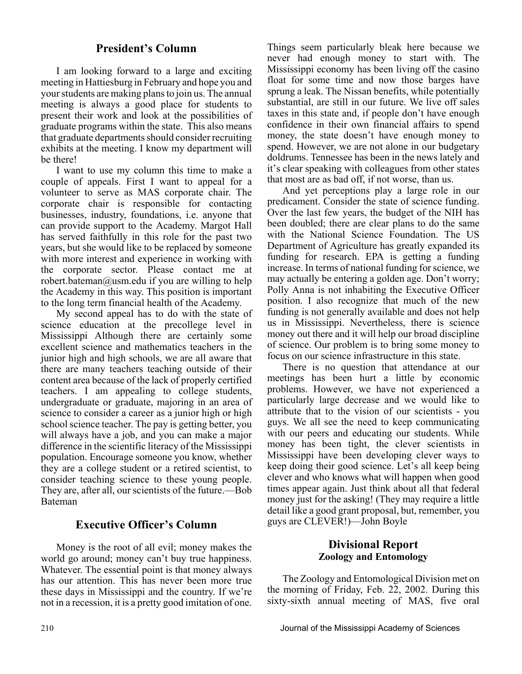# **President's Column**

I am looking forward to a large and exciting meeting in Hattiesburg in February and hope you and your students are making plans to join us. The annual meeting is always a good place for students to present their work and look at the possibilities of graduate programs within the state. This also means that graduate departments should consider recruiting exhibits at the meeting. I know my department will be there!

I want to use my column this time to make a couple of appeals. First I want to appeal for a volunteer to serve as MAS corporate chair. The corporate chair is responsible for contacting businesses, industry, foundations, i.e. anyone that can provide support to the Academy. Margot Hall has served faithfully in this role for the past two years, but she would like to be replaced by someone with more interest and experience in working with the corporate sector. Please contact me at robert.bateman@usm.edu if you are willing to help the Academy in this way. This position is important to the long term financial health of the Academy.

My second appeal has to do with the state of science education at the precollege level in Mississippi Although there are certainly some excellent science and mathematics teachers in the junior high and high schools, we are all aware that there are many teachers teaching outside of their content area because of the lack of properly certified teachers. I am appealing to college students, undergraduate or graduate, majoring in an area of science to consider a career as a junior high or high school science teacher. The pay is getting better, you will always have a job, and you can make a major difference in the scientific literacy of the Mississippi population. Encourage someone you know, whether they are a college student or a retired scientist, to consider teaching science to these young people. They are, after all, our scientists of the future.—Bob Bateman

# **Executive Officer's Column**

Money is the root of all evil; money makes the world go around; money can't buy true happiness. Whatever. The essential point is that money always has our attention. This has never been more true these days in Mississippi and the country. If we're not in a recession, it is a pretty good imitation of one.

Things seem particularly bleak here because we never had enough money to start with. The Mississippi economy has been living off the casino float for some time and now those barges have sprung a leak. The Nissan benefits, while potentially substantial, are still in our future. We live off sales taxes in this state and, if people don't have enough confidence in their own financial affairs to spend money, the state doesn't have enough money to spend. However, we are not alone in our budgetary doldrums. Tennessee has been in the news lately and it's clear speaking with colleagues from other states that most are as bad off, if not worse, than us.

And yet perceptions play a large role in our predicament. Consider the state of science funding. Over the last few years, the budget of the NIH has been doubled; there are clear plans to do the same with the National Science Foundation. The US Department of Agriculture has greatly expanded its funding for research. EPA is getting a funding increase. In terms of national funding for science, we may actually be entering a golden age. Don't worry; Polly Anna is not inhabiting the Executive Officer position. I also recognize that much of the new funding is not generally available and does not help us in Mississippi. Nevertheless, there is science money out there and it will help our broad discipline of science. Our problem is to bring some money to focus on our science infrastructure in this state.

There is no question that attendance at our meetings has been hurt a little by economic problems. However, we have not experienced a particularly large decrease and we would like to attribute that to the vision of our scientists - you guys. We all see the need to keep communicating with our peers and educating our students. While money has been tight, the clever scientists in Mississippi have been developing clever ways to keep doing their good science. Let's all keep being clever and who knows what will happen when good times appear again. Just think about all that federal money just for the asking! (They may require a little detail like a good grant proposal, but, remember, you guys are CLEVER!)—John Boyle

# **Divisional Report Zoology and Entomology**

The Zoology and Entomological Division met on the morning of Friday, Feb. 22, 2002. During this sixty-sixth annual meeting of MAS, five oral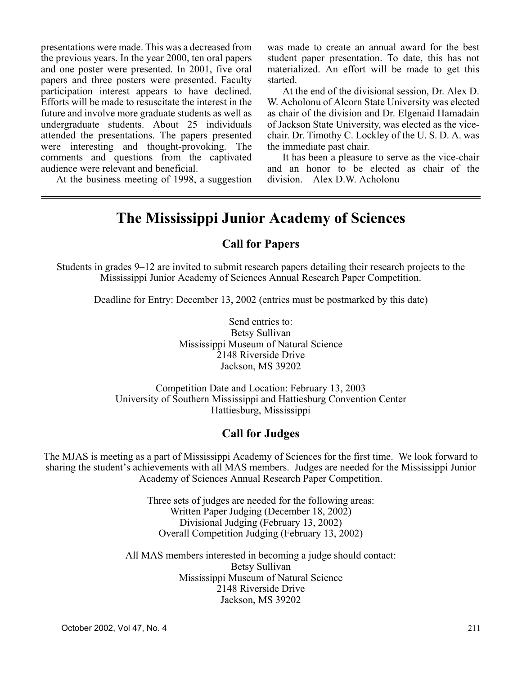presentations were made. This was a decreased from the previous years. In the year 2000, ten oral papers and one poster were presented. In 2001, five oral papers and three posters were presented. Faculty participation interest appears to have declined. Efforts will be made to resuscitate the interest in the future and involve more graduate students as well as undergraduate students. About 25 individuals attended the presentations. The papers presented were interesting and thought-provoking. The comments and questions from the captivated audience were relevant and beneficial.

At the business meeting of 1998, a suggestion

was made to create an annual award for the best student paper presentation. To date, this has not materialized. An effort will be made to get this started.

At the end of the divisional session, Dr. Alex D. W. Acholonu of Alcorn State University was elected as chair of the division and Dr. Elgenaid Hamadain of Jackson State University, was elected as the vicechair. Dr. Timothy C. Lockley of the U. S. D. A. was the immediate past chair.

It has been a pleasure to serve as the vice-chair and an honor to be elected as chair of the division.—Alex D.W. Acholonu

# **The Mississippi Junior Academy of Sciences**

# **Call for Papers**

Students in grades 9–12 are invited to submit research papers detailing their research projects to the Mississippi Junior Academy of Sciences Annual Research Paper Competition.

Deadline for Entry: December 13, 2002 (entries must be postmarked by this date)

Send entries to: Betsy Sullivan Mississippi Museum of Natural Science 2148 Riverside Drive Jackson, MS 39202

Competition Date and Location: February 13, 2003 University of Southern Mississippi and Hattiesburg Convention Center Hattiesburg, Mississippi

# **Call for Judges**

The MJAS is meeting as a part of Mississippi Academy of Sciences for the first time. We look forward to sharing the student's achievements with all MAS members. Judges are needed for the Mississippi Junior Academy of Sciences Annual Research Paper Competition.

> Three sets of judges are needed for the following areas: Written Paper Judging (December 18, 2002) Divisional Judging (February 13, 2002) Overall Competition Judging (February 13, 2002)

All MAS members interested in becoming a judge should contact: Betsy Sullivan Mississippi Museum of Natural Science 2148 Riverside Drive Jackson, MS 39202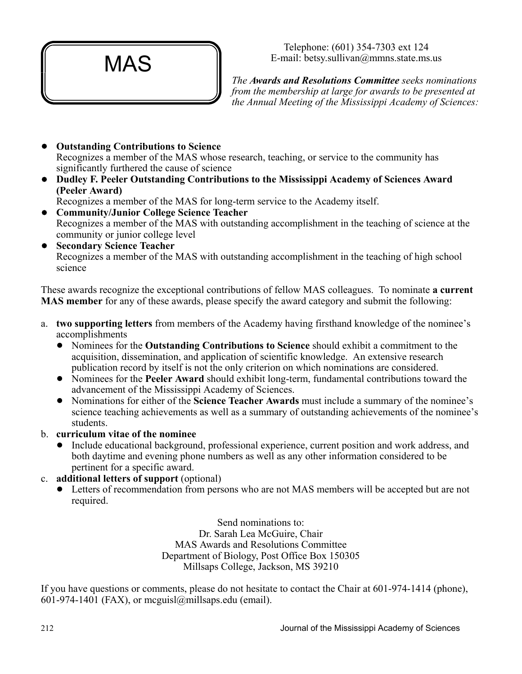

Telephone: (601) 354-7303 ext 124 E-mail: betsy.sullivan@mmns.state.ms.us

*The Awards and Resolutions Committee seeks nominations from the membership at large for awards to be presented at the Annual Meeting of the Mississippi Academy of Sciences:*

- ! **Outstanding Contributions to Science** Recognizes a member of the MAS whose research, teaching, or service to the community has significantly furthered the cause of science
- ! **Dudley F. Peeler Outstanding Contributions to the Mississippi Academy of Sciences Award (Peeler Award)**

Recognizes a member of the MAS for long-term service to the Academy itself.

- ! **Community/Junior College Science Teacher** Recognizes a member of the MAS with outstanding accomplishment in the teaching of science at the community or junior college level
- ! **Secondary Science Teacher** Recognizes a member of the MAS with outstanding accomplishment in the teaching of high school science

These awards recognize the exceptional contributions of fellow MAS colleagues. To nominate **a current MAS member** for any of these awards, please specify the award category and submit the following:

- a. **two supporting letters** from members of the Academy having firsthand knowledge of the nominee's accomplishments
	- ! Nominees for the **Outstanding Contributions to Science** should exhibit a commitment to the acquisition, dissemination, and application of scientific knowledge. An extensive research publication record by itself is not the only criterion on which nominations are considered.
	- ! Nominees for the **Peeler Award** should exhibit long-term, fundamental contributions toward the advancement of the Mississippi Academy of Sciences.
	- ! Nominations for either of the **Science Teacher Awards** must include a summary of the nominee's science teaching achievements as well as a summary of outstanding achievements of the nominee's students.
- b. **curriculum vitae of the nominee**
	- ! Include educational background, professional experience, current position and work address, and both daytime and evening phone numbers as well as any other information considered to be pertinent for a specific award.

# c. **additional letters of support** (optional)

! Letters of recommendation from persons who are not MAS members will be accepted but are not required.

> Send nominations to: Dr. Sarah Lea McGuire, Chair MAS Awards and Resolutions Committee Department of Biology, Post Office Box 150305 Millsaps College, Jackson, MS 39210

If you have questions or comments, please do not hesitate to contact the Chair at 601-974-1414 (phone),  $601-974-1401$  (FAX), or mcguisl $@$ millsaps.edu (email).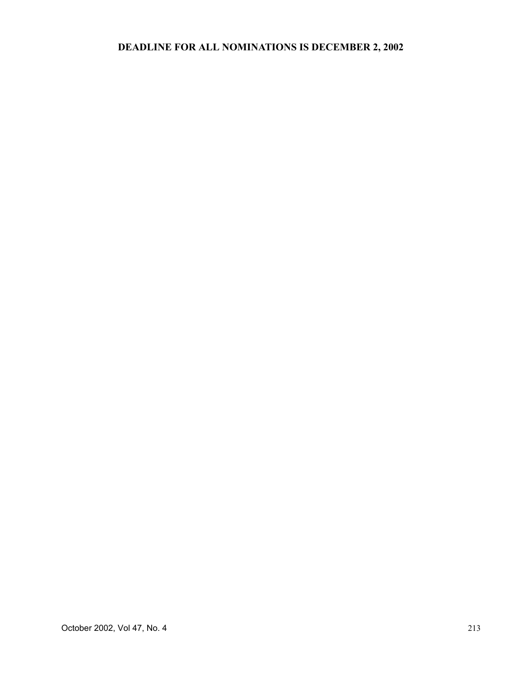# **DEADLINE FOR ALL NOMINATIONS IS DECEMBER 2, 2002**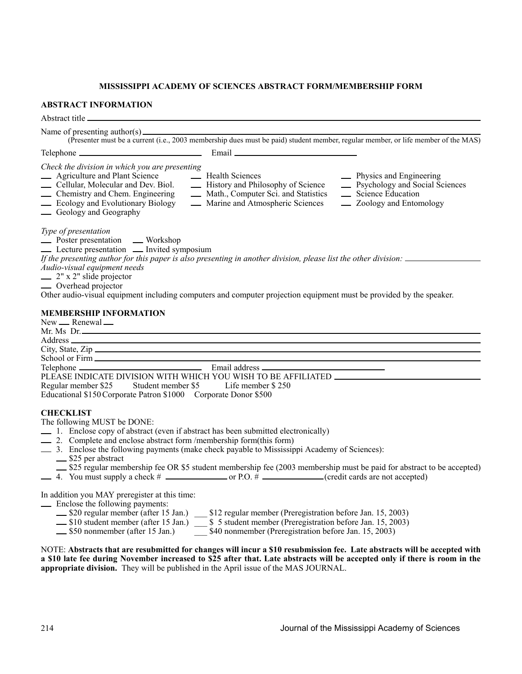#### **MISSISSIPPI ACADEMY OF SCIENCES ABSTRACT FORM/MEMBERSHIP FORM**

#### **ABSTRACT INFORMATION**

| (Presenter must be a current (i.e., 2003 membership dues must be paid) student member, regular member, or life member of the MAS)                                                                                                                                                                                                                                                                                                                                                                                                     |
|---------------------------------------------------------------------------------------------------------------------------------------------------------------------------------------------------------------------------------------------------------------------------------------------------------------------------------------------------------------------------------------------------------------------------------------------------------------------------------------------------------------------------------------|
|                                                                                                                                                                                                                                                                                                                                                                                                                                                                                                                                       |
| Check the division in which you are presenting<br><b>Agriculture and Plant Science</b><br>- Health Sciences<br>- Physics and Engineering<br>- Agriculture and Plant Science<br>- Cellular, Molecular and Dev. Biol.<br>- History and Philosophy of Science<br>- Psychology and Social Sciences<br>- Chemistry and Chem. Engineering<br>- Math., Computer Sci. and Statistics<br>_ Science Education<br>- Ecology and Evolutionary Biology<br>- Marine and Atmospheric Sciences<br>- Zoology and Entomology<br>- Geology and Geography |
| Type of presentation<br>- Poster presentation - Workshop<br>- Lecture presentation - Invited symposium<br>If the presenting author for this paper is also presenting in another division, please list the other division:<br>Audio-visual equipment needs<br>$\frac{1}{2}$ 2" x 2" slide projector<br>- Overhead projector<br>Other audio-visual equipment including computers and computer projection equipment must be provided by the speaker.                                                                                     |
| <b>MEMBERSHIP INFORMATION</b><br>New __ Renewal __<br>Mr. Ms. Dr.                                                                                                                                                                                                                                                                                                                                                                                                                                                                     |
| the contract of the contract of the contract of                                                                                                                                                                                                                                                                                                                                                                                                                                                                                       |
| PLEASE INDICATE DIVISION WITH WHICH YOU WISH TO BE AFFILIATED ___________________                                                                                                                                                                                                                                                                                                                                                                                                                                                     |
| Regular member \$25 Student member \$5 Life member \$250                                                                                                                                                                                                                                                                                                                                                                                                                                                                              |
| Educational \$150 Corporate Patron \$1000 Corporate Donor \$500                                                                                                                                                                                                                                                                                                                                                                                                                                                                       |
| <b>CHECKLIST</b><br>The following MUST be DONE:<br>-1. Enclose copy of abstract (even if abstract has been submitted electronically)<br>2. Complete and enclose abstract form /membership form(this form)<br>- 3. Enclose the following payments (make check payable to Mississippi Academy of Sciences):<br>S25 per abstract<br>\$25 regular membership fee OR \$5 student membership fee (2003 membership must be paid for abstract to be accepted)                                                                                 |
| In addition you MAY preregister at this time:<br>- Enclose the following payments:<br>_\$20 regular member (after 15 Jan.) __ \$12 regular member (Preregistration before Jan. 15, 2003)<br>S 5 student member (after 15 Jan.) S 5 student member (Preregistration before Jan. 15, 2003)<br>\$40 nonmember (Preregistration before Jan. 15, 2003)<br>S50 nonmember (after 15 Jan.)                                                                                                                                                    |

NOTE: **Abstracts that are resubmitted for changes will incur a \$10 resubmission fee. Late abstracts will be accepted with a \$10 late fee during November increased to \$25 after that. Late abstracts will be accepted only if there is room in the appropriate division.** They will be published in the April issue of the MAS JOURNAL.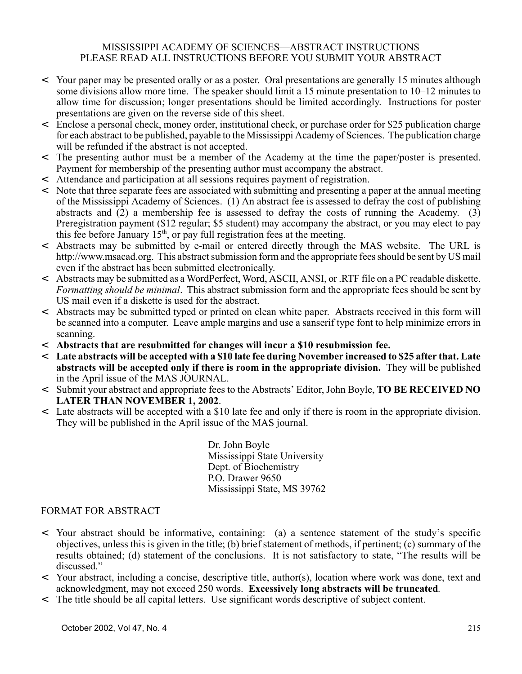## MISSISSIPPI ACADEMY OF SCIENCES—ABSTRACT INSTRUCTIONS PLEASE READ ALL INSTRUCTIONS BEFORE YOU SUBMIT YOUR ABSTRACT

- < Your paper may be presented orally or as a poster. Oral presentations are generally 15 minutes although some divisions allow more time. The speaker should limit a 15 minute presentation to 10–12 minutes to allow time for discussion; longer presentations should be limited accordingly. Instructions for poster presentations are given on the reverse side of this sheet.
- < Enclose a personal check, money order, institutional check, or purchase order for \$25 publication charge for each abstract to be published, payable to the Mississippi Academy of Sciences. The publication charge will be refunded if the abstract is not accepted.
- < The presenting author must be a member of the Academy at the time the paper/poster is presented. Payment for membership of the presenting author must accompany the abstract.
- < Attendance and participation at all sessions requires payment of registration.
- < Note that three separate fees are associated with submitting and presenting a paper at the annual meeting of the Mississippi Academy of Sciences. (1) An abstract fee is assessed to defray the cost of publishing abstracts and (2) a membership fee is assessed to defray the costs of running the Academy. (3) Preregistration payment (\$12 regular; \$5 student) may accompany the abstract, or you may elect to pay this fee before January  $15<sup>th</sup>$ , or pay full registration fees at the meeting.
- < Abstracts may be submitted by e-mail or entered directly through the MAS website. The URL is http://www.msacad.org. This abstract submission form and the appropriate fees should be sent by US mail even if the abstract has been submitted electronically.
- < Abstracts may be submitted as a WordPerfect, Word, ASCII, ANSI, or .RTF file on a PC readable diskette. *Formatting should be minimal*. This abstract submission form and the appropriate fees should be sent by US mail even if a diskette is used for the abstract.
- < Abstracts may be submitted typed or printed on clean white paper. Abstracts received in this form will be scanned into a computer. Leave ample margins and use a sanserif type font to help minimize errors in scanning.
- < **Abstracts that are resubmitted for changes will incur a \$10 resubmission fee.**
- < **Late abstracts will be accepted with a \$10 late fee during November increased to \$25 after that. Late abstracts will be accepted only if there is room in the appropriate division.** They will be published in the April issue of the MAS JOURNAL.
- < Submit your abstract and appropriate fees to the Abstracts' Editor, John Boyle, **TO BE RECEIVED NO LATER THAN NOVEMBER 1, 2002**.
- < Late abstracts will be accepted with a \$10 late fee and only if there is room in the appropriate division. They will be published in the April issue of the MAS journal.

Dr. John Boyle Mississippi State University Dept. of Biochemistry P.O. Drawer 9650 Mississippi State, MS 39762

# FORMAT FOR ABSTRACT

- < Your abstract should be informative, containing: (a) a sentence statement of the study's specific objectives, unless this is given in the title; (b) brief statement of methods, if pertinent; (c) summary of the results obtained; (d) statement of the conclusions. It is not satisfactory to state, "The results will be discussed."
- < Your abstract, including a concise, descriptive title, author(s), location where work was done, text and acknowledgment, may not exceed 250 words. **Excessively long abstracts will be truncated***.*
- < The title should be all capital letters. Use significant words descriptive of subject content.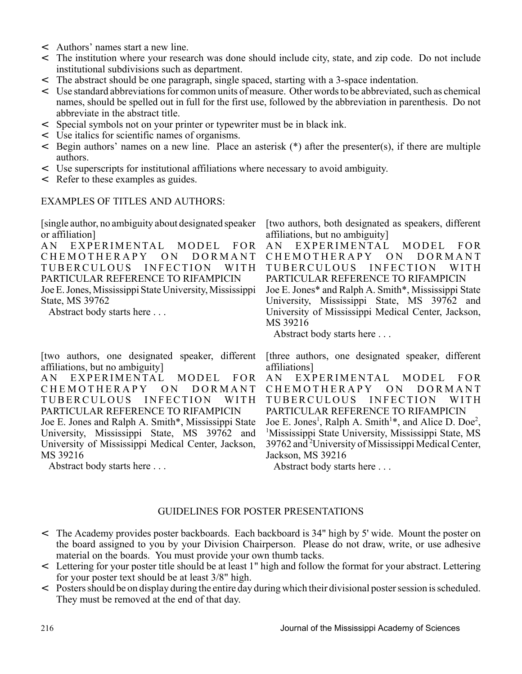- < Authors' names start a new line.
- < The institution where your research was done should include city, state, and zip code. Do not include institutional subdivisions such as department.
- < The abstract should be one paragraph, single spaced, starting with a 3-space indentation.
- < Use standard abbreviations for common units of measure. Other words to be abbreviated, such as chemical names, should be spelled out in full for the first use, followed by the abbreviation in parenthesis. Do not abbreviate in the abstract title.
- < Special symbols not on your printer or typewriter must be in black ink.
- < Use italics for scientific names of organisms.
- $\leq$  Begin authors' names on a new line. Place an asterisk  $(*)$  after the presenter(s), if there are multiple authors.
- < Use superscripts for institutional affiliations where necessary to avoid ambiguity.
- Refer to these examples as guides.

### EXAMPLES OF TITLES AND AUTHORS:

[single author, no ambiguity about designated speaker or affiliation]

AN EXPERIMENTAL MODEL FOR CHEMOTHERAPY ON DORMANT TUBERCULOUS INFECTION WITH PARTICULAR REFERENCE TO RIFAMPICIN

Joe E. Jones, Mississippi State University, Mississippi State, MS 39762

[two authors, one designated speaker, different

AN EXPERIMENTAL MODEL FOR CHEMOTHERAPY ON DORMANT TUBERCULOUS INFECTION WITH PARTICULAR REFERENCE TO RIFAMPICIN Joe E. Jones and Ralph A. Smith\*, Mississippi State University, Mississippi State, MS 39762 and University of Mississippi Medical Center, Jackson,

Abstract body starts here . . .

affiliations, but no ambiguity]

[two authors, both designated as speakers, different affiliations, but no ambiguity]

AN EXPERIMENTAL MODEL FOR CHEMOTHERAPY ON DORMANT TUBERCULOUS INFECTION WITH PARTICULAR REFERENCE TO RIFAMPICIN

Joe E. Jones\* and Ralph A. Smith\*, Mississippi State University, Mississippi State, MS 39762 and University of Mississippi Medical Center, Jackson, MS 39216

Abstract body starts here . . .

[three authors, one designated speaker, different affiliations]

AN EXPERIMENTAL MODEL FOR CHEMOTHERAPY ON DORMANT TUBERCULOUS INFECTION WITH PARTICULAR REFERENCE TO RIFAMPICIN Joe E. Jones<sup>1</sup>, Ralph A. Smith<sup>1\*</sup>, and Alice D. Doe<sup>2</sup>, <sup>1</sup>Mississippi State University, Mississippi State, MS 39762 and<sup>2</sup> University of Mississippi Medical Center, Jackson, MS 39216

Abstract body starts here . . .

MS 39216

Abstract body starts here . . .

# GUIDELINES FOR POSTER PRESENTATIONS

- < The Academy provides poster backboards. Each backboard is 34" high by 5' wide. Mount the poster on the board assigned to you by your Division Chairperson. Please do not draw, write, or use adhesive material on the boards. You must provide your own thumb tacks.
- < Lettering for your poster title should be at least 1" high and follow the format for your abstract. Lettering for your poster text should be at least 3/8" high.
- < Posters should be on display during the entire day during which their divisional poster session is scheduled. They must be removed at the end of that day.